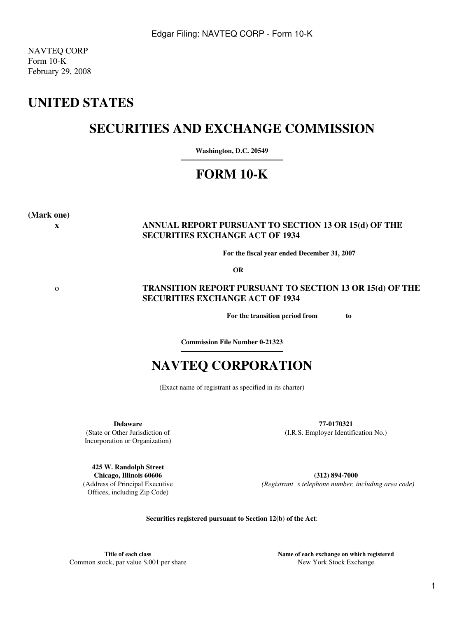NAVTEQ CORP Form 10-K February 29, 2008

# **UNITED STATES**

# **SECURITIES AND EXCHANGE COMMISSION**

**Washington, D.C. 20549**

# **FORM 10-K**

**(Mark one)**

### **x ANNUAL REPORT PURSUANT TO SECTION 13 OR 15(d) OF THE SECURITIES EXCHANGE ACT OF 1934**

**For the fiscal year ended December 31, 2007**

**OR**

### o **TRANSITION REPORT PURSUANT TO SECTION 13 OR 15(d) OF THE SECURITIES EXCHANGE ACT OF 1934**

**For the transition period from to**

**Commission File Number 0-21323**

# **NAVTEQ CORPORATION**

(Exact name of registrant as specified in its charter)

Incorporation or Organization)

**425 W. Randolph Street**

Offices, including Zip Code)

**Delaware 77-0170321** (State or Other Jurisdiction of (I.R.S. Employer Identification No.)

**Chicago, Illinois 60606 (312) 894-7000** (Address of Principal Executive *(Registrants telephone number, including area code)*

**Securities registered pursuant to Section 12(b) of the Act**:

Common stock, par value \$.001 per share New York Stock Exchange

**Title of each class Name of each exchange on which registered**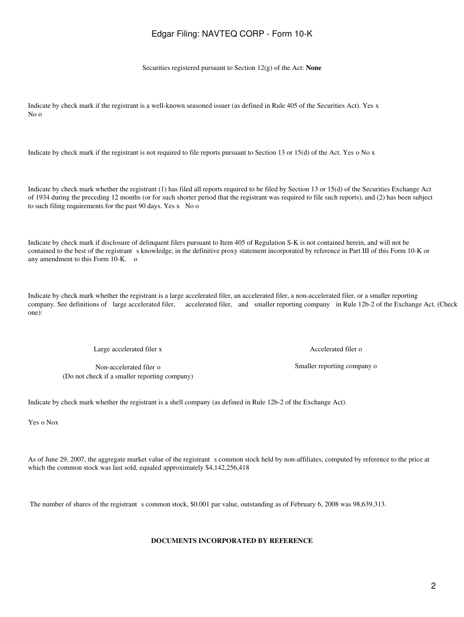Securities registered pursuant to Section 12(g) of the Act: **None**

Indicate by check mark if the registrant is a well-known seasoned issuer (as defined in Rule 405 of the Securities Act). Yes x No o

Indicate by check mark if the registrant is not required to file reports pursuant to Section 13 or 15(d) of the Act. Yes o No x

Indicate by check mark whether the registrant (1) has filed all reports required to be filed by Section 13 or 15(d) of the Securities Exchange Act of 1934 during the preceding 12 months (or for such shorter period that the registrant was required to file such reports), and (2) has been subject to such filing requirements for the past 90 days. Yes x No o

Indicate by check mark if disclosure of delinquent filers pursuant to Item 405 of Regulation S-K is not contained herein, and will not be contained to the best of the registrant s knowledge, in the definitive proxy statement incorporated by reference in Part III of this Form 10-K or any amendment to this Form 10-K. o

Indicate by check mark whether the registrant is a large accelerated filer, an accelerated filer, a non-accelerated filer, or a smaller reporting company. See definitions of large accelerated filer, accelerated filer, and smaller reporting company in Rule 12b-2 of the Exchange Act. (Check one):

Large accelerated filer x Accelerated filer x

Non-accelerated filer o (Do not check if a smaller reporting company)

Indicate by check mark whether the registrant is a shell company (as defined in Rule 12b-2 of the Exchange Act).

Yes o Nox

As of June 29, 2007, the aggregate market value of the registrant s common stock held by non-affiliates, computed by reference to the price at which the common stock was last sold, equaled approximately \$4,142,256,418

The number of shares of the registrant s common stock, \$0.001 par value, outstanding as of February 6, 2008 was 98,639,313.

### **DOCUMENTS INCORPORATED BY REFERENCE**

Smaller reporting company o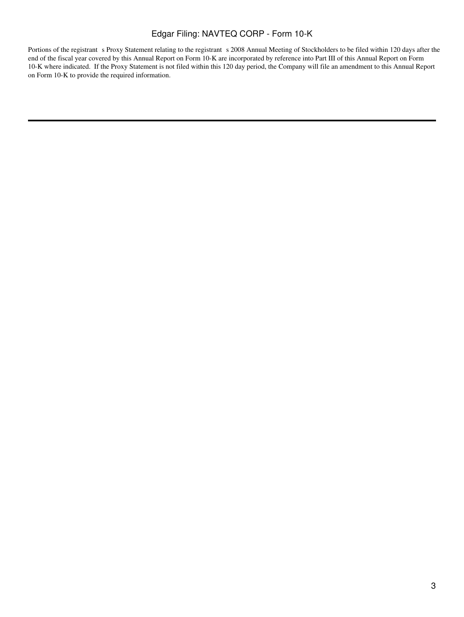Portions of the registrant s Proxy Statement relating to the registrant s 2008 Annual Meeting of Stockholders to be filed within 120 days after the end of the fiscal year covered by this Annual Report on Form 10-K are incorporated by reference into Part III of this Annual Report on Form 10-K where indicated. If the Proxy Statement is not filed within this 120 day period, the Company will file an amendment to this Annual Report on Form 10-K to provide the required information.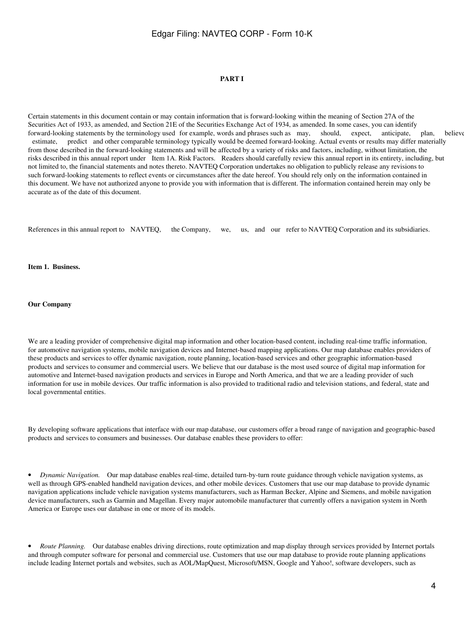#### **PART I**

Certain statements in this document contain or may contain information that is forward-looking within the meaning of Section 27A of the Securities Act of 1933, as amended, and Section 21E of the Securities Exchange Act of 1934, as amended. In some cases, you can identify forward-looking statements by the terminology used for example, words and phrases such as may, should, expect, anticipate, plan, believe estimate, predict and other comparable terminology typically would be deemed forward-looking. Actual events or results may differ materially from those described in the forward-looking statements and will be affected by a variety of risks and factors, including, without limitation, the risks described in this annual report under Item 1A. Risk Factors. Readers should carefully review this annual report in its entirety, including, but not limited to, the financial statements and notes thereto. NAVTEQ Corporation undertakes no obligation to publicly release any revisions to such forward-looking statements to reflect events or circumstances after the date hereof. You should rely only on the information contained in this document. We have not authorized anyone to provide you with information that is different. The information contained herein may only be accurate as of the date of this document.

References in this annual report to NAVTEQ, the Company, we, us, and our refer to NAVTEQ Corporation and its subsidiaries.

**Item 1. Business.**

**Our Company**

We are a leading provider of comprehensive digital map information and other location-based content, including real-time traffic information, for automotive navigation systems, mobile navigation devices and Internet-based mapping applications. Our map database enables providers of these products and services to offer dynamic navigation, route planning, location-based services and other geographic information-based products and services to consumer and commercial users. We believe that our database is the most used source of digital map information for automotive and Internet-based navigation products and services in Europe and North America, and that we are a leading provider of such information for use in mobile devices. Our traffic information is also provided to traditional radio and television stations, and federal, state and local governmental entities.

By developing software applications that interface with our map database, our customers offer a broad range of navigation and geographic-based products and services to consumers and businesses. Our database enables these providers to offer:

• *Dynamic Navigation.* Our map database enables real-time, detailed turn-by-turn route guidance through vehicle navigation systems, as well as through GPS-enabled handheld navigation devices, and other mobile devices. Customers that use our map database to provide dynamic navigation applications include vehicle navigation systems manufacturers, such as Harman Becker, Alpine and Siemens, and mobile navigation device manufacturers, such as Garmin and Magellan. Every major automobile manufacturer that currently offers a navigation system in North America or Europe uses our database in one or more of its models.

• *Route Planning.* Our database enables driving directions, route optimization and map display through services provided by Internet portals and through computer software for personal and commercial use. Customers that use our map database to provide route planning applications include leading Internet portals and websites, such as AOL/MapQuest, Microsoft/MSN, Google and Yahoo!, software developers, such as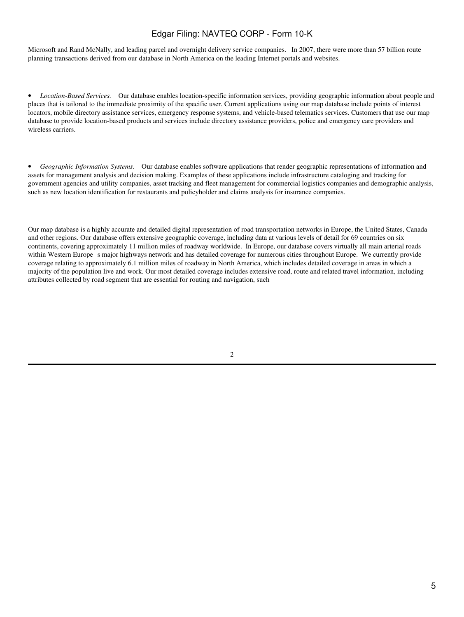Microsoft and Rand McNally, and leading parcel and overnight delivery service companies. In 2007, there were more than 57 billion route planning transactions derived from our database in North America on the leading Internet portals and websites.

• *Location-Based Services.* Our database enables location-specific information services, providing geographic information about people and places that is tailored to the immediate proximity of the specific user. Current applications using our map database include points of interest locators, mobile directory assistance services, emergency response systems, and vehicle-based telematics services. Customers that use our map database to provide location-based products and services include directory assistance providers, police and emergency care providers and wireless carriers.

• *Geographic Information Systems.* Our database enables software applications that render geographic representations of information and assets for management analysis and decision making. Examples of these applications include infrastructure cataloging and tracking for government agencies and utility companies, asset tracking and fleet management for commercial logistics companies and demographic analysis, such as new location identification for restaurants and policyholder and claims analysis for insurance companies.

Our map database is a highly accurate and detailed digital representation of road transportation networks in Europe, the United States, Canada and other regions. Our database offers extensive geographic coverage, including data at various levels of detail for 69 countries on six continents, covering approximately 11 million miles of roadway worldwide. In Europe, our database covers virtually all main arterial roads within Western Europe s major highways network and has detailed coverage for numerous cities throughout Europe. We currently provide coverage relating to approximately 6.1 million miles of roadway in North America, which includes detailed coverage in areas in which a majority of the population live and work. Our most detailed coverage includes extensive road, route and related travel information, including attributes collected by road segment that are essential for routing and navigation, such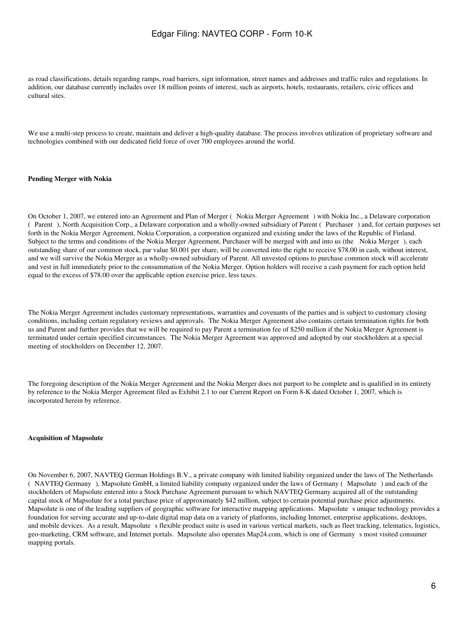as road classifications, details regarding ramps, road barriers, sign information, street names and addresses and traffic rules and regulations. In addition, our database currently includes over 18 million points of interest, such as airports, hotels, restaurants, retailers, civic offices and cultural sites.

We use a multi-step process to create, maintain and deliver a high-quality database. The process involves utilization of proprietary software and technologies combined with our dedicated field force of over 700 employees around the world.

### **Pending Merger with Nokia**

On October 1, 2007, we entered into an Agreement and Plan of Merger (Nokia Merger Agreement) with Nokia Inc., a Delaware corporation (Parent), North Acquisition Corp., a Delaware corporation and a wholly-owned subsidiary of Parent (Purchaser) and, for certain purposes set forth in the Nokia Merger Agreement, Nokia Corporation, a corporation organized and existing under the laws of the Republic of Finland. Subject to the terms and conditions of the Nokia Merger Agreement, Purchaser will be merged with and into us (the Nokia Merger), each outstanding share of our common stock, par value \$0.001 per share, will be converted into the right to receive \$78.00 in cash, without interest, and we will survive the Nokia Merger as a wholly-owned subsidiary of Parent. All unvested options to purchase common stock will accelerate and vest in full immediately prior to the consummation of the Nokia Merger. Option holders will receive a cash payment for each option held equal to the excess of \$78.00 over the applicable option exercise price, less taxes.

The Nokia Merger Agreement includes customary representations, warranties and covenants of the parties and is subject to customary closing conditions, including certain regulatory reviews and approvals. The Nokia Merger Agreement also contains certain termination rights for both us and Parent and further provides that we will be required to pay Parent a termination fee of \$250 million if the Nokia Merger Agreement is terminated under certain specified circumstances. The Nokia Merger Agreement was approved and adopted by our stockholders at a special meeting of stockholders on December 12, 2007.

The foregoing description of the Nokia Merger Agreement and the Nokia Merger does not purport to be complete and is qualified in its entirety by reference to the Nokia Merger Agreement filed as Exhibit 2.1 to our Current Report on Form 8-K dated October 1, 2007, which is incorporated herein by reference.

#### **Acquisition of Mapsolute**

On November 6, 2007, NAVTEQ German Holdings B.V., a private company with limited liability organized under the laws of The Netherlands (NAVTEQ Germany), Mapsolute GmbH, a limited liability company organized under the laws of Germany (Mapsolute) and each of the stockholders of Mapsolute entered into a Stock Purchase Agreement pursuant to which NAVTEQ Germany acquired all of the outstanding capital stock of Mapsolute for a total purchase price of approximately \$42 million, subject to certain potential purchase price adjustments. Mapsolute is one of the leading suppliers of geographic software for interactive mapping applications. Mapsolute sunique technology provides a foundation for serving accurate and up-to-date digital map data on a variety of platforms, including Internet, enterprise applications, desktops, and mobile devices. As a result, Mapsolute s flexible product suite is used in various vertical markets, such as fleet tracking, telematics, logistics, geo-marketing, CRM software, and Internet portals. Mapsolute also operates Map24.com, which is one of Germanys most visited consumer mapping portals.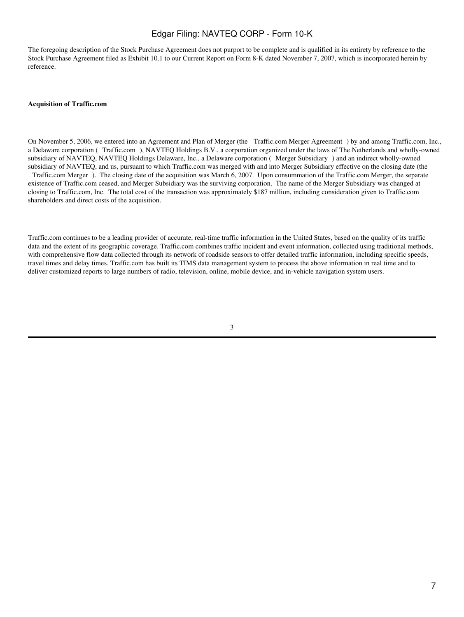The foregoing description of the Stock Purchase Agreement does not purport to be complete and is qualified in its entirety by reference to the Stock Purchase Agreement filed as Exhibit 10.1 to our Current Report on Form 8-K dated November 7, 2007, which is incorporated herein by reference.

#### **Acquisition of Traffic.com**

On November 5, 2006, we entered into an Agreement and Plan of Merger (the Traffic.com Merger Agreement) by and among Traffic.com, Inc., a Delaware corporation (Traffic.com), NAVTEQ Holdings B.V., a corporation organized under the laws of The Netherlands and wholly-owned subsidiary of NAVTEQ, NAVTEQ Holdings Delaware, Inc., a Delaware corporation (Merger Subsidiary) and an indirect wholly-owned subsidiary of NAVTEQ, and us, pursuant to which Traffic.com was merged with and into Merger Subsidiary effective on the closing date (the Traffic.com Merger). The closing date of the acquisition was March 6, 2007. Upon consummation of the Traffic.com Merger, the separate

existence of Traffic.com ceased, and Merger Subsidiary was the surviving corporation. The name of the Merger Subsidiary was changed at closing to Traffic.com, Inc. The total cost of the transaction was approximately \$187 million, including consideration given to Traffic.com shareholders and direct costs of the acquisition.

Traffic.com continues to be a leading provider of accurate, real-time traffic information in the United States, based on the quality of its traffic data and the extent of its geographic coverage. Traffic.com combines traffic incident and event information, collected using traditional methods, with comprehensive flow data collected through its network of roadside sensors to offer detailed traffic information, including specific speeds, travel times and delay times. Traffic.com has built its TIMS data management system to process the above information in real time and to deliver customized reports to large numbers of radio, television, online, mobile device, and in-vehicle navigation system users.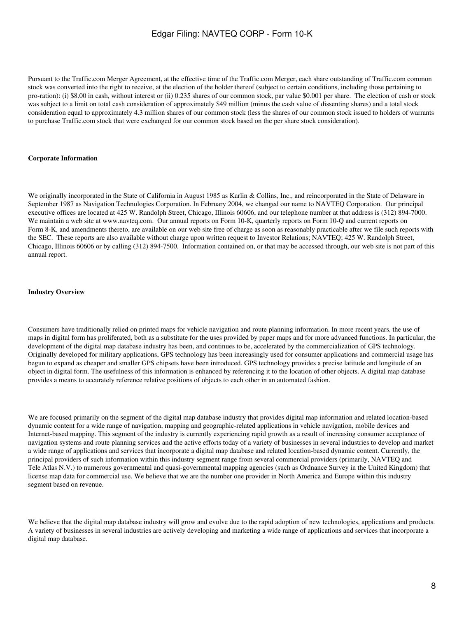Pursuant to the Traffic.com Merger Agreement, at the effective time of the Traffic.com Merger, each share outstanding of Traffic.com common stock was converted into the right to receive, at the election of the holder thereof (subject to certain conditions, including those pertaining to pro-ration): (i) \$8.00 in cash, without interest or (ii) 0.235 shares of our common stock, par value \$0.001 per share. The election of cash or stock was subject to a limit on total cash consideration of approximately \$49 million (minus the cash value of dissenting shares) and a total stock consideration equal to approximately 4.3 million shares of our common stock (less the shares of our common stock issued to holders of warrants to purchase Traffic.com stock that were exchanged for our common stock based on the per share stock consideration).

#### **Corporate Information**

We originally incorporated in the State of California in August 1985 as Karlin & Collins, Inc., and reincorporated in the State of Delaware in September 1987 as Navigation Technologies Corporation. In February 2004, we changed our name to NAVTEQ Corporation. Our principal executive offices are located at 425 W. Randolph Street, Chicago, Illinois 60606, and our telephone number at that address is (312) 894-7000. We maintain a web site at www.navteq.com. Our annual reports on Form 10-K, quarterly reports on Form 10-Q and current reports on Form 8-K, and amendments thereto, are available on our web site free of charge as soon as reasonably practicable after we file such reports with the SEC. These reports are also available without charge upon written request to Investor Relations; NAVTEQ; 425 W. Randolph Street, Chicago, Illinois 60606 or by calling (312) 894-7500. Information contained on, or that may be accessed through, our web site is not part of this annual report.

#### **Industry Overview**

Consumers have traditionally relied on printed maps for vehicle navigation and route planning information. In more recent years, the use of maps in digital form has proliferated, both as a substitute for the uses provided by paper maps and for more advanced functions. In particular, the development of the digital map database industry has been, and continues to be, accelerated by the commercialization of GPS technology. Originally developed for military applications, GPS technology has been increasingly used for consumer applications and commercial usage has begun to expand as cheaper and smaller GPS chipsets have been introduced. GPS technology provides a precise latitude and longitude of an object in digital form. The usefulness of this information is enhanced by referencing it to the location of other objects. A digital map database provides a means to accurately reference relative positions of objects to each other in an automated fashion.

We are focused primarily on the segment of the digital map database industry that provides digital map information and related location-based dynamic content for a wide range of navigation, mapping and geographic-related applications in vehicle navigation, mobile devices and Internet-based mapping. This segment of the industry is currently experiencing rapid growth as a result of increasing consumer acceptance of navigation systems and route planning services and the active efforts today of a variety of businesses in several industries to develop and market a wide range of applications and services that incorporate a digital map database and related location-based dynamic content. Currently, the principal providers of such information within this industry segment range from several commercial providers (primarily, NAVTEQ and Tele Atlas N.V.) to numerous governmental and quasi-governmental mapping agencies (such as Ordnance Survey in the United Kingdom) that license map data for commercial use. We believe that we are the number one provider in North America and Europe within this industry segment based on revenue.

We believe that the digital map database industry will grow and evolve due to the rapid adoption of new technologies, applications and products. A variety of businesses in several industries are actively developing and marketing a wide range of applications and services that incorporate a digital map database.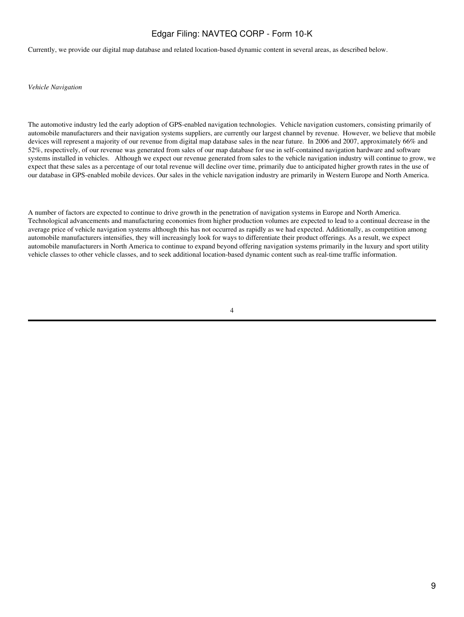Currently, we provide our digital map database and related location-based dynamic content in several areas, as described below.

*Vehicle Navigation*

The automotive industry led the early adoption of GPS-enabled navigation technologies. Vehicle navigation customers, consisting primarily of automobile manufacturers and their navigation systems suppliers, are currently our largest channel by revenue. However, we believe that mobile devices will represent a majority of our revenue from digital map database sales in the near future. In 2006 and 2007, approximately 66% and 52%, respectively, of our revenue was generated from sales of our map database for use in self-contained navigation hardware and software systems installed in vehicles. Although we expect our revenue generated from sales to the vehicle navigation industry will continue to grow, we expect that these sales as a percentage of our total revenue will decline over time, primarily due to anticipated higher growth rates in the use of our database in GPS-enabled mobile devices. Our sales in the vehicle navigation industry are primarily in Western Europe and North America.

A number of factors are expected to continue to drive growth in the penetration of navigation systems in Europe and North America. Technological advancements and manufacturing economies from higher production volumes are expected to lead to a continual decrease in the average price of vehicle navigation systems although this has not occurred as rapidly as we had expected. Additionally, as competition among automobile manufacturers intensifies, they will increasingly look for ways to differentiate their product offerings. As a result, we expect automobile manufacturers in North America to continue to expand beyond offering navigation systems primarily in the luxury and sport utility vehicle classes to other vehicle classes, and to seek additional location-based dynamic content such as real-time traffic information.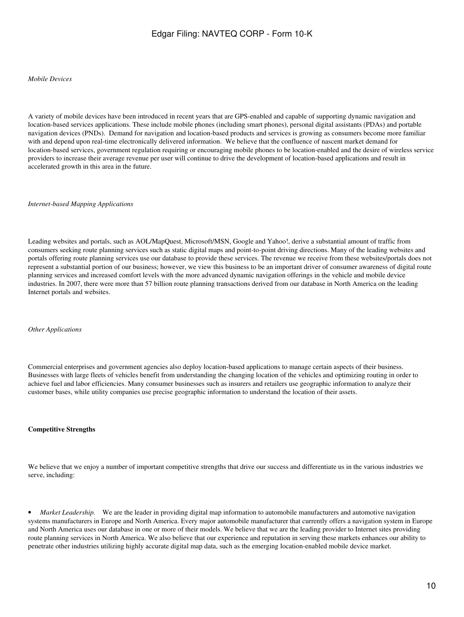#### *Mobile Devices*

A variety of mobile devices have been introduced in recent years that are GPS-enabled and capable of supporting dynamic navigation and location-based services applications. These include mobile phones (including smart phones), personal digital assistants (PDAs) and portable navigation devices (PNDs). Demand for navigation and location-based products and services is growing as consumers become more familiar with and depend upon real-time electronically delivered information. We believe that the confluence of nascent market demand for location-based services, government regulation requiring or encouraging mobile phones to be location-enabled and the desire of wireless service providers to increase their average revenue per user will continue to drive the development of location-based applications and result in accelerated growth in this area in the future.

#### *Internet-based Mapping Applications*

Leading websites and portals, such as AOL/MapQuest, Microsoft/MSN, Google and Yahoo!, derive a substantial amount of traffic from consumers seeking route planning services such as static digital maps and point-to-point driving directions. Many of the leading websites and portals offering route planning services use our database to provide these services. The revenue we receive from these websites/portals does not represent a substantial portion of our business; however, we view this business to be an important driver of consumer awareness of digital route planning services and increased comfort levels with the more advanced dynamic navigation offerings in the vehicle and mobile device industries. In 2007, there were more than 57 billion route planning transactions derived from our database in North America on the leading Internet portals and websites.

#### *Other Applications*

Commercial enterprises and government agencies also deploy location-based applications to manage certain aspects of their business. Businesses with large fleets of vehicles benefit from understanding the changing location of the vehicles and optimizing routing in order to achieve fuel and labor efficiencies. Many consumer businesses such as insurers and retailers use geographic information to analyze their customer bases, while utility companies use precise geographic information to understand the location of their assets.

#### **Competitive Strengths**

We believe that we enjoy a number of important competitive strengths that drive our success and differentiate us in the various industries we serve, including:

*Market Leadership.* We are the leader in providing digital map information to automobile manufacturers and automotive navigation systems manufacturers in Europe and North America. Every major automobile manufacturer that currently offers a navigation system in Europe and North America uses our database in one or more of their models. We believe that we are the leading provider to Internet sites providing route planning services in North America. We also believe that our experience and reputation in serving these markets enhances our ability to penetrate other industries utilizing highly accurate digital map data, such as the emerging location-enabled mobile device market.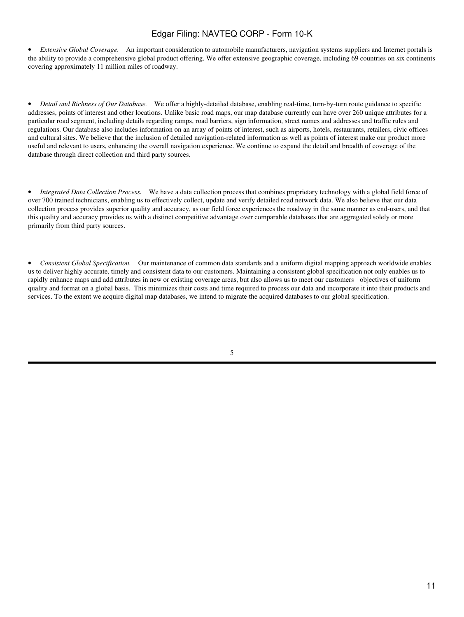• *Extensive Global Coverage.* An important consideration to automobile manufacturers, navigation systems suppliers and Internet portals is the ability to provide a comprehensive global product offering. We offer extensive geographic coverage, including 69 countries on six continents covering approximately 11 million miles of roadway.

• *Detail and Richness of Our Database.* We offer a highly-detailed database, enabling real-time, turn-by-turn route guidance to specific addresses, points of interest and other locations. Unlike basic road maps, our map database currently can have over 260 unique attributes for a particular road segment, including details regarding ramps, road barriers, sign information, street names and addresses and traffic rules and regulations. Our database also includes information on an array of points of interest, such as airports, hotels, restaurants, retailers, civic offices and cultural sites. We believe that the inclusion of detailed navigation-related information as well as points of interest make our product more useful and relevant to users, enhancing the overall navigation experience. We continue to expand the detail and breadth of coverage of the database through direct collection and third party sources.

• *Integrated Data Collection Process.* We have a data collection process that combines proprietary technology with a global field force of over 700 trained technicians, enabling us to effectively collect, update and verify detailed road network data. We also believe that our data collection process provides superior quality and accuracy, as our field force experiences the roadway in the same manner as end-users, and that this quality and accuracy provides us with a distinct competitive advantage over comparable databases that are aggregated solely or more primarily from third party sources.

• *Consistent Global Specification.* Our maintenance of common data standards and a uniform digital mapping approach worldwide enables us to deliver highly accurate, timely and consistent data to our customers. Maintaining a consistent global specification not only enables us to rapidly enhance maps and add attributes in new or existing coverage areas, but also allows us to meet our customers objectives of uniform quality and format on a global basis. This minimizes their costs and time required to process our data and incorporate it into their products and services. To the extent we acquire digital map databases, we intend to migrate the acquired databases to our global specification.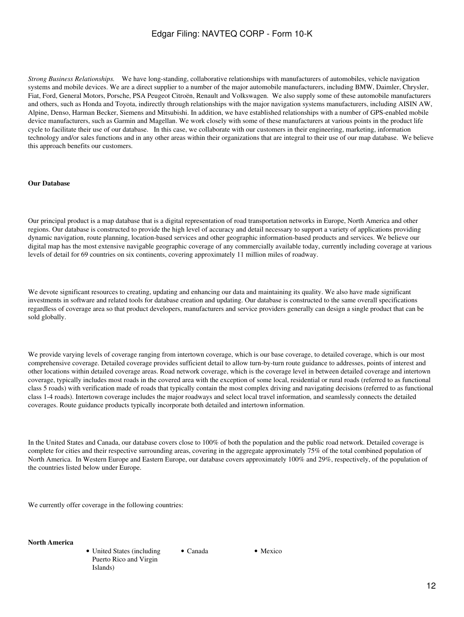*Strong Business Relationships.* We have long-standing, collaborative relationships with manufacturers of automobiles, vehicle navigation systems and mobile devices. We are a direct supplier to a number of the major automobile manufacturers, including BMW, Daimler, Chrysler, Fiat, Ford, General Motors, Porsche, PSA Peugeot Citroën, Renault and Volkswagen. We also supply some of these automobile manufacturers and others, such as Honda and Toyota, indirectly through relationships with the major navigation systems manufacturers, including AISIN AW, Alpine, Denso, Harman Becker, Siemens and Mitsubishi. In addition, we have established relationships with a number of GPS-enabled mobile device manufacturers, such as Garmin and Magellan. We work closely with some of these manufacturers at various points in the product life cycle to facilitate their use of our database. In this case, we collaborate with our customers in their engineering, marketing, information technology and/or sales functions and in any other areas within their organizations that are integral to their use of our map database. We believe this approach benefits our customers.

#### **Our Database**

Our principal product is a map database that is a digital representation of road transportation networks in Europe, North America and other regions. Our database is constructed to provide the high level of accuracy and detail necessary to support a variety of applications providing dynamic navigation, route planning, location-based services and other geographic information-based products and services. We believe our digital map has the most extensive navigable geographic coverage of any commercially available today, currently including coverage at various levels of detail for 69 countries on six continents, covering approximately 11 million miles of roadway.

We devote significant resources to creating, updating and enhancing our data and maintaining its quality. We also have made significant investments in software and related tools for database creation and updating. Our database is constructed to the same overall specifications regardless of coverage area so that product developers, manufacturers and service providers generally can design a single product that can be sold globally.

We provide varying levels of coverage ranging from intertown coverage, which is our base coverage, to detailed coverage, which is our most comprehensive coverage. Detailed coverage provides sufficient detail to allow turn-by-turn route guidance to addresses, points of interest and other locations within detailed coverage areas. Road network coverage, which is the coverage level in between detailed coverage and intertown coverage, typically includes most roads in the covered area with the exception of some local, residential or rural roads (referred to as functional class 5 roads) with verification made of roads that typically contain the most complex driving and navigating decisions (referred to as functional class 1-4 roads). Intertown coverage includes the major roadways and select local travel information, and seamlessly connects the detailed coverages. Route guidance products typically incorporate both detailed and intertown information.

In the United States and Canada, our database covers close to 100% of both the population and the public road network. Detailed coverage is complete for cities and their respective surrounding areas, covering in the aggregate approximately 75% of the total combined population of North America. In Western Europe and Eastern Europe, our database covers approximately 100% and 29%, respectively, of the population of the countries listed below under Europe.

We currently offer coverage in the following countries:

#### **North America**

• United States (including Puerto Rico and Virgin Islands)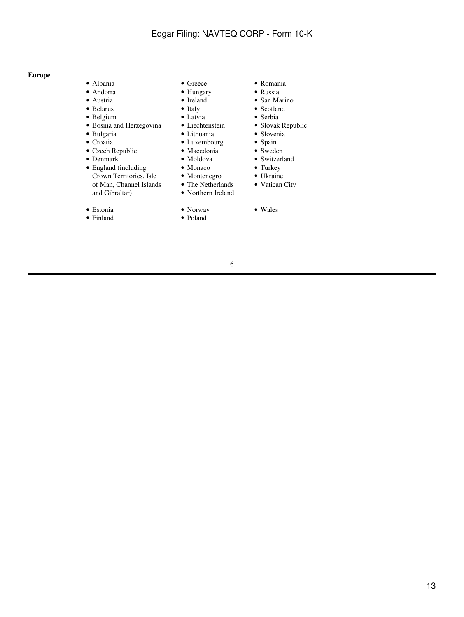#### **Europe**

- 
- 
- 
- 
- 
- Belgium Latvia Serbia • Bosnia and Herzegovina • Liechtenstein
- 
- 
- 
- Czech Republic Macedon<br>• Denmark Moldova
- 
- England (including Monaco Turkey Crown Territories, Isle • Montenegro • Ukraine<br>
of Man, Channel Islands • The Netherlands • Vatican City of Man, Channel Islands<br>and Gibraltar)
- 
- 
- 
- Hungary<br>• Ireland
- Austria Ireland San Marino
	-
	-
	-
	-
- Bulgaria Lithuania Slovenia • Croatia • Luxembourg • Spain
	-
	-
	-
	-
	-
	- Northern Ireland
		-
- Estonia Norway Wales
	- Poland
- Albania Greece Romania
	-
	-
- Belarus Italy Scotland Belgium Serbia
	-
	-
	-
	-
	-
	- Moldova Switzerland<br>• Monaco Turkey
		-
		-
		-
		-
		- 6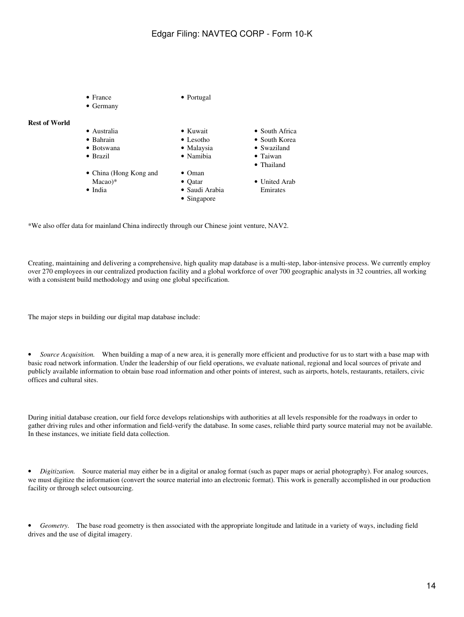

\*We also offer data for mainland China indirectly through our Chinese joint venture, NAV2.

Creating, maintaining and delivering a comprehensive, high quality map database is a multi-step, labor-intensive process. We currently employ over 270 employees in our centralized production facility and a global workforce of over 700 geographic analysts in 32 countries, all working with a consistent build methodology and using one global specification.

The major steps in building our digital map database include:

• *Source Acquisition.* When building a map of a new area, it is generally more efficient and productive for us to start with a base map with basic road network information. Under the leadership of our field operations, we evaluate national, regional and local sources of private and publicly available information to obtain base road information and other points of interest, such as airports, hotels, restaurants, retailers, civic offices and cultural sites.

During initial database creation, our field force develops relationships with authorities at all levels responsible for the roadways in order to gather driving rules and other information and field-verify the database. In some cases, reliable third party source material may not be available. In these instances, we initiate field data collection.

• *Digitization.* Source material may either be in a digital or analog format (such as paper maps or aerial photography). For analog sources, we must digitize the information (convert the source material into an electronic format). This work is generally accomplished in our production facility or through select outsourcing.

• *Geometry.* The base road geometry is then associated with the appropriate longitude and latitude in a variety of ways, including field drives and the use of digital imagery.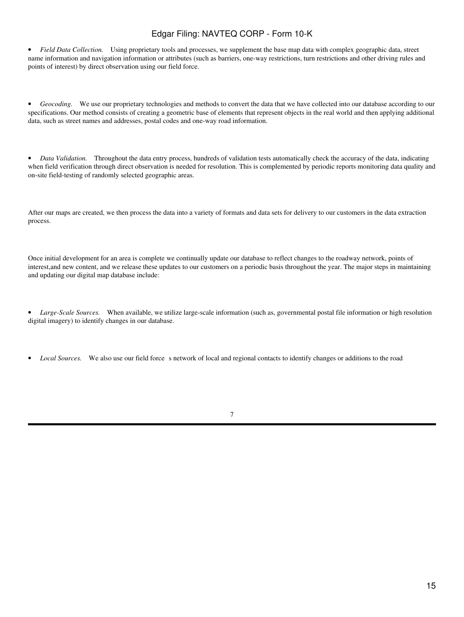• *Field Data Collection.* Using proprietary tools and processes, we supplement the base map data with complex geographic data, street name information and navigation information or attributes (such as barriers, one-way restrictions, turn restrictions and other driving rules and points of interest) by direct observation using our field force.

• Geocoding. We use our proprietary technologies and methods to convert the data that we have collected into our database according to our specifications. Our method consists of creating a geometric base of elements that represent objects in the real world and then applying additional data, such as street names and addresses, postal codes and one-way road information.

• *Data Validation.* Throughout the data entry process, hundreds of validation tests automatically check the accuracy of the data, indicating when field verification through direct observation is needed for resolution. This is complemented by periodic reports monitoring data quality and on-site field-testing of randomly selected geographic areas.

After our maps are created, we then process the data into a variety of formats and data sets for delivery to our customers in the data extraction process.

Once initial development for an area is complete we continually update our database to reflect changes to the roadway network, points of interest,and new content, and we release these updates to our customers on a periodic basis throughout the year. The major steps in maintaining and updating our digital map database include:

• *Large-Scale Sources.* When available, we utilize large-scale information (such as, governmental postal file information or high resolution digital imagery) to identify changes in our database.

*Local Sources.* We also use our field force s network of local and regional contacts to identify changes or additions to the road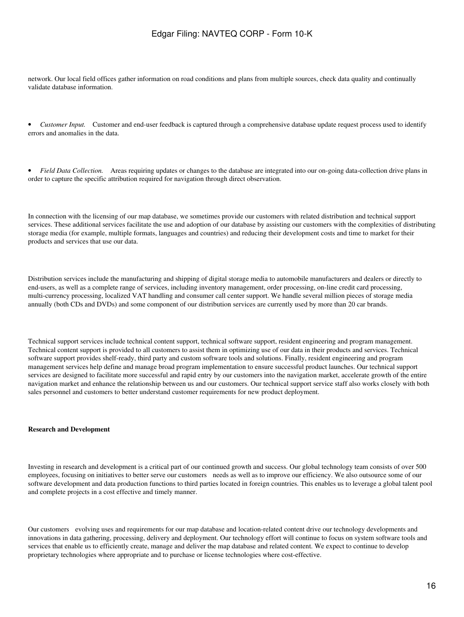network. Our local field offices gather information on road conditions and plans from multiple sources, check data quality and continually validate database information.

• *Customer Input.* Customer and end-user feedback is captured through a comprehensive database update request process used to identify errors and anomalies in the data.

• *Field Data Collection.* Areas requiring updates or changes to the database are integrated into our on-going data-collection drive plans in order to capture the specific attribution required for navigation through direct observation.

In connection with the licensing of our map database, we sometimes provide our customers with related distribution and technical support services. These additional services facilitate the use and adoption of our database by assisting our customers with the complexities of distributing storage media (for example, multiple formats, languages and countries) and reducing their development costs and time to market for their products and services that use our data.

Distribution services include the manufacturing and shipping of digital storage media to automobile manufacturers and dealers or directly to end-users, as well as a complete range of services, including inventory management, order processing, on-line credit card processing, multi-currency processing, localized VAT handling and consumer call center support. We handle several million pieces of storage media annually (both CDs and DVDs) and some component of our distribution services are currently used by more than 20 car brands.

Technical support services include technical content support, technical software support, resident engineering and program management. Technical content support is provided to all customers to assist them in optimizing use of our data in their products and services. Technical software support provides shelf-ready, third party and custom software tools and solutions. Finally, resident engineering and program management services help define and manage broad program implementation to ensure successful product launches. Our technical support services are designed to facilitate more successful and rapid entry by our customers into the navigation market, accelerate growth of the entire navigation market and enhance the relationship between us and our customers. Our technical support service staff also works closely with both sales personnel and customers to better understand customer requirements for new product deployment.

#### **Research and Development**

Investing in research and development is a critical part of our continued growth and success. Our global technology team consists of over 500 employees, focusing on initiatives to better serve our customers needs as well as to improve our efficiency. We also outsource some of our software development and data production functions to third parties located in foreign countries. This enables us to leverage a global talent pool and complete projects in a cost effective and timely manner.

Our customers evolving uses and requirements for our map database and location-related content drive our technology developments and innovations in data gathering, processing, delivery and deployment. Our technology effort will continue to focus on system software tools and services that enable us to efficiently create, manage and deliver the map database and related content. We expect to continue to develop proprietary technologies where appropriate and to purchase or license technologies where cost-effective.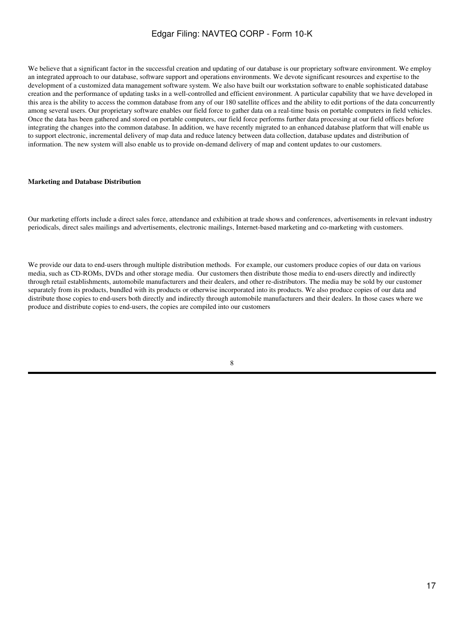We believe that a significant factor in the successful creation and updating of our database is our proprietary software environment. We employ an integrated approach to our database, software support and operations environments. We devote significant resources and expertise to the development of a customized data management software system. We also have built our workstation software to enable sophisticated database creation and the performance of updating tasks in a well-controlled and efficient environment. A particular capability that we have developed in this area is the ability to access the common database from any of our 180 satellite offices and the ability to edit portions of the data concurrently among several users. Our proprietary software enables our field force to gather data on a real-time basis on portable computers in field vehicles. Once the data has been gathered and stored on portable computers, our field force performs further data processing at our field offices before integrating the changes into the common database. In addition, we have recently migrated to an enhanced database platform that will enable us to support electronic, incremental delivery of map data and reduce latency between data collection, database updates and distribution of information. The new system will also enable us to provide on-demand delivery of map and content updates to our customers.

#### **Marketing and Database Distribution**

Our marketing efforts include a direct sales force, attendance and exhibition at trade shows and conferences, advertisements in relevant industry periodicals, direct sales mailings and advertisements, electronic mailings, Internet-based marketing and co-marketing with customers.

We provide our data to end-users through multiple distribution methods. For example, our customers produce copies of our data on various media, such as CD-ROMs, DVDs and other storage media. Our customers then distribute those media to end-users directly and indirectly through retail establishments, automobile manufacturers and their dealers, and other re-distributors. The media may be sold by our customer separately from its products, bundled with its products or otherwise incorporated into its products. We also produce copies of our data and distribute those copies to end-users both directly and indirectly through automobile manufacturers and their dealers. In those cases where we produce and distribute copies to end-users, the copies are compiled into our customers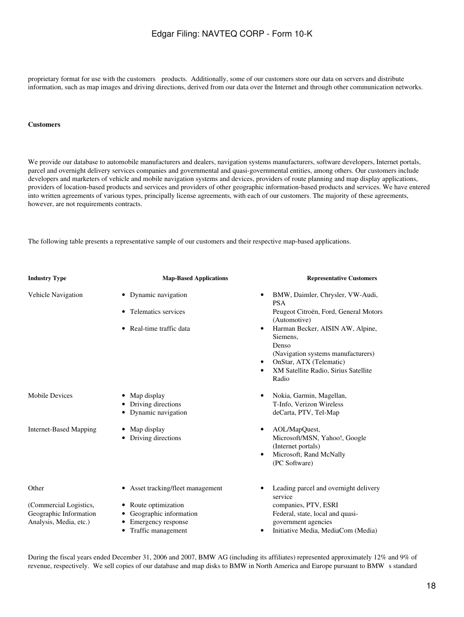proprietary format for use with the customers products. Additionally, some of our customers store our data on servers and distribute information, such as map images and driving directions, derived from our data over the Internet and through other communication networks.

#### **Customers**

We provide our database to automobile manufacturers and dealers, navigation systems manufacturers, software developers, Internet portals, parcel and overnight delivery services companies and governmental and quasi-governmental entities, among others. Our customers include developers and marketers of vehicle and mobile navigation systems and devices, providers of route planning and map display applications, providers of location-based products and services and providers of other geographic information-based products and services. We have entered into written agreements of various types, principally license agreements, with each of our customers. The majority of these agreements, however, are not requirements contracts.

The following table presents a representative sample of our customers and their respective map-based applications.

| <b>Industry Type</b>                                                                | <b>Map-Based Applications</b>                                                                                                                 | <b>Representative Customers</b>                                                                                                                                                                                                                                                                                                |
|-------------------------------------------------------------------------------------|-----------------------------------------------------------------------------------------------------------------------------------------------|--------------------------------------------------------------------------------------------------------------------------------------------------------------------------------------------------------------------------------------------------------------------------------------------------------------------------------|
| <b>Vehicle Navigation</b>                                                           | • Dynamic navigation<br>Telematics services<br>$\bullet$<br>Real-time traffic data<br>$\bullet$                                               | BMW, Daimler, Chrysler, VW-Audi,<br>$\bullet$<br><b>PSA</b><br>Peugeot Citroën, Ford, General Motors<br>(Automotive)<br>Harman Becker, AISIN AW, Alpine,<br>$\bullet$<br>Siemens,<br>Denso<br>(Navigation systems manufacturers)<br>OnStar, ATX (Telematic)<br>٠<br>XM Satellite Radio, Sirius Satellite<br>$\bullet$<br>Radio |
| <b>Mobile Devices</b>                                                               | Map display<br>$\bullet$<br>Driving directions<br>Dynamic navigation<br>٠                                                                     | Nokia, Garmin, Magellan,<br>$\bullet$<br>T-Info, Verizon Wireless<br>deCarta, PTV, Tel-Map                                                                                                                                                                                                                                     |
| <b>Internet-Based Mapping</b>                                                       | Map display<br>٠<br>Driving directions                                                                                                        | AOL/MapQuest,<br>٠<br>Microsoft/MSN, Yahoo!, Google<br>(Internet portals)<br>Microsoft, Rand McNally<br>٠<br>(PC Software)                                                                                                                                                                                                     |
| Other<br>(Commercial Logistics,<br>Geographic Information<br>Analysis, Media, etc.) | Asset tracking/fleet management<br>Route optimization<br>٠<br>Geographic information<br>Emergency response<br>Traffic management<br>$\bullet$ | Leading parcel and overnight delivery<br>service<br>companies, PTV, ESRI<br>Federal, state, local and quasi-<br>government agencies<br>Initiative Media, MediaCom (Media)<br>٠                                                                                                                                                 |

During the fiscal years ended December 31, 2006 and 2007, BMW AG (including its affiliates) represented approximately 12% and 9% of revenue, respectively. We sell copies of our database and map disks to BMW in North America and Europe pursuant to BMW s standard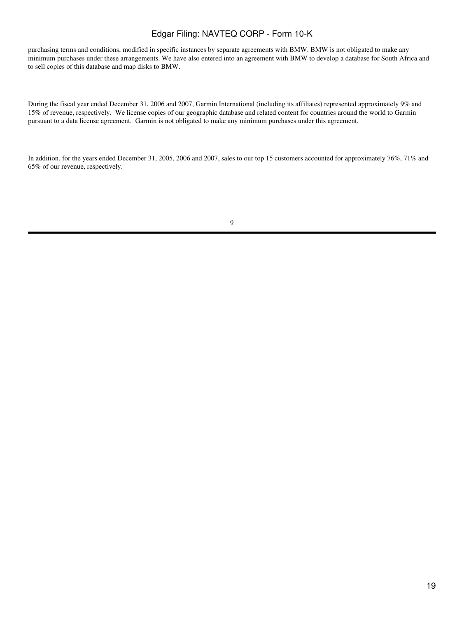purchasing terms and conditions, modified in specific instances by separate agreements with BMW. BMW is not obligated to make any minimum purchases under these arrangements. We have also entered into an agreement with BMW to develop a database for South Africa and to sell copies of this database and map disks to BMW.

During the fiscal year ended December 31, 2006 and 2007, Garmin International (including its affiliates) represented approximately 9% and 15% of revenue, respectively. We license copies of our geographic database and related content for countries around the world to Garmin pursuant to a data license agreement. Garmin is not obligated to make any minimum purchases under this agreement.

In addition, for the years ended December 31, 2005, 2006 and 2007, sales to our top 15 customers accounted for approximately 76%, 71% and 65% of our revenue, respectively.

| M.<br>٦     |
|-------------|
| S<br>I<br>ł |
| ۰,<br>٠     |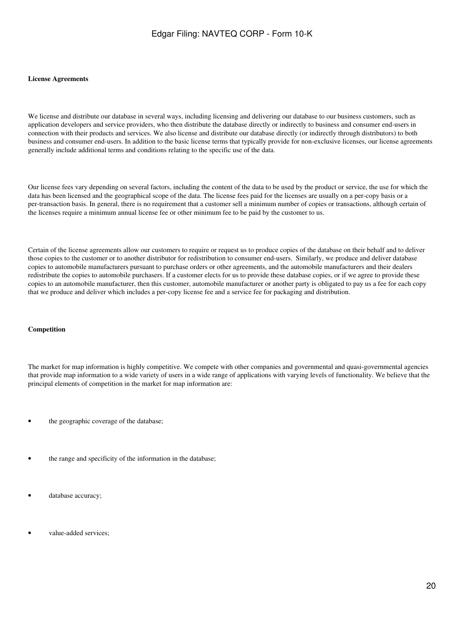#### **License Agreements**

We license and distribute our database in several ways, including licensing and delivering our database to our business customers, such as application developers and service providers, who then distribute the database directly or indirectly to business and consumer end-users in connection with their products and services. We also license and distribute our database directly (or indirectly through distributors) to both business and consumer end-users. In addition to the basic license terms that typically provide for non-exclusive licenses, our license agreements generally include additional terms and conditions relating to the specific use of the data.

Our license fees vary depending on several factors, including the content of the data to be used by the product or service, the use for which the data has been licensed and the geographical scope of the data. The license fees paid for the licenses are usually on a per-copy basis or a per-transaction basis. In general, there is no requirement that a customer sell a minimum number of copies or transactions, although certain of the licenses require a minimum annual license fee or other minimum fee to be paid by the customer to us.

Certain of the license agreements allow our customers to require or request us to produce copies of the database on their behalf and to deliver those copies to the customer or to another distributor for redistribution to consumer end-users. Similarly, we produce and deliver database copies to automobile manufacturers pursuant to purchase orders or other agreements, and the automobile manufacturers and their dealers redistribute the copies to automobile purchasers. If a customer elects for us to provide these database copies, or if we agree to provide these copies to an automobile manufacturer, then this customer, automobile manufacturer or another party is obligated to pay us a fee for each copy that we produce and deliver which includes a per-copy license fee and a service fee for packaging and distribution.

#### **Competition**

The market for map information is highly competitive. We compete with other companies and governmental and quasi-governmental agencies that provide map information to a wide variety of users in a wide range of applications with varying levels of functionality. We believe that the principal elements of competition in the market for map information are:

- the geographic coverage of the database;
- the range and specificity of the information in the database;
- database accuracy;
- value-added services;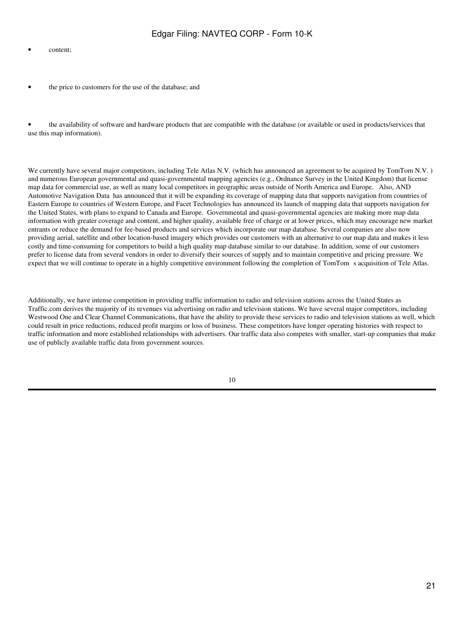- content;
- the price to customers for the use of the database; and

• the availability of software and hardware products that are compatible with the database (or available or used in products/services that use this map information).

We currently have several major competitors, including Tele Atlas N.V. (which has announced an agreement to be acquired by TomTom N.V.) and numerous European governmental and quasi-governmental mapping agencies (e.g., Ordnance Survey in the United Kingdom) that license map data for commercial use, as well as many local competitors in geographic areas outside of North America and Europe. Also, AND Automotive Navigation Data has announced that it will be expanding its coverage of mapping data that supports navigation from countries of Eastern Europe to countries of Western Europe, and Facet Technologies has announced its launch of mapping data that supports navigation for the United States, with plans to expand to Canada and Europe. Governmental and quasi-governmental agencies are making more map data information with greater coverage and content, and higher quality, available free of charge or at lower prices, which may encourage new market entrants or reduce the demand for fee-based products and services which incorporate our map database. Several companies are also now providing aerial, satellite and other location-based imagery which provides our customers with an alternative to our map data and makes it less costly and time-consuming for competitors to build a high quality map database similar to our database. In addition, some of our customers prefer to license data from several vendors in order to diversify their sources of supply and to maintain competitive and pricing pressure. We expect that we will continue to operate in a highly competitive environment following the completion of TomTom s acquisition of Tele Atlas.

Additionally, we have intense competition in providing traffic information to radio and television stations across the United States as Traffic.com derives the majority of its revenues via advertising on radio and television stations. We have several major competitors, including Westwood One and Clear Channel Communications, that have the ability to provide these services to radio and television stations as well, which could result in price reductions, reduced profit margins or loss of business. These competitors have longer operating histories with respect to traffic information and more established relationships with advertisers. Our traffic data also competes with smaller, start-up companies that make use of publicly available traffic data from government sources.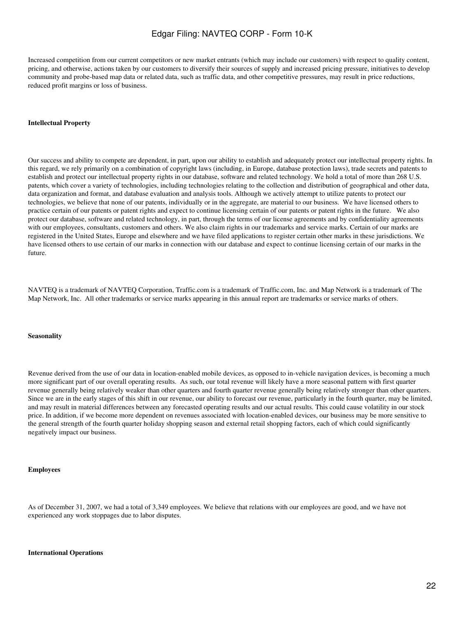Increased competition from our current competitors or new market entrants (which may include our customers) with respect to quality content, pricing, and otherwise, actions taken by our customers to diversify their sources of supply and increased pricing pressure, initiatives to develop community and probe-based map data or related data, such as traffic data, and other competitive pressures, may result in price reductions, reduced profit margins or loss of business.

#### **Intellectual Property**

Our success and ability to compete are dependent, in part, upon our ability to establish and adequately protect our intellectual property rights. In this regard, we rely primarily on a combination of copyright laws (including, in Europe, database protection laws), trade secrets and patents to establish and protect our intellectual property rights in our database, software and related technology. We hold a total of more than 268 U.S. patents, which cover a variety of technologies, including technologies relating to the collection and distribution of geographical and other data, data organization and format, and database evaluation and analysis tools. Although we actively attempt to utilize patents to protect our technologies, we believe that none of our patents, individually or in the aggregate, are material to our business. We have licensed others to practice certain of our patents or patent rights and expect to continue licensing certain of our patents or patent rights in the future. We also protect our database, software and related technology, in part, through the terms of our license agreements and by confidentiality agreements with our employees, consultants, customers and others. We also claim rights in our trademarks and service marks. Certain of our marks are registered in the United States, Europe and elsewhere and we have filed applications to register certain other marks in these jurisdictions. We have licensed others to use certain of our marks in connection with our database and expect to continue licensing certain of our marks in the future.

NAVTEQ is a trademark of NAVTEQ Corporation, Traffic.com is a trademark of Traffic.com, Inc. and Map Network is a trademark of The Map Network, Inc. All other trademarks or service marks appearing in this annual report are trademarks or service marks of others.

#### **Seasonality**

Revenue derived from the use of our data in location-enabled mobile devices, as opposed to in-vehicle navigation devices, is becoming a much more significant part of our overall operating results. As such, our total revenue will likely have a more seasonal pattern with first quarter revenue generally being relatively weaker than other quarters and fourth quarter revenue generally being relatively stronger than other quarters. Since we are in the early stages of this shift in our revenue, our ability to forecast our revenue, particularly in the fourth quarter, may be limited, and may result in material differences between any forecasted operating results and our actual results. This could cause volatility in our stock price. In addition, if we become more dependent on revenues associated with location-enabled devices, our business may be more sensitive to the general strength of the fourth quarter holiday shopping season and external retail shopping factors, each of which could significantly negatively impact our business.

#### **Employees**

As of December 31, 2007, we had a total of 3,349 employees. We believe that relations with our employees are good, and we have not experienced any work stoppages due to labor disputes.

#### **International Operations**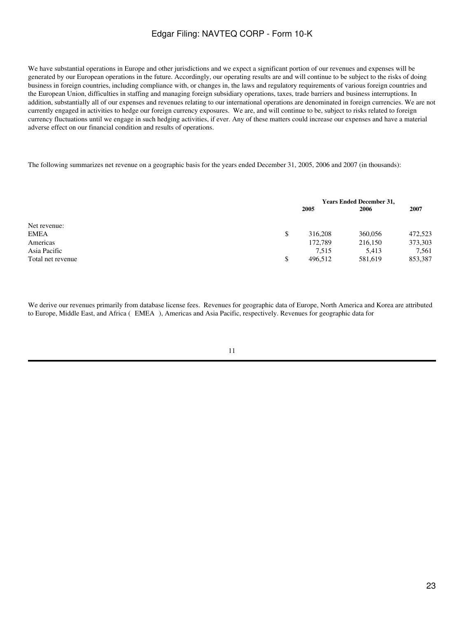We have substantial operations in Europe and other jurisdictions and we expect a significant portion of our revenues and expenses will be generated by our European operations in the future. Accordingly, our operating results are and will continue to be subject to the risks of doing business in foreign countries, including compliance with, or changes in, the laws and regulatory requirements of various foreign countries and the European Union, difficulties in staffing and managing foreign subsidiary operations, taxes, trade barriers and business interruptions. In addition, substantially all of our expenses and revenues relating to our international operations are denominated in foreign currencies. We are not currently engaged in activities to hedge our foreign currency exposures. We are, and will continue to be, subject to risks related to foreign currency fluctuations until we engage in such hedging activities, if ever. Any of these matters could increase our expenses and have a material adverse effect on our financial condition and results of operations.

The following summarizes net revenue on a geographic basis for the years ended December 31, 2005, 2006 and 2007 (in thousands):

|                   | <b>Years Ended December 31,</b> |         |         |
|-------------------|---------------------------------|---------|---------|
|                   | 2005                            | 2006    | 2007    |
| Net revenue:      |                                 |         |         |
| <b>EMEA</b>       | \$<br>316,208                   | 360,056 | 472,523 |
| Americas          | 172,789                         | 216,150 | 373,303 |
| Asia Pacific      | 7.515                           | 5,413   | 7,561   |
| Total net revenue | \$<br>496,512                   | 581,619 | 853,387 |

We derive our revenues primarily from database license fees. Revenues for geographic data of Europe, North America and Korea are attributed to Europe, Middle East, and Africa (EMEA), Americas and Asia Pacific, respectively. Revenues for geographic data for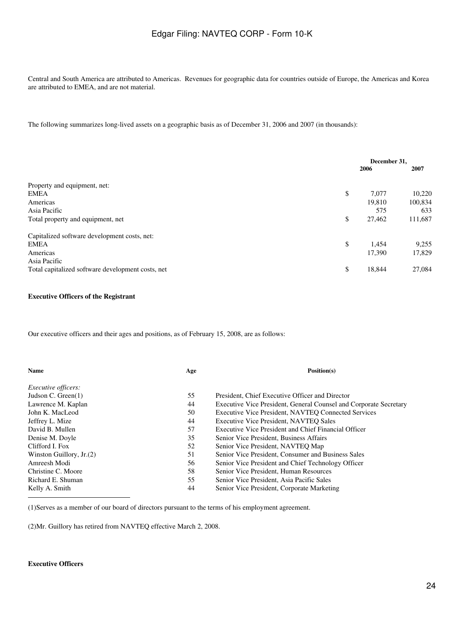Central and South America are attributed to Americas. Revenues for geographic data for countries outside of Europe, the Americas and Korea are attributed to EMEA, and are not material.

The following summarizes long-lived assets on a geographic basis as of December 31, 2006 and 2007 (in thousands):

|                                                   | December 31,<br>2006<br>2007 |         |
|---------------------------------------------------|------------------------------|---------|
| Property and equipment, net:                      |                              |         |
| <b>EMEA</b>                                       | \$<br>7,077                  | 10,220  |
| Americas                                          | 19,810                       | 100,834 |
| Asia Pacific                                      | 575                          | 633     |
| Total property and equipment, net                 | \$<br>27,462                 | 111,687 |
| Capitalized software development costs, net:      |                              |         |
| <b>EMEA</b>                                       | \$<br>1,454                  | 9,255   |
| Americas                                          | 17,390                       | 17,829  |
| Asia Pacific                                      |                              |         |
| Total capitalized software development costs, net | \$<br>18,844                 | 27,084  |

### **Executive Officers of the Registrant**

Our executive officers and their ages and positions, as of February 15, 2008, are as follows:

| <b>Name</b><br>Age              | Position(s)                                                       |
|---------------------------------|-------------------------------------------------------------------|
| <i>Executive officers:</i>      |                                                                   |
| 55<br>Judson C. Green $(1)$     | President, Chief Executive Officer and Director                   |
| Lawrence M. Kaplan<br>44        | Executive Vice President, General Counsel and Corporate Secretary |
| John K. MacLeod<br>50           | Executive Vice President, NAVTEO Connected Services               |
| Jeffrey L. Mize<br>44           | Executive Vice President, NAVTEO Sales                            |
| 57<br>David B. Mullen           | Executive Vice President and Chief Financial Officer              |
| 35<br>Denise M. Doyle           | Senior Vice President, Business Affairs                           |
| Clifford I. Fox<br>52           | Senior Vice President, NAVTEO Map                                 |
| 51<br>Winston Guillory, $Jr(2)$ | Senior Vice President, Consumer and Business Sales                |
| Amreesh Modi<br>56              | Senior Vice President and Chief Technology Officer                |
| Christine C. Moore<br>58        | Senior Vice President, Human Resources                            |
| 55<br>Richard E. Shuman         | Senior Vice President, Asia Pacific Sales                         |
| Kelly A. Smith<br>44            | Senior Vice President, Corporate Marketing                        |

(1)Serves as a member of our board of directors pursuant to the terms of his employment agreement.

(2)Mr. Guillory has retired from NAVTEQ effective March 2, 2008.

### **Executive Officers**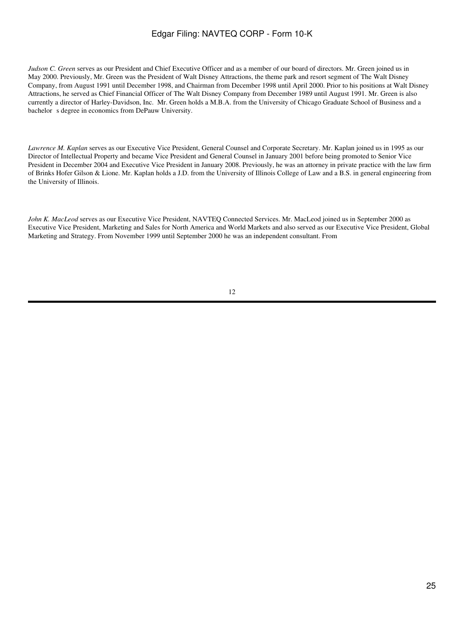*Judson C. Green* serves as our President and Chief Executive Officer and as a member of our board of directors. Mr. Green joined us in May 2000. Previously, Mr. Green was the President of Walt Disney Attractions, the theme park and resort segment of The Walt Disney Company, from August 1991 until December 1998, and Chairman from December 1998 until April 2000. Prior to his positions at Walt Disney Attractions, he served as Chief Financial Officer of The Walt Disney Company from December 1989 until August 1991. Mr. Green is also currently a director of Harley-Davidson, Inc. Mr. Green holds a M.B.A. from the University of Chicago Graduate School of Business and a bachelor s degree in economics from DePauw University.

*Lawrence M. Kaplan* serves as our Executive Vice President, General Counsel and Corporate Secretary. Mr. Kaplan joined us in 1995 as our Director of Intellectual Property and became Vice President and General Counsel in January 2001 before being promoted to Senior Vice President in December 2004 and Executive Vice President in January 2008. Previously, he was an attorney in private practice with the law firm of Brinks Hofer Gilson & Lione. Mr. Kaplan holds a J.D. from the University of Illinois College of Law and a B.S. in general engineering from the University of Illinois.

*John K. MacLeod* serves as our Executive Vice President, NAVTEQ Connected Services. Mr. MacLeod joined us in September 2000 as Executive Vice President, Marketing and Sales for North America and World Markets and also served as our Executive Vice President, Global Marketing and Strategy. From November 1999 until September 2000 he was an independent consultant. From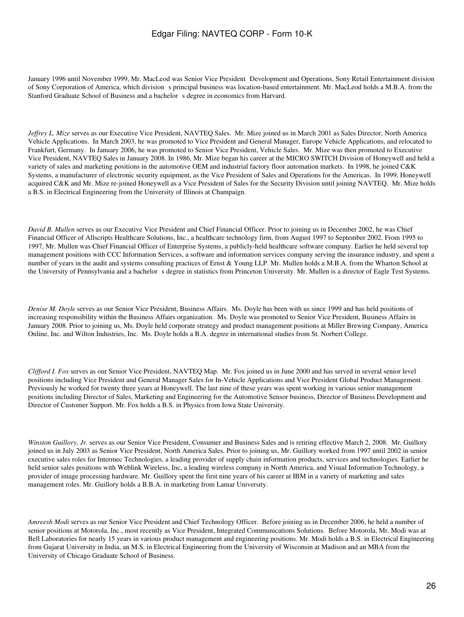January 1996 until November 1999, Mr. MacLeod was Senior Vice President Development and Operations, Sony Retail Entertainment division of Sony Corporation of America, which division s principal business was location-based entertainment. Mr. MacLeod holds a M.B.A. from the Stanford Graduate School of Business and a bachelor s degree in economics from Harvard.

*Jeffrey L. Mize* serves as our Executive Vice President, NAVTEQ Sales. Mr. Mize joined us in March 2001 as Sales Director, North America Vehicle Applications. In March 2003, he was promoted to Vice President and General Manager, Europe Vehicle Applications, and relocated to Frankfurt, Germany. In January 2006, he was promoted to Senior Vice President, Vehicle Sales. Mr. Mize was then promoted to Executive Vice President, NAVTEQ Sales in January 2008. In 1986, Mr. Mize began his career at the MICRO SWITCH Division of Honeywell and held a variety of sales and marketing positions in the automotive OEM and industrial factory floor automation markets. In 1998, he joined C&K Systems, a manufacturer of electronic security equipment, as the Vice President of Sales and Operations for the Americas. In 1999, Honeywell acquired C&K and Mr. Mize re-joined Honeywell as a Vice President of Sales for the Security Division until joining NAVTEQ. Mr. Mize holds a B.S. in Electrical Engineering from the University of Illinois at Champaign.

*David B. Mullen* serves as our Executive Vice President and Chief Financial Officer. Prior to joining us in December 2002, he was Chief Financial Officer of Allscripts Healthcare Solutions, Inc., a healthcare technology firm, from August 1997 to September 2002. From 1995 to 1997, Mr. Mullen was Chief Financial Officer of Enterprise Systems, a publicly-held healthcare software company. Earlier he held several top management positions with CCC Information Services, a software and information services company serving the insurance industry, and spent a number of years in the audit and systems consulting practices of Ernst & Young LLP. Mr. Mullen holds a M.B.A. from the Wharton School at the University of Pennsylvania and a bachelor s degree in statistics from Princeton University. Mr. Mullen is a director of Eagle Test Systems.

*Denise M. Doyle* serves as our Senior Vice President, Business Affairs. Ms. Doyle has been with us since 1999 and has held positions of increasing responsibility within the Business Affairs organization. Ms. Doyle was promoted to Senior Vice President, Business Affairs in January 2008. Prior to joining us, Ms. Doyle held corporate strategy and product management positions at Miller Brewing Company, America Online, Inc. and Wilton Industries, Inc. Ms. Doyle holds a B.A. degree in international studies from St. Norbert College.

*Clifford I. Fox* serves as our Senior Vice President, NAVTEQ Map. Mr. Fox joined us in June 2000 and has served in several senior level positions including Vice President and General Manager Sales for In-Vehicle Applications and Vice President Global Product Management. Previously he worked for twenty three years at Honeywell. The last nine of these years was spent working in various senior management positions including Director of Sales, Marketing and Engineering for the Automotive Sensor business, Director of Business Development and Director of Customer Support. Mr. Fox holds a B.S. in Physics from Iowa State University.

*Winston Guillory, Jr.* serves as our Senior Vice President, Consumer and Business Sales and is retiring effective March 2, 2008. Mr. Guillory joined us in July 2003 as Senior Vice President, North America Sales. Prior to joining us, Mr. Guillory worked from 1997 until 2002 in senior executive sales roles for Intermec Technologies, a leading provider of supply chain information products, services and technologies. Earlier he held senior sales positions with Weblink Wireless, Inc, a leading wireless company in North America, and Visual Information Technology, a provider of image processing hardware. Mr. Guillory spent the first nine years of his career at IBM in a variety of marketing and sales management roles. Mr. Guillory holds a B.B.A. in marketing from Lamar University.

*Amreesh Modi* serves as our Senior Vice President and Chief Technology Officer. Before joining us in December 2006, he held a number of senior positions at Motorola, Inc., most recently as Vice President, Integrated Communications Solutions. Before Motorola, Mr. Modi was at Bell Laboratories for nearly 15 years in various product management and engineering positions. Mr. Modi holds a B.S. in Electrical Engineering from Gujarat University in India, an M.S. in Electrical Engineering from the University of Wisconsin at Madison and an MBA from the University of Chicago Graduate School of Business.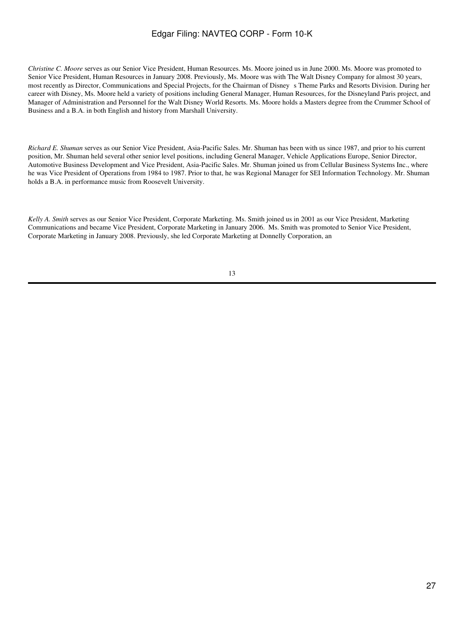*Christine C. Moore* serves as our Senior Vice President, Human Resources. Ms. Moore joined us in June 2000. Ms. Moore was promoted to Senior Vice President, Human Resources in January 2008. Previously, Ms. Moore was with The Walt Disney Company for almost 30 years, most recently as Director, Communications and Special Projects, for the Chairman of Disneys Theme Parks and Resorts Division. During her career with Disney, Ms. Moore held a variety of positions including General Manager, Human Resources, for the Disneyland Paris project, and Manager of Administration and Personnel for the Walt Disney World Resorts. Ms. Moore holds a Masters degree from the Crummer School of Business and a B.A. in both English and history from Marshall University.

*Richard E. Shuman* serves as our Senior Vice President, Asia-Pacific Sales. Mr. Shuman has been with us since 1987, and prior to his current position, Mr. Shuman held several other senior level positions, including General Manager, Vehicle Applications Europe, Senior Director, Automotive Business Development and Vice President, Asia-Pacific Sales. Mr. Shuman joined us from Cellular Business Systems Inc., where he was Vice President of Operations from 1984 to 1987. Prior to that, he was Regional Manager for SEI Information Technology. Mr. Shuman holds a B.A. in performance music from Roosevelt University.

*Kelly A. Smith* serves as our Senior Vice President, Corporate Marketing. Ms. Smith joined us in 2001 as our Vice President, Marketing Communications and became Vice President, Corporate Marketing in January 2006. Ms. Smith was promoted to Senior Vice President, Corporate Marketing in January 2008. Previously, she led Corporate Marketing at Donnelly Corporation, an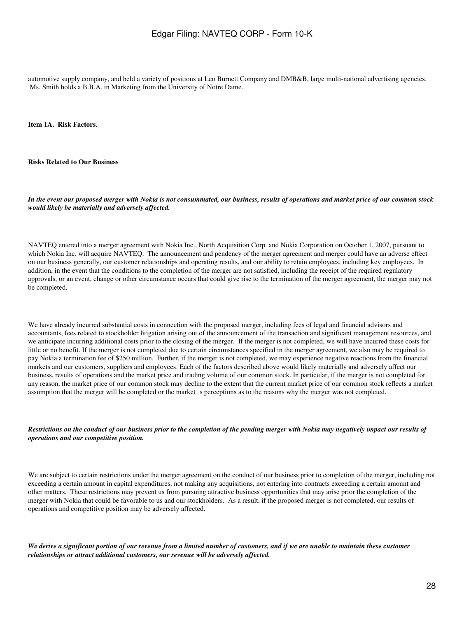automotive supply company, and held a variety of positions at Leo Burnett Company and DMB&B, large multi-national advertising agencies. Ms. Smith holds a B.B.A. in Marketing from the University of Notre Dame.

**Item 1A. Risk Factors**.

**Risks Related to Our Business**

*In the event our proposed merger with Nokia is not consummated, our business, results of operations and market price of our common stock would likely be materially and adversely affected.*

NAVTEQ entered into a merger agreement with Nokia Inc., North Acquisition Corp. and Nokia Corporation on October 1, 2007, pursuant to which Nokia Inc. will acquire NAVTEQ. The announcement and pendency of the merger agreement and merger could have an adverse effect on our business generally, our customer relationships and operating results, and our ability to retain employees, including key employees. In addition, in the event that the conditions to the completion of the merger are not satisfied, including the receipt of the required regulatory approvals, or an event, change or other circumstance occurs that could give rise to the termination of the merger agreement, the merger may not be completed.

We have already incurred substantial costs in connection with the proposed merger, including fees of legal and financial advisors and accountants, fees related to stockholder litigation arising out of the announcement of the transaction and significant management resources, and we anticipate incurring additional costs prior to the closing of the merger. If the merger is not completed, we will have incurred these costs for little or no benefit. If the merger is not completed due to certain circumstances specified in the merger agreement, we also may be required to pay Nokia a termination fee of \$250 million. Further, if the merger is not completed, we may experience negative reactions from the financial markets and our customers, suppliers and employees. Each of the factors described above would likely materially and adversely affect our business, results of operations and the market price and trading volume of our common stock. In particular, if the merger is not completed for any reason, the market price of our common stock may decline to the extent that the current market price of our common stock reflects a market assumption that the merger will be completed or the market s perceptions as to the reasons why the merger was not completed.

#### *Restrictions on the conduct of our business prior to the completion of the pending merger with Nokia may negatively impact our results of operations and our competitive position.*

We are subject to certain restrictions under the merger agreement on the conduct of our business prior to completion of the merger, including not exceeding a certain amount in capital expenditures, not making any acquisitions, not entering into contracts exceeding a certain amount and other matters. These restrictions may prevent us from pursuing attractive business opportunities that may arise prior the completion of the merger with Nokia that could be favorable to us and our stockholders. As a result, if the proposed merger is not completed, our results of operations and competitive position may be adversely affected.

*We derive a significant portion of our revenue from a limited number of customers, and if we are unable to maintain these customer relationships or attract additional customers, our revenue will be adversely affected.*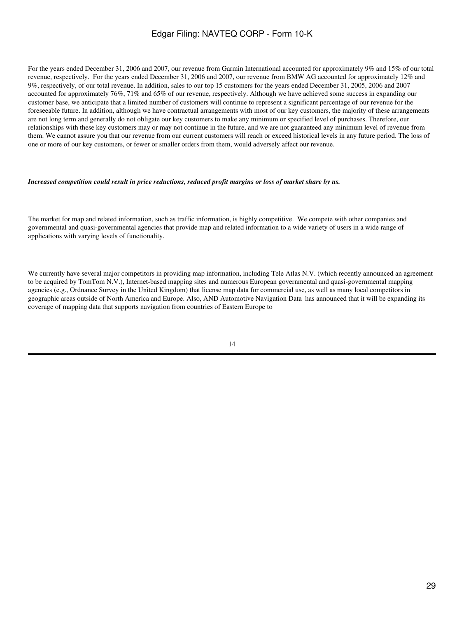For the years ended December 31, 2006 and 2007, our revenue from Garmin International accounted for approximately 9% and 15% of our total revenue, respectively. For the years ended December 31, 2006 and 2007, our revenue from BMW AG accounted for approximately 12% and 9%, respectively, of our total revenue. In addition, sales to our top 15 customers for the years ended December 31, 2005, 2006 and 2007 accounted for approximately 76%, 71% and 65% of our revenue, respectively. Although we have achieved some success in expanding our customer base, we anticipate that a limited number of customers will continue to represent a significant percentage of our revenue for the foreseeable future. In addition, although we have contractual arrangements with most of our key customers, the majority of these arrangements are not long term and generally do not obligate our key customers to make any minimum or specified level of purchases. Therefore, our relationships with these key customers may or may not continue in the future, and we are not guaranteed any minimum level of revenue from them. We cannot assure you that our revenue from our current customers will reach or exceed historical levels in any future period. The loss of one or more of our key customers, or fewer or smaller orders from them, would adversely affect our revenue.

#### *Increased competition could result in price reductions, reduced profit margins or loss of market share by us.*

The market for map and related information, such as traffic information, is highly competitive. We compete with other companies and governmental and quasi-governmental agencies that provide map and related information to a wide variety of users in a wide range of applications with varying levels of functionality.

We currently have several major competitors in providing map information, including Tele Atlas N.V. (which recently announced an agreement to be acquired by TomTom N.V.), Internet-based mapping sites and numerous European governmental and quasi-governmental mapping agencies (e.g., Ordnance Survey in the United Kingdom) that license map data for commercial use, as well as many local competitors in geographic areas outside of North America and Europe. Also, AND Automotive Navigation Data has announced that it will be expanding its coverage of mapping data that supports navigation from countries of Eastern Europe to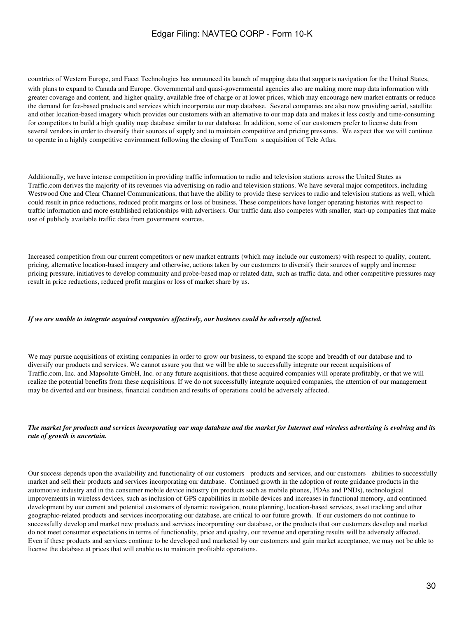countries of Western Europe, and Facet Technologies has announced its launch of mapping data that supports navigation for the United States, with plans to expand to Canada and Europe. Governmental and quasi-governmental agencies also are making more map data information with greater coverage and content, and higher quality, available free of charge or at lower prices, which may encourage new market entrants or reduce the demand for fee-based products and services which incorporate our map database. Several companies are also now providing aerial, satellite and other location-based imagery which provides our customers with an alternative to our map data and makes it less costly and time-consuming for competitors to build a high quality map database similar to our database. In addition, some of our customers prefer to license data from several vendors in order to diversify their sources of supply and to maintain competitive and pricing pressures. We expect that we will continue to operate in a highly competitive environment following the closing of TomTom s acquisition of Tele Atlas.

Additionally, we have intense competition in providing traffic information to radio and television stations across the United States as Traffic.com derives the majority of its revenues via advertising on radio and television stations. We have several major competitors, including Westwood One and Clear Channel Communications, that have the ability to provide these services to radio and television stations as well, which could result in price reductions, reduced profit margins or loss of business. These competitors have longer operating histories with respect to traffic information and more established relationships with advertisers. Our traffic data also competes with smaller, start-up companies that make use of publicly available traffic data from government sources.

Increased competition from our current competitors or new market entrants (which may include our customers) with respect to quality, content, pricing, alternative location-based imagery and otherwise, actions taken by our customers to diversify their sources of supply and increase pricing pressure, initiatives to develop community and probe-based map or related data, such as traffic data, and other competitive pressures may result in price reductions, reduced profit margins or loss of market share by us.

#### *If we are unable to integrate acquired companies effectively, our business could be adversely affected.*

We may pursue acquisitions of existing companies in order to grow our business, to expand the scope and breadth of our database and to diversify our products and services. We cannot assure you that we will be able to successfully integrate our recent acquisitions of Traffic.com, Inc. and Mapsolute GmbH, Inc. or any future acquisitions, that these acquired companies will operate profitably, or that we will realize the potential benefits from these acquisitions. If we do not successfully integrate acquired companies, the attention of our management may be diverted and our business, financial condition and results of operations could be adversely affected.

### *The market for products and services incorporating our map database and the market for Internet and wireless advertising is evolving and its rate of growth is uncertain.*

Our success depends upon the availability and functionality of our customers products and services, and our customers abilities to successfully market and sell their products and services incorporating our database. Continued growth in the adoption of route guidance products in the automotive industry and in the consumer mobile device industry (in products such as mobile phones, PDAs and PNDs), technological improvements in wireless devices, such as inclusion of GPS capabilities in mobile devices and increases in functional memory, and continued development by our current and potential customers of dynamic navigation, route planning, location-based services, asset tracking and other geographic-related products and services incorporating our database, are critical to our future growth. If our customers do not continue to successfully develop and market new products and services incorporating our database, or the products that our customers develop and market do not meet consumer expectations in terms of functionality, price and quality, our revenue and operating results will be adversely affected. Even if these products and services continue to be developed and marketed by our customers and gain market acceptance, we may not be able to license the database at prices that will enable us to maintain profitable operations.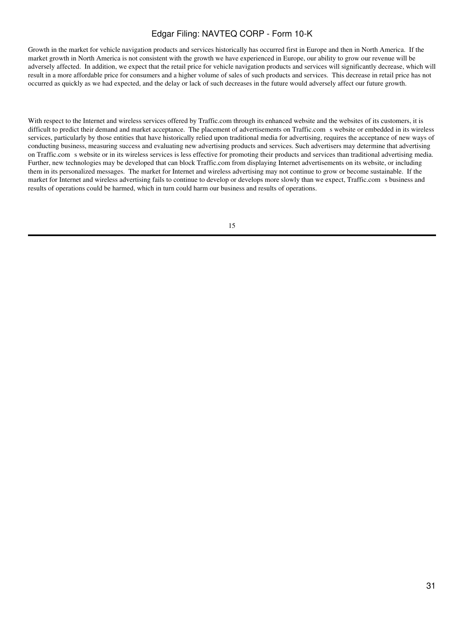Growth in the market for vehicle navigation products and services historically has occurred first in Europe and then in North America. If the market growth in North America is not consistent with the growth we have experienced in Europe, our ability to grow our revenue will be adversely affected. In addition, we expect that the retail price for vehicle navigation products and services will significantly decrease, which will result in a more affordable price for consumers and a higher volume of sales of such products and services. This decrease in retail price has not occurred as quickly as we had expected, and the delay or lack of such decreases in the future would adversely affect our future growth.

With respect to the Internet and wireless services offered by Traffic.com through its enhanced website and the websites of its customers, it is difficult to predict their demand and market acceptance. The placement of advertisements on Traffic.com s website or embedded in its wireless services, particularly by those entities that have historically relied upon traditional media for advertising, requires the acceptance of new ways of conducting business, measuring success and evaluating new advertising products and services. Such advertisers may determine that advertising on Traffic.coms website or in its wireless services is less effective for promoting their products and services than traditional advertising media. Further, new technologies may be developed that can block Traffic.com from displaying Internet advertisements on its website, or including them in its personalized messages. The market for Internet and wireless advertising may not continue to grow or become sustainable. If the market for Internet and wireless advertising fails to continue to develop or develops more slowly than we expect, Traffic.coms business and results of operations could be harmed, which in turn could harm our business and results of operations.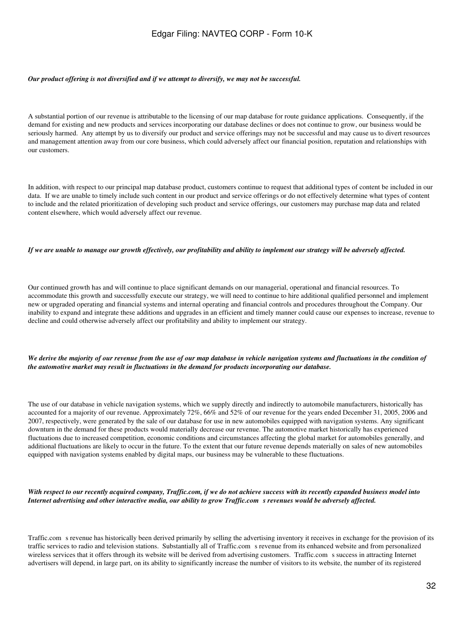#### *Our product offering is not diversified and if we attempt to diversify, we may not be successful.*

A substantial portion of our revenue is attributable to the licensing of our map database for route guidance applications. Consequently, if the demand for existing and new products and services incorporating our database declines or does not continue to grow, our business would be seriously harmed. Any attempt by us to diversify our product and service offerings may not be successful and may cause us to divert resources and management attention away from our core business, which could adversely affect our financial position, reputation and relationships with our customers.

In addition, with respect to our principal map database product, customers continue to request that additional types of content be included in our data. If we are unable to timely include such content in our product and service offerings or do not effectively determine what types of content to include and the related prioritization of developing such product and service offerings, our customers may purchase map data and related content elsewhere, which would adversely affect our revenue.

#### *If we are unable to manage our growth effectively, our profitability and ability to implement our strategy will be adversely affected.*

Our continued growth has and will continue to place significant demands on our managerial, operational and financial resources. To accommodate this growth and successfully execute our strategy, we will need to continue to hire additional qualified personnel and implement new or upgraded operating and financial systems and internal operating and financial controls and procedures throughout the Company. Our inability to expand and integrate these additions and upgrades in an efficient and timely manner could cause our expenses to increase, revenue to decline and could otherwise adversely affect our profitability and ability to implement our strategy.

*We derive the majority of our revenue from the use of our map database in vehicle navigation systems and fluctuations in the condition of the automotive market may result in fluctuations in the demand for products incorporating our database.*

The use of our database in vehicle navigation systems, which we supply directly and indirectly to automobile manufacturers, historically has accounted for a majority of our revenue. Approximately 72%, 66% and 52% of our revenue for the years ended December 31, 2005, 2006 and 2007, respectively, were generated by the sale of our database for use in new automobiles equipped with navigation systems. Any significant downturn in the demand for these products would materially decrease our revenue. The automotive market historically has experienced fluctuations due to increased competition, economic conditions and circumstances affecting the global market for automobiles generally, and additional fluctuations are likely to occur in the future. To the extent that our future revenue depends materially on sales of new automobiles equipped with navigation systems enabled by digital maps, our business may be vulnerable to these fluctuations.

*With respect to our recently acquired company, Traffic.com, if we do not achieve success with its recently expanded business model into* Internet advertising and other interactive media, our ability to grow Traffic.com s revenues would be adversely affected.

Traffic.com s revenue has historically been derived primarily by selling the advertising inventory it receives in exchange for the provision of its traffic services to radio and television stations. Substantially all of Traffic.coms revenue from its enhanced website and from personalized wireless services that it offers through its website will be derived from advertising customers. Traffic.com success in attracting Internet advertisers will depend, in large part, on its ability to significantly increase the number of visitors to its website, the number of its registered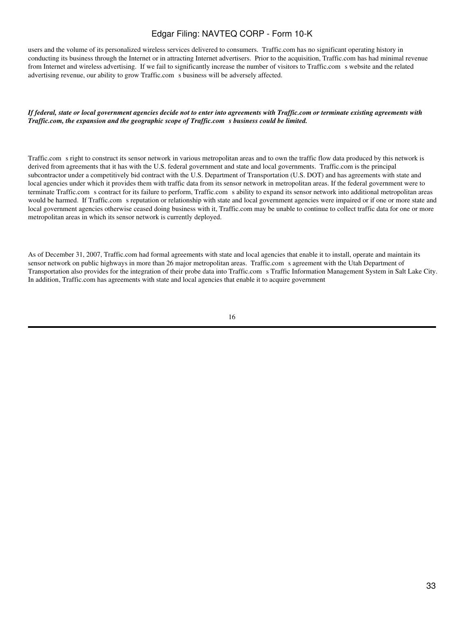users and the volume of its personalized wireless services delivered to consumers. Traffic.com has no significant operating history in conducting its business through the Internet or in attracting Internet advertisers. Prior to the acquisition, Traffic.com has had minimal revenue from Internet and wireless advertising. If we fail to significantly increase the number of visitors to Traffic.com s website and the related advertising revenue, our ability to grow Traffic.coms business will be adversely affected.

*If federal, state or local government agencies decide not to enter into agreements with Traffic.com or terminate existing agreements with Traffic.com, the expansion and the geographic scope of Traffic.com s business could be limited.* 

Traffic.coms right to construct its sensor network in various metropolitan areas and to own the traffic flow data produced by this network is derived from agreements that it has with the U.S. federal government and state and local governments. Traffic.com is the principal subcontractor under a competitively bid contract with the U.S. Department of Transportation (U.S. DOT) and has agreements with state and local agencies under which it provides them with traffic data from its sensor network in metropolitan areas. If the federal government were to terminate Traffic.coms contract for its failure to perform, Traffic.coms ability to expand its sensor network into additional metropolitan areas would be harmed. If Traffic.com s reputation or relationship with state and local government agencies were impaired or if one or more state and local government agencies otherwise ceased doing business with it, Traffic.com may be unable to continue to collect traffic data for one or more metropolitan areas in which its sensor network is currently deployed.

As of December 31, 2007, Traffic.com had formal agreements with state and local agencies that enable it to install, operate and maintain its sensor network on public highways in more than 26 major metropolitan areas. Traffic.coms agreement with the Utah Department of Transportation also provides for the integration of their probe data into Traffic.com s Traffic Information Management System in Salt Lake City. In addition, Traffic.com has agreements with state and local agencies that enable it to acquire government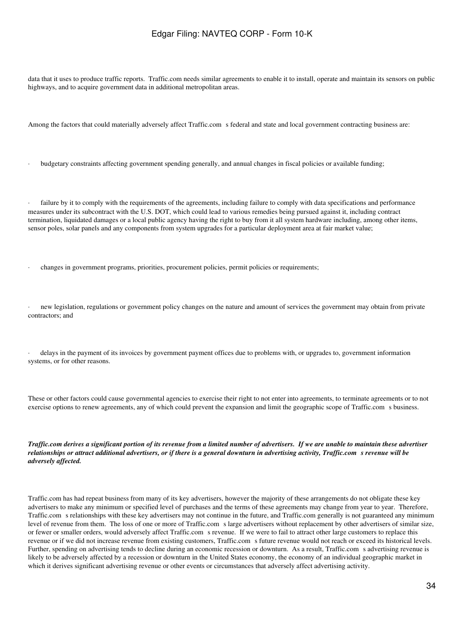data that it uses to produce traffic reports. Traffic.com needs similar agreements to enable it to install, operate and maintain its sensors on public highways, and to acquire government data in additional metropolitan areas.

Among the factors that could materially adversely affect Traffic.com s federal and state and local government contracting business are:

· budgetary constraints affecting government spending generally, and annual changes in fiscal policies or available funding;

· failure by it to comply with the requirements of the agreements, including failure to comply with data specifications and performance measures under its subcontract with the U.S. DOT, which could lead to various remedies being pursued against it, including contract termination, liquidated damages or a local public agency having the right to buy from it all system hardware including, among other items, sensor poles, solar panels and any components from system upgrades for a particular deployment area at fair market value;

· changes in government programs, priorities, procurement policies, permit policies or requirements;

new legislation, regulations or government policy changes on the nature and amount of services the government may obtain from private contractors; and

delays in the payment of its invoices by government payment offices due to problems with, or upgrades to, government information systems, or for other reasons.

These or other factors could cause governmental agencies to exercise their right to not enter into agreements, to terminate agreements or to not exercise options to renew agreements, any of which could prevent the expansion and limit the geographic scope of Traffic.com s business.

*Traffic.com derives a significant portion of its revenue from a limited number of advertisers. If we are unable to maintain these advertiser relationships or attract additional advertisers, or if there is a general downturn in advertising activity, Traffic.coms revenue will be adversely affected.*

Traffic.com has had repeat business from many of its key advertisers, however the majority of these arrangements do not obligate these key advertisers to make any minimum or specified level of purchases and the terms of these agreements may change from year to year. Therefore, Traffic.com s relationships with these key advertisers may not continue in the future, and Traffic.com generally is not guaranteed any minimum level of revenue from them. The loss of one or more of Traffic.coms large advertisers without replacement by other advertisers of similar size, or fewer or smaller orders, would adversely affect Traffic.coms revenue. If we were to fail to attract other large customers to replace this revenue or if we did not increase revenue from existing customers, Traffic.com s future revenue would not reach or exceed its historical levels. Further, spending on advertising tends to decline during an economic recession or downturn. As a result, Traffic.com s advertising revenue is likely to be adversely affected by a recession or downturn in the United States economy, the economy of an individual geographic market in which it derives significant advertising revenue or other events or circumstances that adversely affect advertising activity.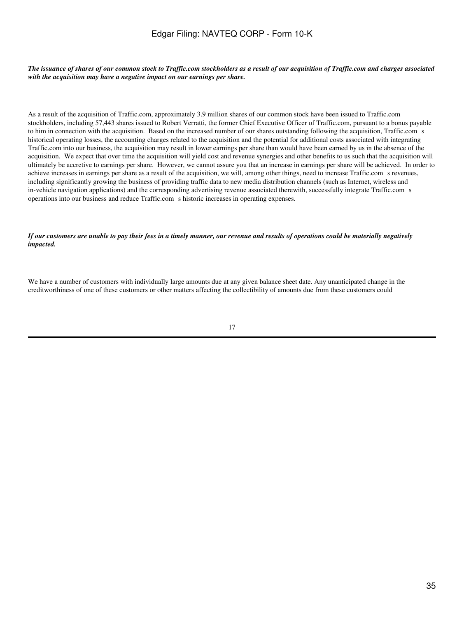#### *The issuance of shares of our common stock to Traffic.com stockholders as a result of our acquisition of Traffic.com and charges associated with the acquisition may have a negative impact on our earnings per share.*

As a result of the acquisition of Traffic.com, approximately 3.9 million shares of our common stock have been issued to Traffic.com stockholders, including 57,443 shares issued to Robert Verratti, the former Chief Executive Officer of Traffic.com, pursuant to a bonus payable to him in connection with the acquisition. Based on the increased number of our shares outstanding following the acquisition, Traffic.com s historical operating losses, the accounting charges related to the acquisition and the potential for additional costs associated with integrating Traffic.com into our business, the acquisition may result in lower earnings per share than would have been earned by us in the absence of the acquisition. We expect that over time the acquisition will yield cost and revenue synergies and other benefits to us such that the acquisition will ultimately be accretive to earnings per share. However, we cannot assure you that an increase in earnings per share will be achieved. In order to achieve increases in earnings per share as a result of the acquisition, we will, among other things, need to increase Traffic.coms revenues, including significantly growing the business of providing traffic data to new media distribution channels (such as Internet, wireless and in-vehicle navigation applications) and the corresponding advertising revenue associated therewith, successfully integrate Traffic.coms operations into our business and reduce Traffic.coms historic increases in operating expenses.

### *If our customers are unable to pay their fees in a timely manner, our revenue and results of operations could be materially negatively impacted.*

We have a number of customers with individually large amounts due at any given balance sheet date. Any unanticipated change in the creditworthiness of one of these customers or other matters affecting the collectibility of amounts due from these customers could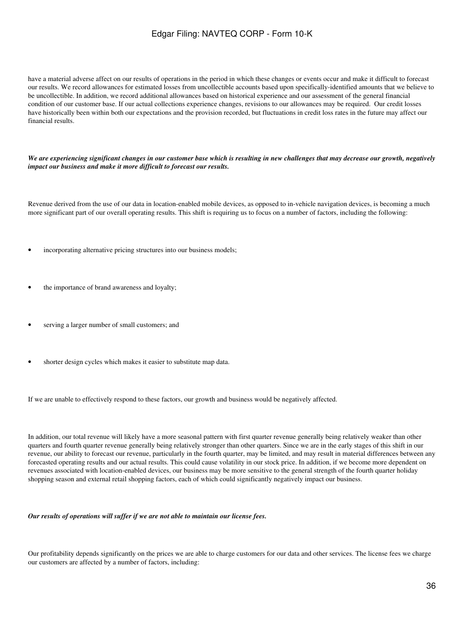have a material adverse affect on our results of operations in the period in which these changes or events occur and make it difficult to forecast our results. We record allowances for estimated losses from uncollectible accounts based upon specifically-identified amounts that we believe to be uncollectible. In addition, we record additional allowances based on historical experience and our assessment of the general financial condition of our customer base. If our actual collections experience changes, revisions to our allowances may be required. Our credit losses have historically been within both our expectations and the provision recorded, but fluctuations in credit loss rates in the future may affect our financial results.

*We are experiencing significant changes in our customer base which is resulting in new challenges that may decrease our growth, negatively impact our business and make it more difficult to forecast our results.*

Revenue derived from the use of our data in location-enabled mobile devices, as opposed to in-vehicle navigation devices, is becoming a much more significant part of our overall operating results. This shift is requiring us to focus on a number of factors, including the following:

- incorporating alternative pricing structures into our business models;
- the importance of brand awareness and loyalty;
- serving a larger number of small customers; and
- shorter design cycles which makes it easier to substitute map data.

If we are unable to effectively respond to these factors, our growth and business would be negatively affected.

In addition, our total revenue will likely have a more seasonal pattern with first quarter revenue generally being relatively weaker than other quarters and fourth quarter revenue generally being relatively stronger than other quarters. Since we are in the early stages of this shift in our revenue, our ability to forecast our revenue, particularly in the fourth quarter, may be limited, and may result in material differences between any forecasted operating results and our actual results. This could cause volatility in our stock price. In addition, if we become more dependent on revenues associated with location-enabled devices, our business may be more sensitive to the general strength of the fourth quarter holiday shopping season and external retail shopping factors, each of which could significantly negatively impact our business.

#### *Our results of operations will suffer if we are not able to maintain our license fees.*

Our profitability depends significantly on the prices we are able to charge customers for our data and other services. The license fees we charge our customers are affected by a number of factors, including: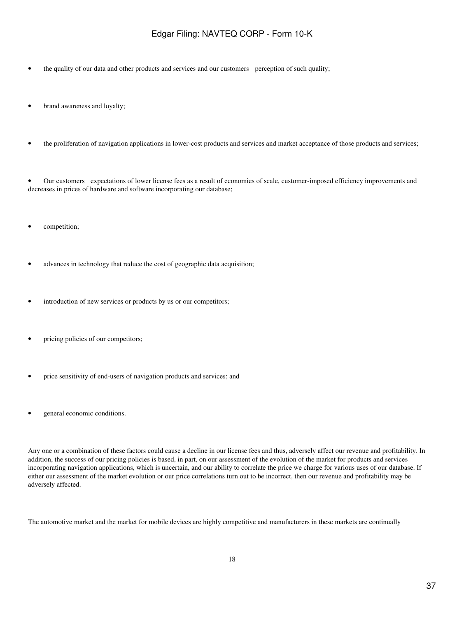- the quality of our data and other products and services and our customers perception of such quality;
- brand awareness and loyalty;
- the proliferation of navigation applications in lower-cost products and services and market acceptance of those products and services;

• Our customers expectations of lower license fees as a result of economies of scale, customer-imposed efficiency improvements and decreases in prices of hardware and software incorporating our database;

- competition;
- advances in technology that reduce the cost of geographic data acquisition;
- introduction of new services or products by us or our competitors;
- pricing policies of our competitors;
- price sensitivity of end-users of navigation products and services; and
- general economic conditions.

Any one or a combination of these factors could cause a decline in our license fees and thus, adversely affect our revenue and profitability. In addition, the success of our pricing policies is based, in part, on our assessment of the evolution of the market for products and services incorporating navigation applications, which is uncertain, and our ability to correlate the price we charge for various uses of our database. If either our assessment of the market evolution or our price correlations turn out to be incorrect, then our revenue and profitability may be adversely affected.

The automotive market and the market for mobile devices are highly competitive and manufacturers in these markets are continually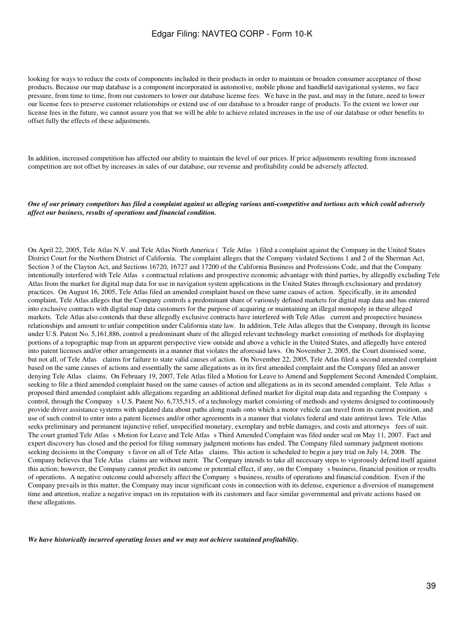looking for ways to reduce the costs of components included in their products in order to maintain or broaden consumer acceptance of those products. Because our map database is a component incorporated in automotive, mobile phone and handheld navigational systems, we face pressure, from time to time, from our customers to lower our database license fees. We have in the past, and may in the future, need to lower our license fees to preserve customer relationships or extend use of our database to a broader range of products. To the extent we lower our license fees in the future, we cannot assure you that we will be able to achieve related increases in the use of our database or other benefits to offset fully the effects of these adjustments.

In addition, increased competition has affected our ability to maintain the level of our prices. If price adjustments resulting from increased competition are not offset by increases in sales of our database, our revenue and profitability could be adversely affected.

## *One of our primary competitors has filed a complaint against us alleging various anti-competitive and tortious acts which could adversely affect our business, results of operations and financial condition.*

On April 22, 2005, Tele Atlas N.V. and Tele Atlas North America (Tele Atlas) filed a complaint against the Company in the United States District Court for the Northern District of California. The complaint alleges that the Company violated Sections 1 and 2 of the Sherman Act, Section 3 of the Clayton Act, and Sections 16720, 16727 and 17200 of the California Business and Professions Code, and that the Company intentionally interfered with Tele Atlas s contractual relations and prospective economic advantage with third parties, by allegedly excluding Tele Atlas from the market for digital map data for use in navigation system applications in the United States through exclusionary and predatory practices. On August 16, 2005, Tele Atlas filed an amended complaint based on these same causes of action. Specifically, in its amended complaint, Tele Atlas alleges that the Company controls a predominant share of variously defined markets for digital map data and has entered into exclusive contracts with digital map data customers for the purpose of acquiring or maintaining an illegal monopoly in these alleged markets. Tele Atlas also contends that these allegedly exclusive contracts have interfered with Tele Atlas current and prospective business relationships and amount to unfair competition under California state law. In addition, Tele Atlas alleges that the Company, through its license under U.S. Patent No. 5,161,886, control a predominant share of the alleged relevant technology market consisting of methods for displaying portions of a topographic map from an apparent perspective view outside and above a vehicle in the United States, and allegedly have entered into patent licenses and/or other arrangements in a manner that violates the aforesaid laws. On November 2, 2005, the Court dismissed some, but not all, of Tele Atlas claims for failure to state valid causes of action. On November 22, 2005, Tele Atlas filed a second amended complaint based on the same causes of actions and essentially the same allegations as in its first amended complaint and the Company filed an answer denying Tele Atlas claims. On February 19, 2007, Tele Atlas filed a Motion for Leave to Amend and Supplement Second Amended Complaint, seeking to file a third amended complaint based on the same causes of action and allegations as in its second amended complaint. Tele Atlas s proposed third amended complaint adds allegations regarding an additional defined market for digital map data and regarding the Companys control, through the Companys U.S. Patent No. 6,735,515, of a technology market consisting of methods and systems designed to continuously provide driver assistance systems with updated data about paths along roads onto which a motor vehicle can travel from its current position, and use of such control to enter into a patent licenses and/or other agreements in a manner that violates federal and state antitrust laws. Tele Atlas seeks preliminary and permanent injunctive relief, unspecified monetary, exemplary and treble damages, and costs and attorneys fees of suit. The court granted Tele Atlas s Motion for Leave and Tele Atlas s Third Amended Complaint was filed under seal on May 11, 2007. Fact and expert discovery has closed and the period for filing summary judgment motions has ended. The Company filed summary judgment motions seeking decisions in the Company s favor on all of Tele Atlas claims. This action is scheduled to begin a jury trial on July 14, 2008. The Company believes that Tele Atlas claims are without merit. The Company intends to take all necessary steps to vigorously defend itself against this action; however, the Company cannot predict its outcome or potential effect, if any, on the Companys business, financial position or results of operations. A negative outcome could adversely affect the Companys business, results of operations and financial condition. Even if the Company prevails in this matter, the Company may incur significant costs in connection with its defense, experience a diversion of management time and attention, realize a negative impact on its reputation with its customers and face similar governmental and private actions based on these allegations.

*We have historically incurred operating losses and we may not achieve sustained profitability.*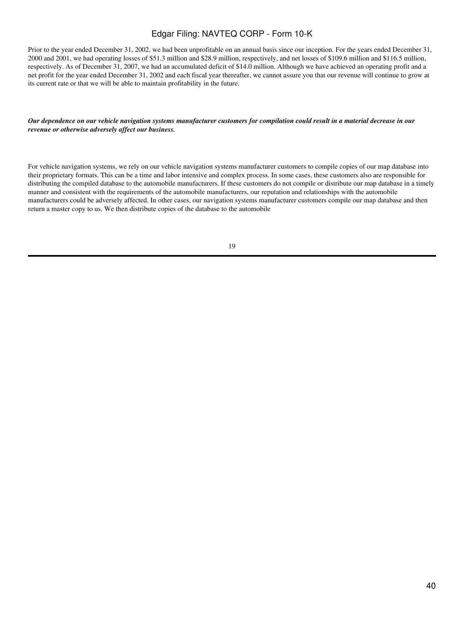Prior to the year ended December 31, 2002, we had been unprofitable on an annual basis since our inception. For the years ended December 31, 2000 and 2001, we had operating losses of \$51.3 million and \$28.9 million, respectively, and net losses of \$109.6 million and \$116.5 million, respectively. As of December 31, 2007, we had an accumulated deficit of \$14.0 million. Although we have achieved an operating profit and a net profit for the year ended December 31, 2002 and each fiscal year thereafter, we cannot assure you that our revenue will continue to grow at its current rate or that we will be able to maintain profitability in the future.

*Our dependence on our vehicle navigation systems manufacturer customers for compilation could result in a material decrease in our revenue or otherwise adversely affect our business.*

For vehicle navigation systems, we rely on our vehicle navigation systems manufacturer customers to compile copies of our map database into their proprietary formats. This can be a time and labor intensive and complex process. In some cases, these customers also are responsible for distributing the compiled database to the automobile manufacturers. If these customers do not compile or distribute our map database in a timely manner and consistent with the requirements of the automobile manufacturers, our reputation and relationships with the automobile manufacturers could be adversely affected. In other cases, our navigation systems manufacturer customers compile our map database and then return a master copy to us. We then distribute copies of the database to the automobile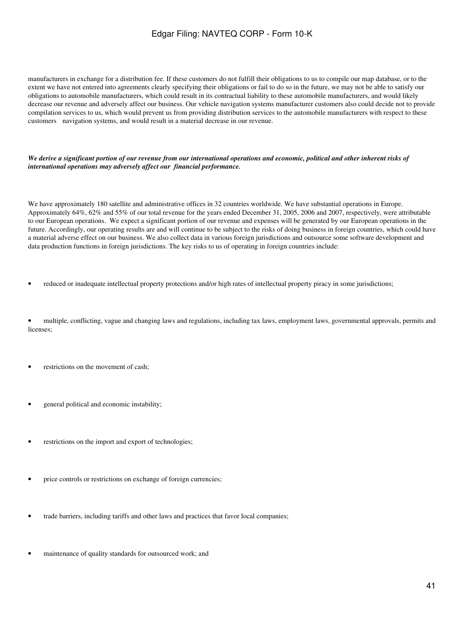manufacturers in exchange for a distribution fee. If these customers do not fulfill their obligations to us to compile our map database, or to the extent we have not entered into agreements clearly specifying their obligations or fail to do so in the future, we may not be able to satisfy our obligations to automobile manufacturers, which could result in its contractual liability to these automobile manufacturers, and would likely decrease our revenue and adversely affect our business. Our vehicle navigation systems manufacturer customers also could decide not to provide compilation services to us, which would prevent us from providing distribution services to the automobile manufacturers with respect to these customers navigation systems, and would result in a material decrease in our revenue.

### *We derive a significant portion of our revenue from our international operations and economic, political and other inherent risks of international operations may adversely affect our financial performance.*

We have approximately 180 satellite and administrative offices in 32 countries worldwide. We have substantial operations in Europe. Approximately 64%, 62% and 55% of our total revenue for the years ended December 31, 2005, 2006 and 2007, respectively, were attributable to our European operations. We expect a significant portion of our revenue and expenses will be generated by our European operations in the future. Accordingly, our operating results are and will continue to be subject to the risks of doing business in foreign countries, which could have a material adverse effect on our business. We also collect data in various foreign jurisdictions and outsource some software development and data production functions in foreign jurisdictions. The key risks to us of operating in foreign countries include:

• reduced or inadequate intellectual property protections and/or high rates of intellectual property piracy in some jurisdictions;

• multiple, conflicting, vague and changing laws and regulations, including tax laws, employment laws, governmental approvals, permits and licenses;

- restrictions on the movement of cash;
- general political and economic instability;
- restrictions on the import and export of technologies;
- price controls or restrictions on exchange of foreign currencies;
- trade barriers, including tariffs and other laws and practices that favor local companies;
- maintenance of quality standards for outsourced work; and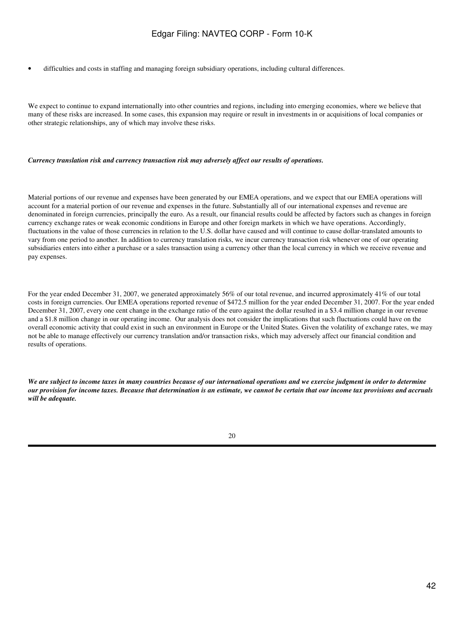difficulties and costs in staffing and managing foreign subsidiary operations, including cultural differences.

We expect to continue to expand internationally into other countries and regions, including into emerging economies, where we believe that many of these risks are increased. In some cases, this expansion may require or result in investments in or acquisitions of local companies or other strategic relationships, any of which may involve these risks.

### *Currency translation risk and currency transaction risk may adversely affect our results of operations.*

Material portions of our revenue and expenses have been generated by our EMEA operations, and we expect that our EMEA operations will account for a material portion of our revenue and expenses in the future. Substantially all of our international expenses and revenue are denominated in foreign currencies, principally the euro. As a result, our financial results could be affected by factors such as changes in foreign currency exchange rates or weak economic conditions in Europe and other foreign markets in which we have operations. Accordingly, fluctuations in the value of those currencies in relation to the U.S. dollar have caused and will continue to cause dollar-translated amounts to vary from one period to another. In addition to currency translation risks, we incur currency transaction risk whenever one of our operating subsidiaries enters into either a purchase or a sales transaction using a currency other than the local currency in which we receive revenue and pay expenses.

For the year ended December 31, 2007, we generated approximately 56% of our total revenue, and incurred approximately 41% of our total costs in foreign currencies. Our EMEA operations reported revenue of \$472.5 million for the year ended December 31, 2007. For the year ended December 31, 2007, every one cent change in the exchange ratio of the euro against the dollar resulted in a \$3.4 million change in our revenue and a \$1.8 million change in our operating income. Our analysis does not consider the implications that such fluctuations could have on the overall economic activity that could exist in such an environment in Europe or the United States. Given the volatility of exchange rates, we may not be able to manage effectively our currency translation and/or transaction risks, which may adversely affect our financial condition and results of operations.

*We are subject to income taxes in many countries because of our international operations and we exercise judgment in order to determine our provision for income taxes. Because that determination is an estimate, we cannot be certain that our income tax provisions and accruals will be adequate.*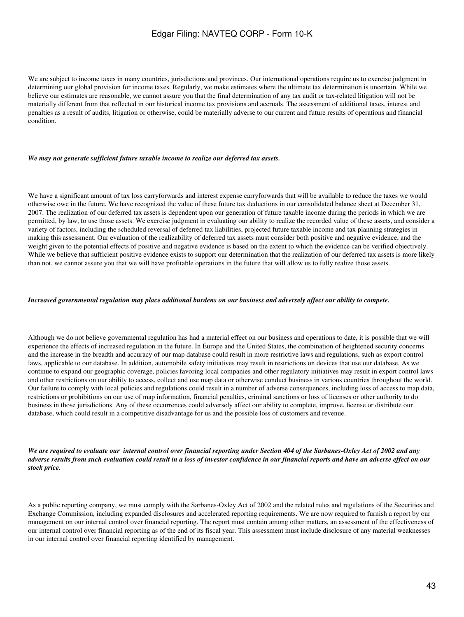We are subject to income taxes in many countries, jurisdictions and provinces. Our international operations require us to exercise judgment in determining our global provision for income taxes. Regularly, we make estimates where the ultimate tax determination is uncertain. While we believe our estimates are reasonable, we cannot assure you that the final determination of any tax audit or tax-related litigation will not be materially different from that reflected in our historical income tax provisions and accruals. The assessment of additional taxes, interest and penalties as a result of audits, litigation or otherwise, could be materially adverse to our current and future results of operations and financial condition.

### *We may not generate sufficient future taxable income to realize our deferred tax assets.*

We have a significant amount of tax loss carryforwards and interest expense carryforwards that will be available to reduce the taxes we would otherwise owe in the future. We have recognized the value of these future tax deductions in our consolidated balance sheet at December 31, 2007. The realization of our deferred tax assets is dependent upon our generation of future taxable income during the periods in which we are permitted, by law, to use those assets. We exercise judgment in evaluating our ability to realize the recorded value of these assets, and consider a variety of factors, including the scheduled reversal of deferred tax liabilities, projected future taxable income and tax planning strategies in making this assessment. Our evaluation of the realizability of deferred tax assets must consider both positive and negative evidence, and the weight given to the potential effects of positive and negative evidence is based on the extent to which the evidence can be verified objectively. While we believe that sufficient positive evidence exists to support our determination that the realization of our deferred tax assets is more likely than not, we cannot assure you that we will have profitable operations in the future that will allow us to fully realize those assets.

### *Increased governmental regulation may place additional burdens on our business and adversely affect our ability to compete.*

Although we do not believe governmental regulation has had a material effect on our business and operations to date, it is possible that we will experience the effects of increased regulation in the future. In Europe and the United States, the combination of heightened security concerns and the increase in the breadth and accuracy of our map database could result in more restrictive laws and regulations, such as export control laws, applicable to our database. In addition, automobile safety initiatives may result in restrictions on devices that use our database. As we continue to expand our geographic coverage, policies favoring local companies and other regulatory initiatives may result in export control laws and other restrictions on our ability to access, collect and use map data or otherwise conduct business in various countries throughout the world. Our failure to comply with local policies and regulations could result in a number of adverse consequences, including loss of access to map data, restrictions or prohibitions on our use of map information, financial penalties, criminal sanctions or loss of licenses or other authority to do business in those jurisdictions. Any of these occurrences could adversely affect our ability to complete, improve, license or distribute our database, which could result in a competitive disadvantage for us and the possible loss of customers and revenue.

*We are required to evaluate our internal control over financial reporting under Section 404 of the Sarbanes-Oxley Act of 2002 and any adverse results from such evaluation could result in a loss of investor confidence in our financial reports and have an adverse effect on our stock price.*

As a public reporting company, we must comply with the Sarbanes-Oxley Act of 2002 and the related rules and regulations of the Securities and Exchange Commission, including expanded disclosures and accelerated reporting requirements. We are now required to furnish a report by our management on our internal control over financial reporting. The report must contain among other matters, an assessment of the effectiveness of our internal control over financial reporting as of the end of its fiscal year. This assessment must include disclosure of any material weaknesses in our internal control over financial reporting identified by management.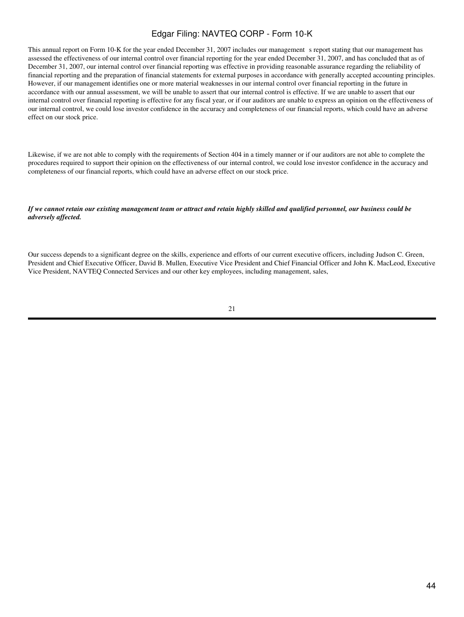This annual report on Form 10-K for the year ended December 31, 2007 includes our management s report stating that our management has assessed the effectiveness of our internal control over financial reporting for the year ended December 31, 2007, and has concluded that as of December 31, 2007, our internal control over financial reporting was effective in providing reasonable assurance regarding the reliability of financial reporting and the preparation of financial statements for external purposes in accordance with generally accepted accounting principles. However, if our management identifies one or more material weaknesses in our internal control over financial reporting in the future in accordance with our annual assessment, we will be unable to assert that our internal control is effective. If we are unable to assert that our internal control over financial reporting is effective for any fiscal year, or if our auditors are unable to express an opinion on the effectiveness of our internal control, we could lose investor confidence in the accuracy and completeness of our financial reports, which could have an adverse effect on our stock price.

Likewise, if we are not able to comply with the requirements of Section 404 in a timely manner or if our auditors are not able to complete the procedures required to support their opinion on the effectiveness of our internal control, we could lose investor confidence in the accuracy and completeness of our financial reports, which could have an adverse effect on our stock price.

## *If we cannot retain our existing management team or attract and retain highly skilled and qualified personnel, our business could be adversely affected.*

Our success depends to a significant degree on the skills, experience and efforts of our current executive officers, including Judson C. Green, President and Chief Executive Officer, David B. Mullen, Executive Vice President and Chief Financial Officer and John K. MacLeod, Executive Vice President, NAVTEQ Connected Services and our other key employees, including management, sales,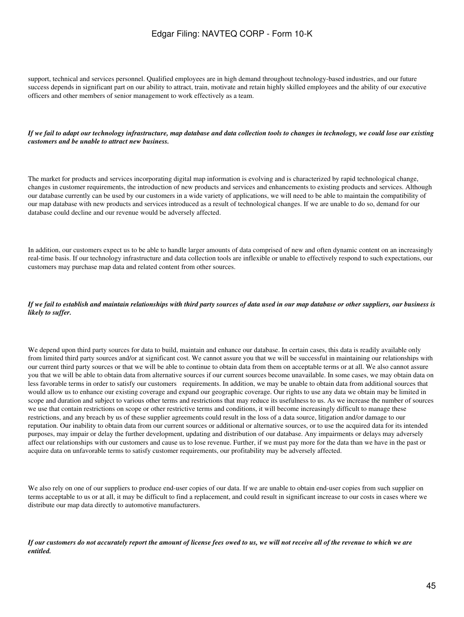support, technical and services personnel. Qualified employees are in high demand throughout technology-based industries, and our future success depends in significant part on our ability to attract, train, motivate and retain highly skilled employees and the ability of our executive officers and other members of senior management to work effectively as a team.

### *If we fail to adapt our technology infrastructure, map database and data collection tools to changes in technology, we could lose our existing customers and be unable to attract new business.*

The market for products and services incorporating digital map information is evolving and is characterized by rapid technological change, changes in customer requirements, the introduction of new products and services and enhancements to existing products and services. Although our database currently can be used by our customers in a wide variety of applications, we will need to be able to maintain the compatibility of our map database with new products and services introduced as a result of technological changes. If we are unable to do so, demand for our database could decline and our revenue would be adversely affected.

In addition, our customers expect us to be able to handle larger amounts of data comprised of new and often dynamic content on an increasingly real-time basis. If our technology infrastructure and data collection tools are inflexible or unable to effectively respond to such expectations, our customers may purchase map data and related content from other sources.

## *If we fail to establish and maintain relationships with third party sources of data used in our map database or other suppliers, our business is likely to suffer.*

We depend upon third party sources for data to build, maintain and enhance our database. In certain cases, this data is readily available only from limited third party sources and/or at significant cost. We cannot assure you that we will be successful in maintaining our relationships with our current third party sources or that we will be able to continue to obtain data from them on acceptable terms or at all. We also cannot assure you that we will be able to obtain data from alternative sources if our current sources become unavailable. In some cases, we may obtain data on less favorable terms in order to satisfy our customers requirements. In addition, we may be unable to obtain data from additional sources that would allow us to enhance our existing coverage and expand our geographic coverage. Our rights to use any data we obtain may be limited in scope and duration and subject to various other terms and restrictions that may reduce its usefulness to us. As we increase the number of sources we use that contain restrictions on scope or other restrictive terms and conditions, it will become increasingly difficult to manage these restrictions, and any breach by us of these supplier agreements could result in the loss of a data source, litigation and/or damage to our reputation. Our inability to obtain data from our current sources or additional or alternative sources, or to use the acquired data for its intended purposes, may impair or delay the further development, updating and distribution of our database. Any impairments or delays may adversely affect our relationships with our customers and cause us to lose revenue. Further, if we must pay more for the data than we have in the past or acquire data on unfavorable terms to satisfy customer requirements, our profitability may be adversely affected.

We also rely on one of our suppliers to produce end-user copies of our data. If we are unable to obtain end-user copies from such supplier on terms acceptable to us or at all, it may be difficult to find a replacement, and could result in significant increase to our costs in cases where we distribute our map data directly to automotive manufacturers.

*If our customers do not accurately report the amount of license fees owed to us, we will not receive all of the revenue to which we are entitled.*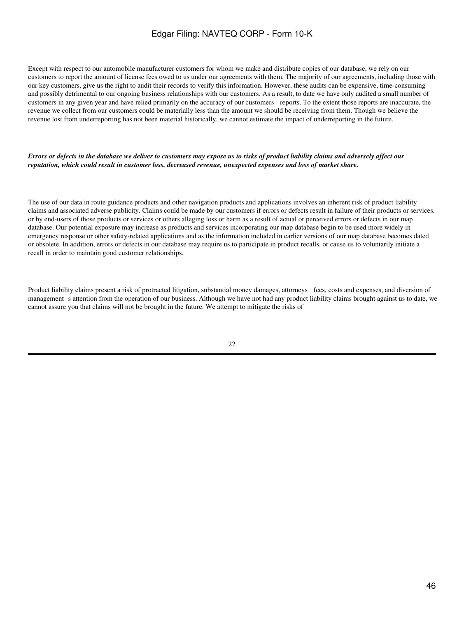Except with respect to our automobile manufacturer customers for whom we make and distribute copies of our database, we rely on our customers to report the amount of license fees owed to us under our agreements with them. The majority of our agreements, including those with our key customers, give us the right to audit their records to verify this information. However, these audits can be expensive, time-consuming and possibly detrimental to our ongoing business relationships with our customers. As a result, to date we have only audited a small number of customers in any given year and have relied primarily on the accuracy of our customers reports. To the extent those reports are inaccurate, the revenue we collect from our customers could be materially less than the amount we should be receiving from them. Though we believe the revenue lost from underreporting has not been material historically, we cannot estimate the impact of underreporting in the future.

### *Errors or defects in the database we deliver to customers may expose us to risks of product liability claims and adversely affect our reputation, which could result in customer loss, decreased revenue, unexpected expenses and loss of market share.*

The use of our data in route guidance products and other navigation products and applications involves an inherent risk of product liability claims and associated adverse publicity. Claims could be made by our customers if errors or defects result in failure of their products or services, or by end-users of those products or services or others alleging loss or harm as a result of actual or perceived errors or defects in our map database. Our potential exposure may increase as products and services incorporating our map database begin to be used more widely in emergency response or other safety-related applications and as the information included in earlier versions of our map database becomes dated or obsolete. In addition, errors or defects in our database may require us to participate in product recalls, or cause us to voluntarily initiate a recall in order to maintain good customer relationships.

Product liability claims present a risk of protracted litigation, substantial money damages, attorneys fees, costs and expenses, and diversion of management s attention from the operation of our business. Although we have not had any product liability claims brought against us to date, we cannot assure you that claims will not be brought in the future. We attempt to mitigate the risks of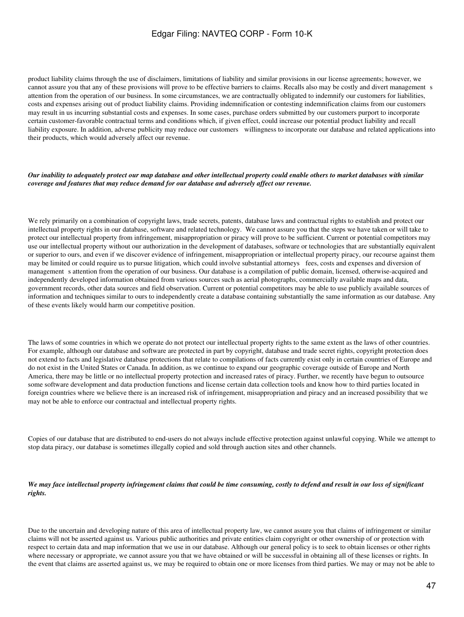product liability claims through the use of disclaimers, limitations of liability and similar provisions in our license agreements; however, we cannot assure you that any of these provisions will prove to be effective barriers to claims. Recalls also may be costly and divert management s attention from the operation of our business. In some circumstances, we are contractually obligated to indemnify our customers for liabilities, costs and expenses arising out of product liability claims. Providing indemnification or contesting indemnification claims from our customers may result in us incurring substantial costs and expenses. In some cases, purchase orders submitted by our customers purport to incorporate certain customer-favorable contractual terms and conditions which, if given effect, could increase our potential product liability and recall liability exposure. In addition, adverse publicity may reduce our customers willingness to incorporate our database and related applications into their products, which would adversely affect our revenue.

### *Our inability to adequately protect our map database and other intellectual property could enable others to market databases with similar coverage and features that may reduce demand for our database and adversely affect our revenue.*

We rely primarily on a combination of copyright laws, trade secrets, patents, database laws and contractual rights to establish and protect our intellectual property rights in our database, software and related technology. We cannot assure you that the steps we have taken or will take to protect our intellectual property from infringement, misappropriation or piracy will prove to be sufficient. Current or potential competitors may use our intellectual property without our authorization in the development of databases, software or technologies that are substantially equivalent or superior to ours, and even if we discover evidence of infringement, misappropriation or intellectual property piracy, our recourse against them may be limited or could require us to pursue litigation, which could involve substantial attorneys fees, costs and expenses and diversion of management s attention from the operation of our business. Our database is a compilation of public domain, licensed, otherwise-acquired and independently developed information obtained from various sources such as aerial photographs, commercially available maps and data, government records, other data sources and field observation. Current or potential competitors may be able to use publicly available sources of information and techniques similar to ours to independently create a database containing substantially the same information as our database. Any of these events likely would harm our competitive position.

The laws of some countries in which we operate do not protect our intellectual property rights to the same extent as the laws of other countries. For example, although our database and software are protected in part by copyright, database and trade secret rights, copyright protection does not extend to facts and legislative database protections that relate to compilations of facts currently exist only in certain countries of Europe and do not exist in the United States or Canada. In addition, as we continue to expand our geographic coverage outside of Europe and North America, there may be little or no intellectual property protection and increased rates of piracy. Further, we recently have begun to outsource some software development and data production functions and license certain data collection tools and know how to third parties located in foreign countries where we believe there is an increased risk of infringement, misappropriation and piracy and an increased possibility that we may not be able to enforce our contractual and intellectual property rights.

Copies of our database that are distributed to end-users do not always include effective protection against unlawful copying. While we attempt to stop data piracy, our database is sometimes illegally copied and sold through auction sites and other channels.

### *We may face intellectual property infringement claims that could be time consuming, costly to defend and result in our loss of significant rights.*

Due to the uncertain and developing nature of this area of intellectual property law, we cannot assure you that claims of infringement or similar claims will not be asserted against us. Various public authorities and private entities claim copyright or other ownership of or protection with respect to certain data and map information that we use in our database. Although our general policy is to seek to obtain licenses or other rights where necessary or appropriate, we cannot assure you that we have obtained or will be successful in obtaining all of these licenses or rights. In the event that claims are asserted against us, we may be required to obtain one or more licenses from third parties. We may or may not be able to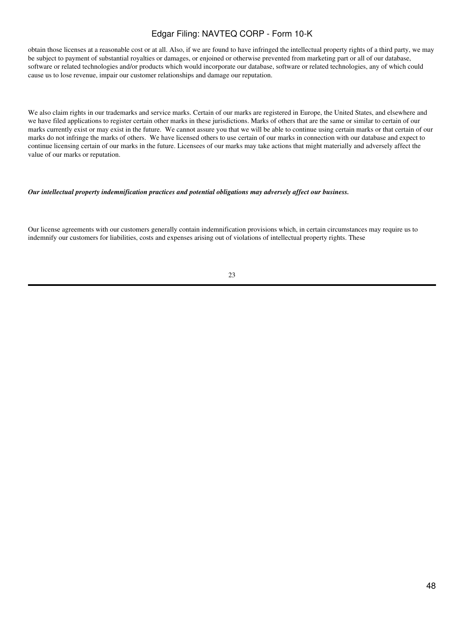obtain those licenses at a reasonable cost or at all. Also, if we are found to have infringed the intellectual property rights of a third party, we may be subject to payment of substantial royalties or damages, or enjoined or otherwise prevented from marketing part or all of our database, software or related technologies and/or products which would incorporate our database, software or related technologies, any of which could cause us to lose revenue, impair our customer relationships and damage our reputation.

We also claim rights in our trademarks and service marks. Certain of our marks are registered in Europe, the United States, and elsewhere and we have filed applications to register certain other marks in these jurisdictions. Marks of others that are the same or similar to certain of our marks currently exist or may exist in the future. We cannot assure you that we will be able to continue using certain marks or that certain of our marks do not infringe the marks of others. We have licensed others to use certain of our marks in connection with our database and expect to continue licensing certain of our marks in the future. Licensees of our marks may take actions that might materially and adversely affect the value of our marks or reputation.

### *Our intellectual property indemnification practices and potential obligations may adversely affect our business.*

Our license agreements with our customers generally contain indemnification provisions which, in certain circumstances may require us to indemnify our customers for liabilities, costs and expenses arising out of violations of intellectual property rights. These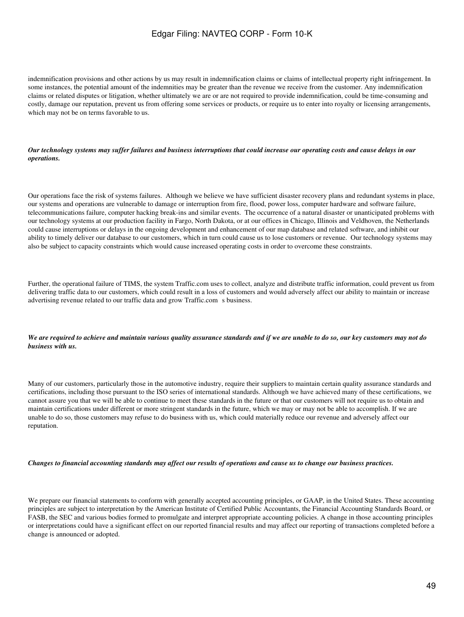indemnification provisions and other actions by us may result in indemnification claims or claims of intellectual property right infringement. In some instances, the potential amount of the indemnities may be greater than the revenue we receive from the customer. Any indemnification claims or related disputes or litigation, whether ultimately we are or are not required to provide indemnification, could be time-consuming and costly, damage our reputation, prevent us from offering some services or products, or require us to enter into royalty or licensing arrangements, which may not be on terms favorable to us.

### *Our technology systems may suffer failures and business interruptions that could increase our operating costs and cause delays in our operations.*

Our operations face the risk of systems failures. Although we believe we have sufficient disaster recovery plans and redundant systems in place, our systems and operations are vulnerable to damage or interruption from fire, flood, power loss, computer hardware and software failure, telecommunications failure, computer hacking break-ins and similar events. The occurrence of a natural disaster or unanticipated problems with our technology systems at our production facility in Fargo, North Dakota, or at our offices in Chicago, Illinois and Veldhoven, the Netherlands could cause interruptions or delays in the ongoing development and enhancement of our map database and related software, and inhibit our ability to timely deliver our database to our customers, which in turn could cause us to lose customers or revenue. Our technology systems may also be subject to capacity constraints which would cause increased operating costs in order to overcome these constraints.

Further, the operational failure of TIMS, the system Traffic.com uses to collect, analyze and distribute traffic information, could prevent us from delivering traffic data to our customers, which could result in a loss of customers and would adversely affect our ability to maintain or increase advertising revenue related to our traffic data and grow Traffic.com s business.

## *We are required to achieve and maintain various quality assurance standards and if we are unable to do so, our key customers may not do business with us.*

Many of our customers, particularly those in the automotive industry, require their suppliers to maintain certain quality assurance standards and certifications, including those pursuant to the ISO series of international standards. Although we have achieved many of these certifications, we cannot assure you that we will be able to continue to meet these standards in the future or that our customers will not require us to obtain and maintain certifications under different or more stringent standards in the future, which we may or may not be able to accomplish. If we are unable to do so, those customers may refuse to do business with us, which could materially reduce our revenue and adversely affect our reputation.

### *Changes to financial accounting standards may affect our results of operations and cause us to change our business practices.*

We prepare our financial statements to conform with generally accepted accounting principles, or GAAP, in the United States. These accounting principles are subject to interpretation by the American Institute of Certified Public Accountants, the Financial Accounting Standards Board, or FASB, the SEC and various bodies formed to promulgate and interpret appropriate accounting policies. A change in those accounting principles or interpretations could have a significant effect on our reported financial results and may affect our reporting of transactions completed before a change is announced or adopted.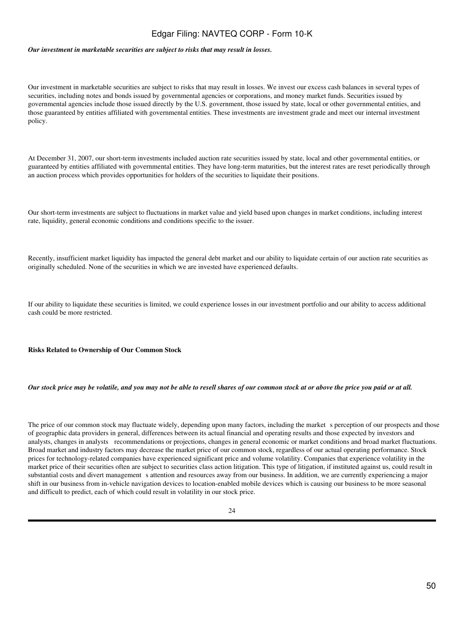### *Our investment in marketable securities are subject to risks that may result in losses.*

Our investment in marketable securities are subject to risks that may result in losses. We invest our excess cash balances in several types of securities, including notes and bonds issued by governmental agencies or corporations, and money market funds. Securities issued by governmental agencies include those issued directly by the U.S. government, those issued by state, local or other governmental entities, and those guaranteed by entities affiliated with governmental entities. These investments are investment grade and meet our internal investment policy.

At December 31, 2007, our short-term investments included auction rate securities issued by state, local and other governmental entities, or guaranteed by entities affiliated with governmental entities. They have long-term maturities, but the interest rates are reset periodically through an auction process which provides opportunities for holders of the securities to liquidate their positions.

Our short-term investments are subject to fluctuations in market value and yield based upon changes in market conditions, including interest rate, liquidity, general economic conditions and conditions specific to the issuer.

Recently, insufficient market liquidity has impacted the general debt market and our ability to liquidate certain of our auction rate securities as originally scheduled. None of the securities in which we are invested have experienced defaults.

If our ability to liquidate these securities is limited, we could experience losses in our investment portfolio and our ability to access additional cash could be more restricted.

#### **Risks Related to Ownership of Our Common Stock**

#### *Our stock price may be volatile, and you may not be able to resell shares of our common stock at or above the price you paid or at all.*

The price of our common stock may fluctuate widely, depending upon many factors, including the market s perception of our prospects and those of geographic data providers in general, differences between its actual financial and operating results and those expected by investors and analysts, changes in analysts recommendations or projections, changes in general economic or market conditions and broad market fluctuations. Broad market and industry factors may decrease the market price of our common stock, regardless of our actual operating performance. Stock prices for technology-related companies have experienced significant price and volume volatility. Companies that experience volatility in the market price of their securities often are subject to securities class action litigation. This type of litigation, if instituted against us, could result in substantial costs and divert management s attention and resources away from our business. In addition, we are currently experiencing a major shift in our business from in-vehicle navigation devices to location-enabled mobile devices which is causing our business to be more seasonal and difficult to predict, each of which could result in volatility in our stock price.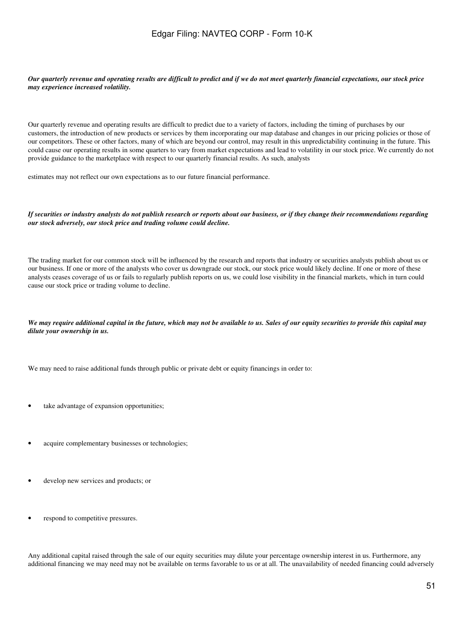### *Our quarterly revenue and operating results are difficult to predict and if we do not meet quarterly financial expectations, our stock price may experience increased volatility.*

Our quarterly revenue and operating results are difficult to predict due to a variety of factors, including the timing of purchases by our customers, the introduction of new products or services by them incorporating our map database and changes in our pricing policies or those of our competitors. These or other factors, many of which are beyond our control, may result in this unpredictability continuing in the future. This could cause our operating results in some quarters to vary from market expectations and lead to volatility in our stock price. We currently do not provide guidance to the marketplace with respect to our quarterly financial results. As such, analysts

estimates may not reflect our own expectations as to our future financial performance.

## *If securities or industry analysts do not publish research or reports about our business, or if they change their recommendations regarding our stock adversely, our stock price and trading volume could decline.*

The trading market for our common stock will be influenced by the research and reports that industry or securities analysts publish about us or our business. If one or more of the analysts who cover us downgrade our stock, our stock price would likely decline. If one or more of these analysts ceases coverage of us or fails to regularly publish reports on us, we could lose visibility in the financial markets, which in turn could cause our stock price or trading volume to decline.

### *We may require additional capital in the future, which may not be available to us. Sales of our equity securities to provide this capital may dilute your ownership in us.*

We may need to raise additional funds through public or private debt or equity financings in order to:

- take advantage of expansion opportunities;
- acquire complementary businesses or technologies;
- develop new services and products; or
- respond to competitive pressures.

Any additional capital raised through the sale of our equity securities may dilute your percentage ownership interest in us. Furthermore, any additional financing we may need may not be available on terms favorable to us or at all. The unavailability of needed financing could adversely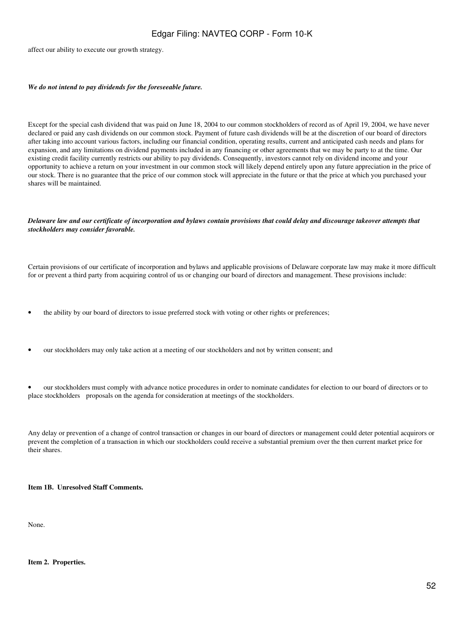affect our ability to execute our growth strategy.

### *We do not intend to pay dividends for the foreseeable future.*

Except for the special cash dividend that was paid on June 18, 2004 to our common stockholders of record as of April 19, 2004, we have never declared or paid any cash dividends on our common stock. Payment of future cash dividends will be at the discretion of our board of directors after taking into account various factors, including our financial condition, operating results, current and anticipated cash needs and plans for expansion, and any limitations on dividend payments included in any financing or other agreements that we may be party to at the time. Our existing credit facility currently restricts our ability to pay dividends. Consequently, investors cannot rely on dividend income and your opportunity to achieve a return on your investment in our common stock will likely depend entirely upon any future appreciation in the price of our stock. There is no guarantee that the price of our common stock will appreciate in the future or that the price at which you purchased your shares will be maintained.

### *Delaware law and our certificate of incorporation and bylaws contain provisions that could delay and discourage takeover attempts that stockholders may consider favorable.*

Certain provisions of our certificate of incorporation and bylaws and applicable provisions of Delaware corporate law may make it more difficult for or prevent a third party from acquiring control of us or changing our board of directors and management. These provisions include:

- the ability by our board of directors to issue preferred stock with voting or other rights or preferences;
- our stockholders may only take action at a meeting of our stockholders and not by written consent; and

• our stockholders must comply with advance notice procedures in order to nominate candidates for election to our board of directors or to place stockholders proposals on the agenda for consideration at meetings of the stockholders.

Any delay or prevention of a change of control transaction or changes in our board of directors or management could deter potential acquirors or prevent the completion of a transaction in which our stockholders could receive a substantial premium over the then current market price for their shares.

**Item 1B. Unresolved Staff Comments.**

None.

**Item 2. Properties.**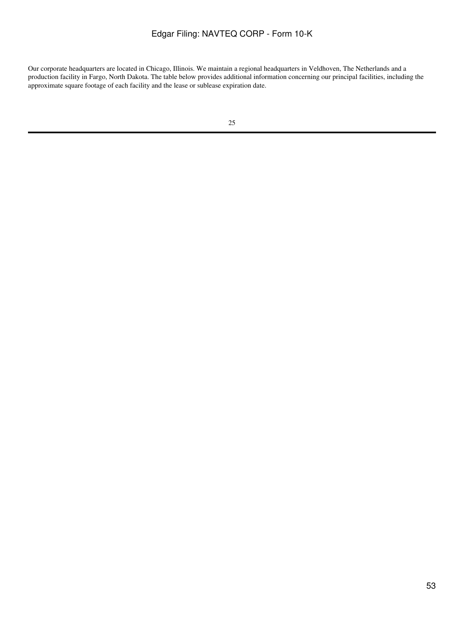Our corporate headquarters are located in Chicago, Illinois. We maintain a regional headquarters in Veldhoven, The Netherlands and a production facility in Fargo, North Dakota. The table below provides additional information concerning our principal facilities, including the approximate square footage of each facility and the lease or sublease expiration date.

<sup>25</sup>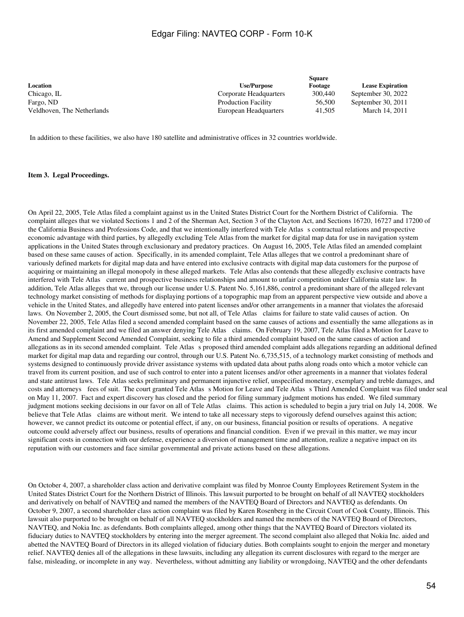**Location Use/Purpose**

**Square Footage Lease Expiration** Chicago, IL Corporate Headquarters 300,440 September 30, 2022 Fargo, ND Production Facility 56,500 September 30, 2011 Veldhoven, The Netherlands European Headquarters 41,505 March 14, 2011

In addition to these facilities, we also have 180 satellite and administrative offices in 32 countries worldwide.

## **Item 3. Legal Proceedings.**

On April 22, 2005, Tele Atlas filed a complaint against us in the United States District Court for the Northern District of California. The complaint alleges that we violated Sections 1 and 2 of the Sherman Act, Section 3 of the Clayton Act, and Sections 16720, 16727 and 17200 of the California Business and Professions Code, and that we intentionally interfered with Tele Atlass contractual relations and prospective economic advantage with third parties, by allegedly excluding Tele Atlas from the market for digital map data for use in navigation system applications in the United States through exclusionary and predatory practices. On August 16, 2005, Tele Atlas filed an amended complaint based on these same causes of action. Specifically, in its amended complaint, Tele Atlas alleges that we control a predominant share of variously defined markets for digital map data and have entered into exclusive contracts with digital map data customers for the purpose of acquiring or maintaining an illegal monopoly in these alleged markets. Tele Atlas also contends that these allegedly exclusive contracts have interfered with Tele Atlas current and prospective business relationships and amount to unfair competition under California state law. In addition, Tele Atlas alleges that we, through our license under U.S. Patent No. 5,161,886, control a predominant share of the alleged relevant technology market consisting of methods for displaying portions of a topographic map from an apparent perspective view outside and above a vehicle in the United States, and allegedly have entered into patent licenses and/or other arrangements in a manner that violates the aforesaid laws. On November 2, 2005, the Court dismissed some, but not all, of Tele Atlas claims for failure to state valid causes of action. On November 22, 2005, Tele Atlas filed a second amended complaint based on the same causes of actions and essentially the same allegations as in its first amended complaint and we filed an answer denying Tele Atlas claims. On February 19, 2007, Tele Atlas filed a Motion for Leave to Amend and Supplement Second Amended Complaint, seeking to file a third amended complaint based on the same causes of action and allegations as in its second amended complaint. Tele Atlas s proposed third amended complaint adds allegations regarding an additional defined market for digital map data and regarding our control, through our U.S. Patent No. 6,735,515, of a technology market consisting of methods and systems designed to continuously provide driver assistance systems with updated data about paths along roads onto which a motor vehicle can travel from its current position, and use of such control to enter into a patent licenses and/or other agreements in a manner that violates federal and state antitrust laws. Tele Atlas seeks preliminary and permanent injunctive relief, unspecified monetary, exemplary and treble damages, and costs and attorneys fees of suit. The court granted Tele Atlas s Motion for Leave and Tele Atlas s Third Amended Complaint was filed under seal on May 11, 2007. Fact and expert discovery has closed and the period for filing summary judgment motions has ended. We filed summary judgment motions seeking decisions in our favor on all of Tele Atlas claims. This action is scheduled to begin a jury trial on July 14, 2008. We believe that Tele Atlas claims are without merit. We intend to take all necessary steps to vigorously defend ourselves against this action; however, we cannot predict its outcome or potential effect, if any, on our business, financial position or results of operations. A negative outcome could adversely affect our business, results of operations and financial condition. Even if we prevail in this matter, we may incur significant costs in connection with our defense, experience a diversion of management time and attention, realize a negative impact on its reputation with our customers and face similar governmental and private actions based on these allegations.

On October 4, 2007, a shareholder class action and derivative complaint was filed by Monroe County Employees Retirement System in the United States District Court for the Northern District of Illinois. This lawsuit purported to be brought on behalf of all NAVTEQ stockholders and derivatively on behalf of NAVTEQ and named the members of the NAVTEQ Board of Directors and NAVTEQ as defendants. On October 9, 2007, a second shareholder class action complaint was filed by Karen Rosenberg in the Circuit Court of Cook County, Illinois. This lawsuit also purported to be brought on behalf of all NAVTEQ stockholders and named the members of the NAVTEQ Board of Directors, NAVTEQ, and Nokia Inc. as defendants. Both complaints alleged, among other things that the NAVTEQ Board of Directors violated its fiduciary duties to NAVTEQ stockholders by entering into the merger agreement. The second complaint also alleged that Nokia Inc. aided and abetted the NAVTEQ Board of Directors in its alleged violation of fiduciary duties. Both complaints sought to enjoin the merger and monetary relief. NAVTEQ denies all of the allegations in these lawsuits, including any allegation its current disclosures with regard to the merger are false, misleading, or incomplete in any way. Nevertheless, without admitting any liability or wrongdoing, NAVTEQ and the other defendants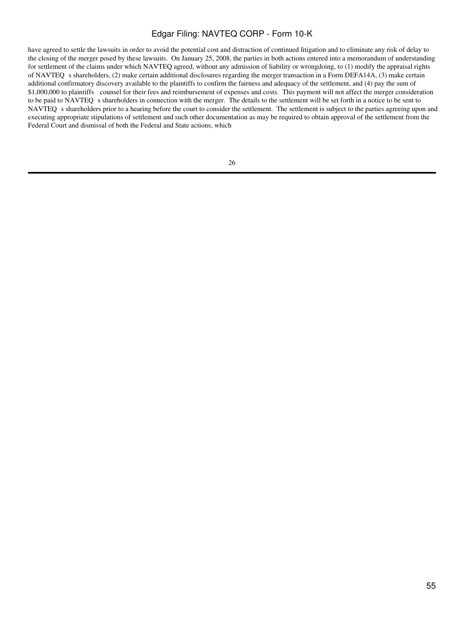have agreed to settle the lawsuits in order to avoid the potential cost and distraction of continued litigation and to eliminate any risk of delay to the closing of the merger posed by these lawsuits. On January 25, 2008, the parties in both actions entered into a memorandum of understanding for settlement of the claims under which NAVTEQ agreed, without any admission of liability or wrongdoing, to (1) modify the appraisal rights of NAVTEQ s shareholders, (2) make certain additional disclosures regarding the merger transaction in a Form DEFA14A, (3) make certain additional confirmatory discovery available to the plaintiffs to confirm the fairness and adequacy of the settlement, and (4) pay the sum of \$1,000,000 to plaintiffs counsel for their fees and reimbursement of expenses and costs. This payment will not affect the merger consideration to be paid to NAVTEQ s shareholders in connection with the merger. The details to the settlement will be set forth in a notice to be sent to NAVTEQ s shareholders prior to a hearing before the court to consider the settlement. The settlement is subject to the parties agreeing upon and executing appropriate stipulations of settlement and such other documentation as may be required to obtain approval of the settlement from the Federal Court and dismissal of both the Federal and State actions, which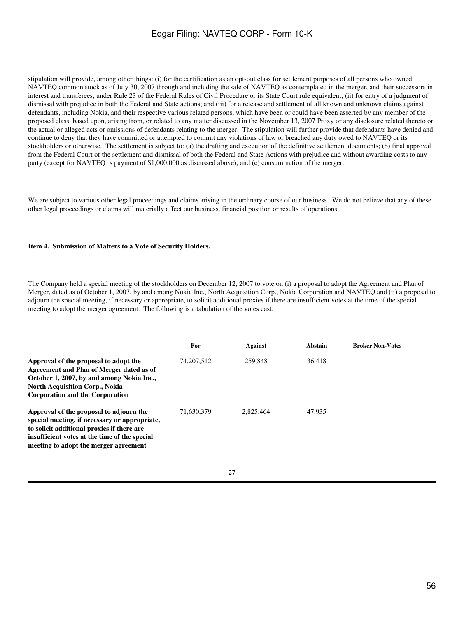stipulation will provide, among other things: (i) for the certification as an opt-out class for settlement purposes of all persons who owned NAVTEQ common stock as of July 30, 2007 through and including the sale of NAVTEQ as contemplated in the merger, and their successors in interest and transferees, under Rule 23 of the Federal Rules of Civil Procedure or its State Court rule equivalent; (ii) for entry of a judgment of dismissal with prejudice in both the Federal and State actions; and (iii) for a release and settlement of all known and unknown claims against defendants, including Nokia, and their respective various related persons, which have been or could have been asserted by any member of the proposed class, based upon, arising from, or related to any matter discussed in the November 13, 2007 Proxy or any disclosure related thereto or the actual or alleged acts or omissions of defendants relating to the merger. The stipulation will further provide that defendants have denied and continue to deny that they have committed or attempted to commit any violations of law or breached any duty owed to NAVTEQ or its stockholders or otherwise. The settlement is subject to: (a) the drafting and execution of the definitive settlement documents; (b) final approval from the Federal Court of the settlement and dismissal of both the Federal and State Actions with prejudice and without awarding costs to any party (except for NAVTEQ s payment of \$1,000,000 as discussed above); and (c) consummation of the merger.

We are subject to various other legal proceedings and claims arising in the ordinary course of our business. We do not believe that any of these other legal proceedings or claims will materially affect our business, financial position or results of operations.

### **Item 4. Submission of Matters to a Vote of Security Holders.**

The Company held a special meeting of the stockholders on December 12, 2007 to vote on (i) a proposal to adopt the Agreement and Plan of Merger, dated as of October 1, 2007, by and among Nokia Inc., North Acquisition Corp., Nokia Corporation and NAVTEQ and (ii) a proposal to adjourn the special meeting, if necessary or appropriate, to solicit additional proxies if there are insufficient votes at the time of the special meeting to adopt the merger agreement. The following is a tabulation of the votes cast:

|                                                                                                                                                                                                                                  | For          | Against   | Abstain | <b>Broker Non-Votes</b> |
|----------------------------------------------------------------------------------------------------------------------------------------------------------------------------------------------------------------------------------|--------------|-----------|---------|-------------------------|
| Approval of the proposal to adopt the<br>Agreement and Plan of Merger dated as of<br>October 1, 2007, by and among Nokia Inc.,<br><b>North Acquisition Corp., Nokia</b><br><b>Corporation and the Corporation</b>                | 74, 207, 512 | 259,848   | 36.418  |                         |
| Approval of the proposal to adjourn the<br>special meeting, if necessary or appropriate,<br>to solicit additional proxies if there are<br>insufficient votes at the time of the special<br>meeting to adopt the merger agreement | 71,630,379   | 2,825,464 | 47.935  |                         |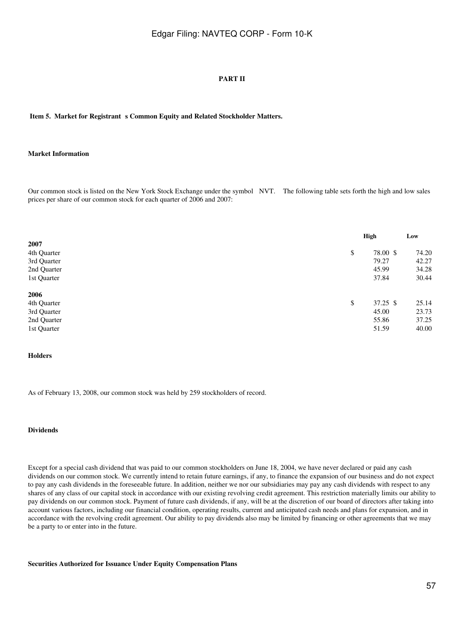### **PART II**

Item 5. Market for Registrant s Common Equity and Related Stockholder Matters.

#### **Market Information**

Our common stock is listed on the New York Stock Exchange under the symbol NVT. The following table sets forth the high and low sales prices per share of our common stock for each quarter of 2006 and 2007:

|             | High             | Low   |
|-------------|------------------|-------|
| 2007        |                  |       |
| 4th Quarter | \$<br>78.00 \$   | 74.20 |
| 3rd Quarter | 79.27            | 42.27 |
| 2nd Quarter | 45.99            | 34.28 |
| 1st Quarter | 37.84            | 30.44 |
| 2006        |                  |       |
| 4th Quarter | \$<br>$37.25$ \$ | 25.14 |
| 3rd Quarter | 45.00            | 23.73 |
| 2nd Quarter | 55.86            | 37.25 |
| 1st Quarter | 51.59            | 40.00 |

### **Holders**

As of February 13, 2008, our common stock was held by 259 stockholders of record.

### **Dividends**

Except for a special cash dividend that was paid to our common stockholders on June 18, 2004, we have never declared or paid any cash dividends on our common stock. We currently intend to retain future earnings, if any, to finance the expansion of our business and do not expect to pay any cash dividends in the foreseeable future. In addition, neither we nor our subsidiaries may pay any cash dividends with respect to any shares of any class of our capital stock in accordance with our existing revolving credit agreement. This restriction materially limits our ability to pay dividends on our common stock. Payment of future cash dividends, if any, will be at the discretion of our board of directors after taking into account various factors, including our financial condition, operating results, current and anticipated cash needs and plans for expansion, and in accordance with the revolving credit agreement. Our ability to pay dividends also may be limited by financing or other agreements that we may be a party to or enter into in the future.

**Securities Authorized for Issuance Under Equity Compensation Plans**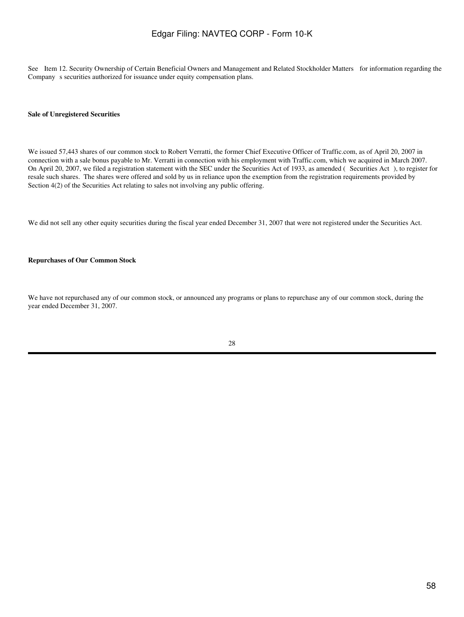See Item 12. Security Ownership of Certain Beneficial Owners and Management and Related Stockholder Matters for information regarding the Company s securities authorized for issuance under equity compensation plans.

### **Sale of Unregistered Securities**

We issued 57,443 shares of our common stock to Robert Verratti, the former Chief Executive Officer of Traffic.com, as of April 20, 2007 in connection with a sale bonus payable to Mr. Verratti in connection with his employment with Traffic.com, which we acquired in March 2007. On April 20, 2007, we filed a registration statement with the SEC under the Securities Act of 1933, as amended (Securities Act), to register for resale such shares. The shares were offered and sold by us in reliance upon the exemption from the registration requirements provided by Section 4(2) of the Securities Act relating to sales not involving any public offering.

We did not sell any other equity securities during the fiscal year ended December 31, 2007 that were not registered under the Securities Act.

### **Repurchases of Our Common Stock**

We have not repurchased any of our common stock, or announced any programs or plans to repurchase any of our common stock, during the year ended December 31, 2007.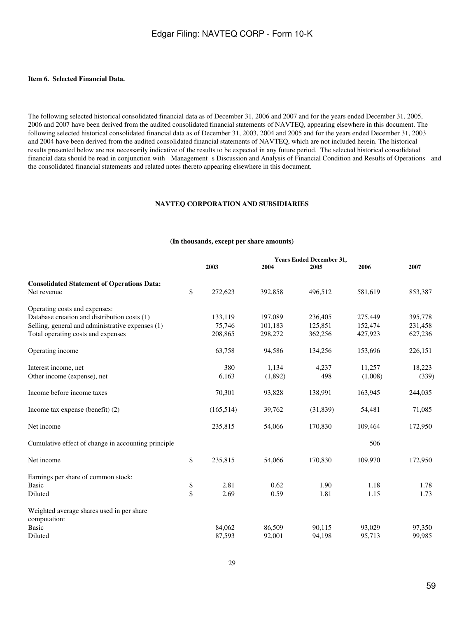## **Item 6. Selected Financial Data.**

The following selected historical consolidated financial data as of December 31, 2006 and 2007 and for the years ended December 31, 2005, 2006 and 2007 have been derived from the audited consolidated financial statements of NAVTEQ, appearing elsewhere in this document. The following selected historical consolidated financial data as of December 31, 2003, 2004 and 2005 and for the years ended December 31, 2003 and 2004 have been derived from the audited consolidated financial statements of NAVTEQ, which are not included herein. The historical results presented below are not necessarily indicative of the results to be expected in any future period. The selected historical consolidated financial data should be read in conjunction with Management s Discussion and Analysis of Financial Condition and Results of Operations and the consolidated financial statements and related notes thereto appearing elsewhere in this document.

### **NAVTEQ CORPORATION AND SUBSIDIARIES**

### **(In thousands, except per share amounts)**

|                                                     | <b>Years Ended December 31,</b>                                       |            |         |          |         |         |
|-----------------------------------------------------|-----------------------------------------------------------------------|------------|---------|----------|---------|---------|
|                                                     |                                                                       | 2003       | 2004    | 2005     | 2006    | 2007    |
| <b>Consolidated Statement of Operations Data:</b>   |                                                                       |            |         |          |         |         |
| Net revenue                                         | \$                                                                    | 272,623    | 392,858 | 496,512  | 581,619 | 853,387 |
| Operating costs and expenses:                       |                                                                       |            |         |          |         |         |
| Database creation and distribution costs (1)        |                                                                       | 133,119    | 197,089 | 236,405  | 275,449 | 395,778 |
| Selling, general and administrative expenses (1)    |                                                                       | 75,746     | 101,183 | 125,851  | 152,474 | 231,458 |
| Total operating costs and expenses                  |                                                                       | 208,865    | 298,272 | 362,256  | 427,923 | 627,236 |
| Operating income                                    |                                                                       | 63,758     | 94,586  | 134,256  | 153,696 | 226,151 |
| Interest income, net                                |                                                                       | 380        | 1,134   | 4.237    | 11,257  | 18,223  |
| Other income (expense), net                         |                                                                       | 6,163      | (1,892) | 498      | (1,008) | (339)   |
| Income before income taxes                          |                                                                       | 70,301     | 93,828  | 138,991  | 163,945 | 244,035 |
| Income tax expense (benefit) $(2)$                  |                                                                       | (165, 514) | 39,762  | (31,839) | 54,481  | 71,085  |
| Net income                                          |                                                                       | 235,815    | 54,066  | 170,830  | 109,464 | 172,950 |
| Cumulative effect of change in accounting principle |                                                                       |            |         |          | 506     |         |
| Net income                                          | \$                                                                    | 235,815    | 54,066  | 170,830  | 109,970 | 172,950 |
| Earnings per share of common stock:                 |                                                                       |            |         |          |         |         |
| Basic                                               | $\mathbb{S}% _{t}\left( t\right) \equiv\mathbb{S}_{t}\left( t\right)$ | 2.81       | 0.62    | 1.90     | 1.18    | 1.78    |
| Diluted                                             | \$                                                                    | 2.69       | 0.59    | 1.81     | 1.15    | 1.73    |
| Weighted average shares used in per share           |                                                                       |            |         |          |         |         |
| computation:                                        |                                                                       |            |         |          |         |         |
| <b>Basic</b>                                        |                                                                       | 84,062     | 86,509  | 90,115   | 93,029  | 97,350  |
| Diluted                                             |                                                                       | 87,593     | 92,001  | 94,198   | 95,713  | 99,985  |
|                                                     |                                                                       |            |         |          |         |         |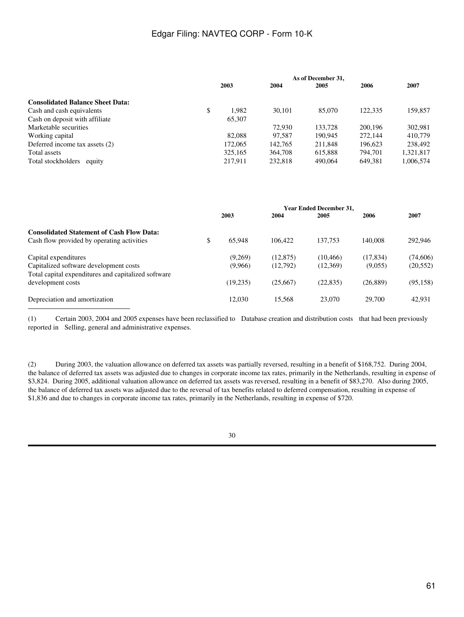|                                         | As of December 31, |         |         |         |           |
|-----------------------------------------|--------------------|---------|---------|---------|-----------|
|                                         | 2003               | 2004    | 2005    | 2006    | 2007      |
| <b>Consolidated Balance Sheet Data:</b> |                    |         |         |         |           |
| \$<br>Cash and cash equivalents         | 1.982              | 30.101  | 85,070  | 122,335 | 159,857   |
| Cash on deposit with affiliate          | 65,307             |         |         |         |           |
| Marketable securities                   |                    | 72,930  | 133,728 | 200,196 | 302.981   |
| Working capital                         | 82,088             | 97,587  | 190.945 | 272,144 | 410.779   |
| Deferred income tax assets (2)          | 172,065            | 142,765 | 211,848 | 196.623 | 238,492   |
| Total assets                            | 325,165            | 364,708 | 615.888 | 794.701 | 1,321,817 |
| Total stockholders<br>equity            | 217,911            | 232,818 | 490,064 | 649,381 | 1,006,574 |

|                                                     | <b>Year Ended December 31,</b> |           |           |           |           |           |
|-----------------------------------------------------|--------------------------------|-----------|-----------|-----------|-----------|-----------|
|                                                     |                                | 2003      | 2004      | 2005      | 2006      | 2007      |
| <b>Consolidated Statement of Cash Flow Data:</b>    |                                |           |           |           |           |           |
| Cash flow provided by operating activities          | \$                             | 65,948    | 106,422   | 137.753   | 140,008   | 292,946   |
| Capital expenditures                                |                                | (9,269)   | (12, 875) | (10, 466) | (17, 834) | (74,606)  |
| Capitalized software development costs              |                                | (9,966)   | (12,792)  | (12,369)  | (9,055)   | (20, 552) |
| Total capital expenditures and capitalized software |                                |           |           |           |           |           |
| development costs                                   |                                | (19, 235) | (25,667)  | (22, 835) | (26, 889) | (95, 158) |
| Depreciation and amortization                       |                                | 12.030    | 15.568    | 23,070    | 29,700    | 42.931    |

(1) Certain 2003, 2004 and 2005 expenses have been reclassified to Database creation and distribution costs that had been previously reported in Selling, general and administrative expenses.

(2) During 2003, the valuation allowance on deferred tax assets was partially reversed, resulting in a benefit of \$168,752. During 2004, the balance of deferred tax assets was adjusted due to changes in corporate income tax rates, primarily in the Netherlands, resulting in expense of \$3,824. During 2005, additional valuation allowance on deferred tax assets was reversed, resulting in a benefit of \$83,270. Also during 2005, the balance of deferred tax assets was adjusted due to the reversal of tax benefits related to deferred compensation, resulting in expense of \$1,836 and due to changes in corporate income tax rates, primarily in the Netherlands, resulting in expense of \$720.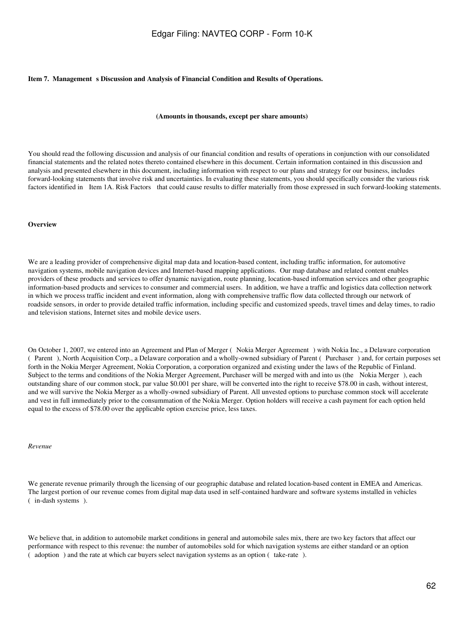### Item 7. Management s Discussion and Analysis of Financial Condition and Results of Operations.

#### **(Amounts in thousands, except per share amounts)**

You should read the following discussion and analysis of our financial condition and results of operations in conjunction with our consolidated financial statements and the related notes thereto contained elsewhere in this document. Certain information contained in this discussion and analysis and presented elsewhere in this document, including information with respect to our plans and strategy for our business, includes forward-looking statements that involve risk and uncertainties. In evaluating these statements, you should specifically consider the various risk factors identified in Item 1A. Risk Factors that could cause results to differ materially from those expressed in such forward-looking statements.

### **Overview**

We are a leading provider of comprehensive digital map data and location-based content, including traffic information, for automotive navigation systems, mobile navigation devices and Internet-based mapping applications. Our map database and related content enables providers of these products and services to offer dynamic navigation, route planning, location-based information services and other geographic information-based products and services to consumer and commercial users. In addition, we have a traffic and logistics data collection network in which we process traffic incident and event information, along with comprehensive traffic flow data collected through our network of roadside sensors, in order to provide detailed traffic information, including specific and customized speeds, travel times and delay times, to radio and television stations, Internet sites and mobile device users.

On October 1, 2007, we entered into an Agreement and Plan of Merger (Nokia Merger Agreement) with Nokia Inc., a Delaware corporation (Parent), North Acquisition Corp., a Delaware corporation and a wholly-owned subsidiary of Parent (Purchaser) and, for certain purposes set forth in the Nokia Merger Agreement, Nokia Corporation, a corporation organized and existing under the laws of the Republic of Finland. Subject to the terms and conditions of the Nokia Merger Agreement, Purchaser will be merged with and into us (the Nokia Merger), each outstanding share of our common stock, par value \$0.001 per share, will be converted into the right to receive \$78.00 in cash, without interest, and we will survive the Nokia Merger as a wholly-owned subsidiary of Parent. All unvested options to purchase common stock will accelerate and vest in full immediately prior to the consummation of the Nokia Merger. Option holders will receive a cash payment for each option held equal to the excess of \$78.00 over the applicable option exercise price, less taxes.

#### *Revenue*

We generate revenue primarily through the licensing of our geographic database and related location-based content in EMEA and Americas. The largest portion of our revenue comes from digital map data used in self-contained hardware and software systems installed in vehicles ( in-dash systems ).

We believe that, in addition to automobile market conditions in general and automobile sales mix, there are two key factors that affect our performance with respect to this revenue: the number of automobiles sold for which navigation systems are either standard or an option (adoption) and the rate at which car buyers select navigation systems as an option (take-rate).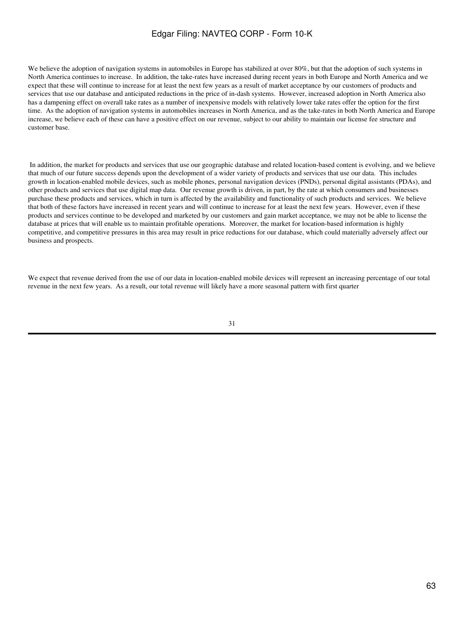We believe the adoption of navigation systems in automobiles in Europe has stabilized at over 80%, but that the adoption of such systems in North America continues to increase. In addition, the take-rates have increased during recent years in both Europe and North America and we expect that these will continue to increase for at least the next few years as a result of market acceptance by our customers of products and services that use our database and anticipated reductions in the price of in-dash systems. However, increased adoption in North America also has a dampening effect on overall take rates as a number of inexpensive models with relatively lower take rates offer the option for the first time. As the adoption of navigation systems in automobiles increases in North America, and as the take-rates in both North America and Europe increase, we believe each of these can have a positive effect on our revenue, subject to our ability to maintain our license fee structure and customer base.

 In addition, the market for products and services that use our geographic database and related location-based content is evolving, and we believe that much of our future success depends upon the development of a wider variety of products and services that use our data. This includes growth in location-enabled mobile devices, such as mobile phones, personal navigation devices (PNDs), personal digital assistants (PDAs), and other products and services that use digital map data. Our revenue growth is driven, in part, by the rate at which consumers and businesses purchase these products and services, which in turn is affected by the availability and functionality of such products and services. We believe that both of these factors have increased in recent years and will continue to increase for at least the next few years. However, even if these products and services continue to be developed and marketed by our customers and gain market acceptance, we may not be able to license the database at prices that will enable us to maintain profitable operations. Moreover, the market for location-based information is highly competitive, and competitive pressures in this area may result in price reductions for our database, which could materially adversely affect our business and prospects.

We expect that revenue derived from the use of our data in location-enabled mobile devices will represent an increasing percentage of our total revenue in the next few years. As a result, our total revenue will likely have a more seasonal pattern with first quarter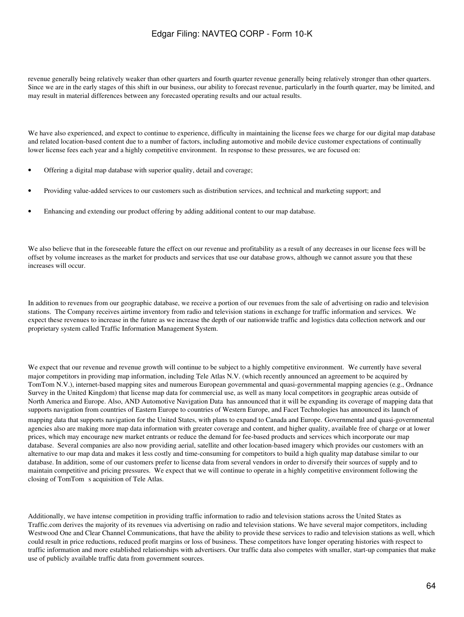revenue generally being relatively weaker than other quarters and fourth quarter revenue generally being relatively stronger than other quarters. Since we are in the early stages of this shift in our business, our ability to forecast revenue, particularly in the fourth quarter, may be limited, and may result in material differences between any forecasted operating results and our actual results.

We have also experienced, and expect to continue to experience, difficulty in maintaining the license fees we charge for our digital map database and related location-based content due to a number of factors, including automotive and mobile device customer expectations of continually lower license fees each year and a highly competitive environment. In response to these pressures, we are focused on:

- Offering a digital map database with superior quality, detail and coverage;
- Providing value-added services to our customers such as distribution services, and technical and marketing support; and
- Enhancing and extending our product offering by adding additional content to our map database.

We also believe that in the foreseeable future the effect on our revenue and profitability as a result of any decreases in our license fees will be offset by volume increases as the market for products and services that use our database grows, although we cannot assure you that these increases will occur.

In addition to revenues from our geographic database, we receive a portion of our revenues from the sale of advertising on radio and television stations. The Company receives airtime inventory from radio and television stations in exchange for traffic information and services. We expect these revenues to increase in the future as we increase the depth of our nationwide traffic and logistics data collection network and our proprietary system called Traffic Information Management System.

We expect that our revenue and revenue growth will continue to be subject to a highly competitive environment. We currently have several major competitors in providing map information, including Tele Atlas N.V. (which recently announced an agreement to be acquired by TomTom N.V.), internet-based mapping sites and numerous European governmental and quasi-governmental mapping agencies (e.g., Ordnance Survey in the United Kingdom) that license map data for commercial use, as well as many local competitors in geographic areas outside of North America and Europe. Also, AND Automotive Navigation Data has announced that it will be expanding its coverage of mapping data that supports navigation from countries of Eastern Europe to countries of Western Europe, and Facet Technologies has announced its launch of mapping data that supports navigation for the United States, with plans to expand to Canada and Europe. Governmental and quasi-governmental agencies also are making more map data information with greater coverage and content, and higher quality, available free of charge or at lower prices, which may encourage new market entrants or reduce the demand for fee-based products and services which incorporate our map database. Several companies are also now providing aerial, satellite and other location-based imagery which provides our customers with an alternative to our map data and makes it less costly and time-consuming for competitors to build a high quality map database similar to our database. In addition, some of our customers prefer to license data from several vendors in order to diversify their sources of supply and to maintain competitive and pricing pressures. We expect that we will continue to operate in a highly competitive environment following the closing of TomTom s acquisition of Tele Atlas.

Additionally, we have intense competition in providing traffic information to radio and television stations across the United States as Traffic.com derives the majority of its revenues via advertising on radio and television stations. We have several major competitors, including Westwood One and Clear Channel Communications, that have the ability to provide these services to radio and television stations as well, which could result in price reductions, reduced profit margins or loss of business. These competitors have longer operating histories with respect to traffic information and more established relationships with advertisers. Our traffic data also competes with smaller, start-up companies that make use of publicly available traffic data from government sources.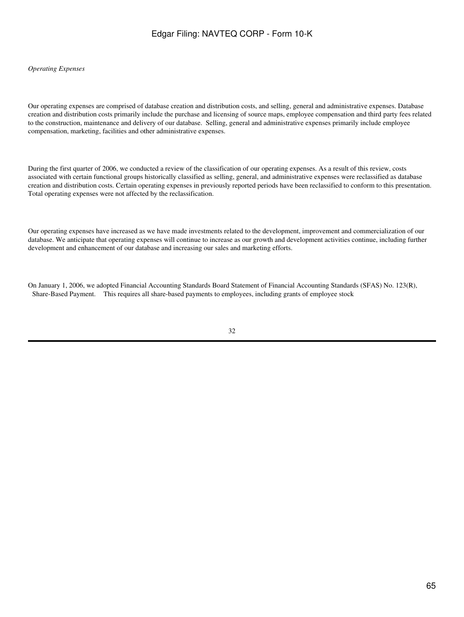## *Operating Expenses*

Our operating expenses are comprised of database creation and distribution costs, and selling, general and administrative expenses. Database creation and distribution costs primarily include the purchase and licensing of source maps, employee compensation and third party fees related to the construction, maintenance and delivery of our database. Selling, general and administrative expenses primarily include employee compensation, marketing, facilities and other administrative expenses.

During the first quarter of 2006, we conducted a review of the classification of our operating expenses. As a result of this review, costs associated with certain functional groups historically classified as selling, general, and administrative expenses were reclassified as database creation and distribution costs. Certain operating expenses in previously reported periods have been reclassified to conform to this presentation. Total operating expenses were not affected by the reclassification.

Our operating expenses have increased as we have made investments related to the development, improvement and commercialization of our database. We anticipate that operating expenses will continue to increase as our growth and development activities continue, including further development and enhancement of our database and increasing our sales and marketing efforts.

On January 1, 2006, we adopted Financial Accounting Standards Board Statement of Financial Accounting Standards (SFAS) No. 123(R), Share-Based Payment. This requires all share-based payments to employees, including grants of employee stock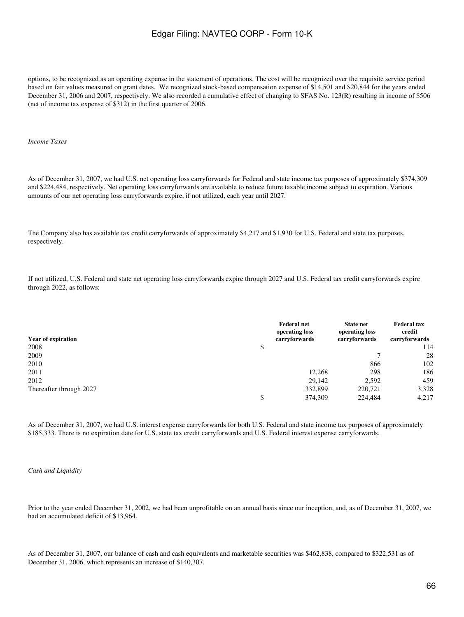options, to be recognized as an operating expense in the statement of operations. The cost will be recognized over the requisite service period based on fair values measured on grant dates. We recognized stock-based compensation expense of \$14,501 and \$20,844 for the years ended December 31, 2006 and 2007, respectively. We also recorded a cumulative effect of changing to SFAS No. 123(R) resulting in income of \$506 (net of income tax expense of \$312) in the first quarter of 2006.

*Income Taxes*

As of December 31, 2007, we had U.S. net operating loss carryforwards for Federal and state income tax purposes of approximately \$374,309 and \$224,484, respectively. Net operating loss carryforwards are available to reduce future taxable income subject to expiration. Various amounts of our net operating loss carryforwards expire, if not utilized, each year until 2027.

The Company also has available tax credit carryforwards of approximately \$4,217 and \$1,930 for U.S. Federal and state tax purposes, respectively.

If not utilized, U.S. Federal and state net operating loss carryforwards expire through 2027 and U.S. Federal tax credit carryforwards expire through 2022, as follows:

| <b>Year of expiration</b> | <b>Federal net</b><br>operating loss<br>carryforwards | <b>State net</b><br>operating loss<br>carryforwards | <b>Federal tax</b><br>credit<br>carryforwards |
|---------------------------|-------------------------------------------------------|-----------------------------------------------------|-----------------------------------------------|
| 2008                      |                                                       |                                                     | 114                                           |
| 2009                      |                                                       |                                                     | 28                                            |
| 2010                      |                                                       | 866                                                 | 102                                           |
| 2011                      | 12.268                                                | 298                                                 | 186                                           |
| 2012                      | 29,142                                                | 2,592                                               | 459                                           |
| Thereafter through 2027   | 332,899                                               | 220,721                                             | 3,328                                         |
|                           | 374,309                                               | 224.484                                             | 4,217                                         |

As of December 31, 2007, we had U.S. interest expense carryforwards for both U.S. Federal and state income tax purposes of approximately \$185,333. There is no expiration date for U.S. state tax credit carryforwards and U.S. Federal interest expense carryforwards.

*Cash and Liquidity*

Prior to the year ended December 31, 2002, we had been unprofitable on an annual basis since our inception, and, as of December 31, 2007, we had an accumulated deficit of \$13,964.

As of December 31, 2007, our balance of cash and cash equivalents and marketable securities was \$462,838, compared to \$322,531 as of December 31, 2006, which represents an increase of \$140,307.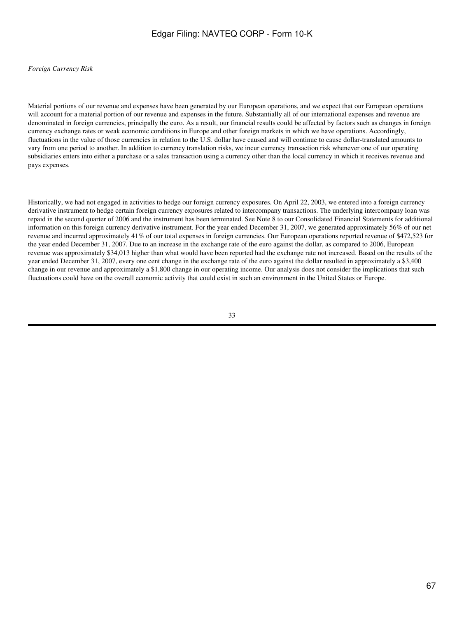## *Foreign Currency Risk*

Material portions of our revenue and expenses have been generated by our European operations, and we expect that our European operations will account for a material portion of our revenue and expenses in the future. Substantially all of our international expenses and revenue are denominated in foreign currencies, principally the euro. As a result, our financial results could be affected by factors such as changes in foreign currency exchange rates or weak economic conditions in Europe and other foreign markets in which we have operations. Accordingly, fluctuations in the value of those currencies in relation to the U.S. dollar have caused and will continue to cause dollar-translated amounts to vary from one period to another. In addition to currency translation risks, we incur currency transaction risk whenever one of our operating subsidiaries enters into either a purchase or a sales transaction using a currency other than the local currency in which it receives revenue and pays expenses.

Historically, we had not engaged in activities to hedge our foreign currency exposures. On April 22, 2003, we entered into a foreign currency derivative instrument to hedge certain foreign currency exposures related to intercompany transactions. The underlying intercompany loan was repaid in the second quarter of 2006 and the instrument has been terminated. See Note 8 to our Consolidated Financial Statements for additional information on this foreign currency derivative instrument. For the year ended December 31, 2007, we generated approximately 56% of our net revenue and incurred approximately 41% of our total expenses in foreign currencies. Our European operations reported revenue of \$472,523 for the year ended December 31, 2007. Due to an increase in the exchange rate of the euro against the dollar, as compared to 2006, European revenue was approximately \$34,013 higher than what would have been reported had the exchange rate not increased. Based on the results of the year ended December 31, 2007, every one cent change in the exchange rate of the euro against the dollar resulted in approximately a \$3,400 change in our revenue and approximately a \$1,800 change in our operating income. Our analysis does not consider the implications that such fluctuations could have on the overall economic activity that could exist in such an environment in the United States or Europe.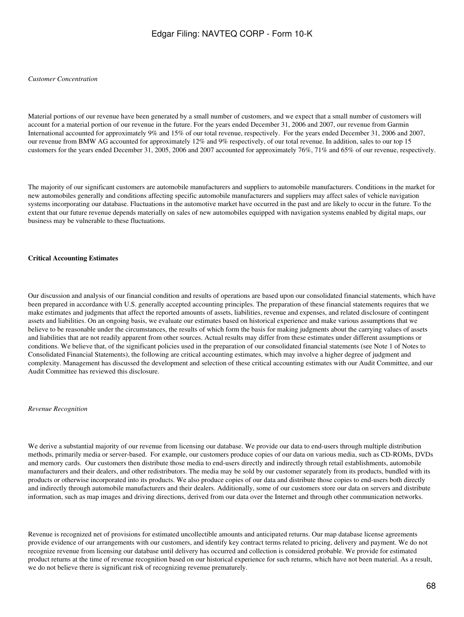### *Customer Concentration*

Material portions of our revenue have been generated by a small number of customers, and we expect that a small number of customers will account for a material portion of our revenue in the future. For the years ended December 31, 2006 and 2007, our revenue from Garmin International accounted for approximately 9% and 15% of our total revenue, respectively. For the years ended December 31, 2006 and 2007, our revenue from BMW AG accounted for approximately 12% and 9% respectively, of our total revenue. In addition, sales to our top 15 customers for the years ended December 31, 2005, 2006 and 2007 accounted for approximately 76%, 71% and 65% of our revenue, respectively.

The majority of our significant customers are automobile manufacturers and suppliers to automobile manufacturers. Conditions in the market for new automobiles generally and conditions affecting specific automobile manufacturers and suppliers may affect sales of vehicle navigation systems incorporating our database. Fluctuations in the automotive market have occurred in the past and are likely to occur in the future. To the extent that our future revenue depends materially on sales of new automobiles equipped with navigation systems enabled by digital maps, our business may be vulnerable to these fluctuations.

### **Critical Accounting Estimates**

Our discussion and analysis of our financial condition and results of operations are based upon our consolidated financial statements, which have been prepared in accordance with U.S. generally accepted accounting principles. The preparation of these financial statements requires that we make estimates and judgments that affect the reported amounts of assets, liabilities, revenue and expenses, and related disclosure of contingent assets and liabilities. On an ongoing basis, we evaluate our estimates based on historical experience and make various assumptions that we believe to be reasonable under the circumstances, the results of which form the basis for making judgments about the carrying values of assets and liabilities that are not readily apparent from other sources. Actual results may differ from these estimates under different assumptions or conditions. We believe that, of the significant policies used in the preparation of our consolidated financial statements (see Note 1 of Notes to Consolidated Financial Statements), the following are critical accounting estimates, which may involve a higher degree of judgment and complexity. Management has discussed the development and selection of these critical accounting estimates with our Audit Committee, and our Audit Committee has reviewed this disclosure.

#### *Revenue Recognition*

We derive a substantial majority of our revenue from licensing our database. We provide our data to end-users through multiple distribution methods, primarily media or server-based. For example, our customers produce copies of our data on various media, such as CD-ROMs, DVDs and memory cards. Our customers then distribute those media to end-users directly and indirectly through retail establishments, automobile manufacturers and their dealers, and other redistributors. The media may be sold by our customer separately from its products, bundled with its products or otherwise incorporated into its products. We also produce copies of our data and distribute those copies to end-users both directly and indirectly through automobile manufacturers and their dealers. Additionally, some of our customers store our data on servers and distribute information, such as map images and driving directions, derived from our data over the Internet and through other communication networks.

Revenue is recognized net of provisions for estimated uncollectible amounts and anticipated returns. Our map database license agreements provide evidence of our arrangements with our customers, and identify key contract terms related to pricing, delivery and payment. We do not recognize revenue from licensing our database until delivery has occurred and collection is considered probable. We provide for estimated product returns at the time of revenue recognition based on our historical experience for such returns, which have not been material. As a result, we do not believe there is significant risk of recognizing revenue prematurely.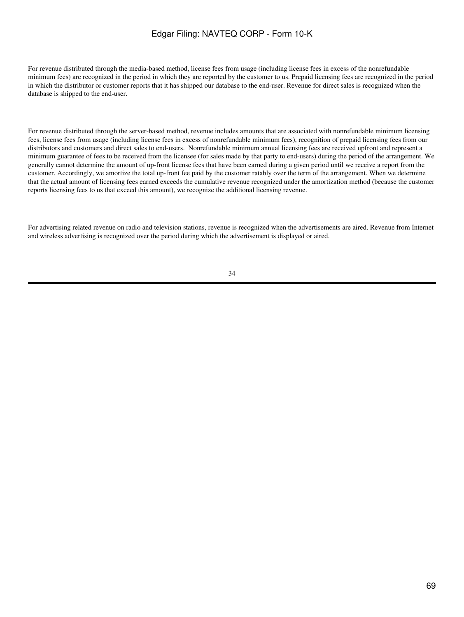For revenue distributed through the media-based method, license fees from usage (including license fees in excess of the nonrefundable minimum fees) are recognized in the period in which they are reported by the customer to us. Prepaid licensing fees are recognized in the period in which the distributor or customer reports that it has shipped our database to the end-user. Revenue for direct sales is recognized when the database is shipped to the end-user.

For revenue distributed through the server-based method, revenue includes amounts that are associated with nonrefundable minimum licensing fees, license fees from usage (including license fees in excess of nonrefundable minimum fees), recognition of prepaid licensing fees from our distributors and customers and direct sales to end-users. Nonrefundable minimum annual licensing fees are received upfront and represent a minimum guarantee of fees to be received from the licensee (for sales made by that party to end-users) during the period of the arrangement. We generally cannot determine the amount of up-front license fees that have been earned during a given period until we receive a report from the customer. Accordingly, we amortize the total up-front fee paid by the customer ratably over the term of the arrangement. When we determine that the actual amount of licensing fees earned exceeds the cumulative revenue recognized under the amortization method (because the customer reports licensing fees to us that exceed this amount), we recognize the additional licensing revenue.

For advertising related revenue on radio and television stations, revenue is recognized when the advertisements are aired. Revenue from Internet and wireless advertising is recognized over the period during which the advertisement is displayed or aired.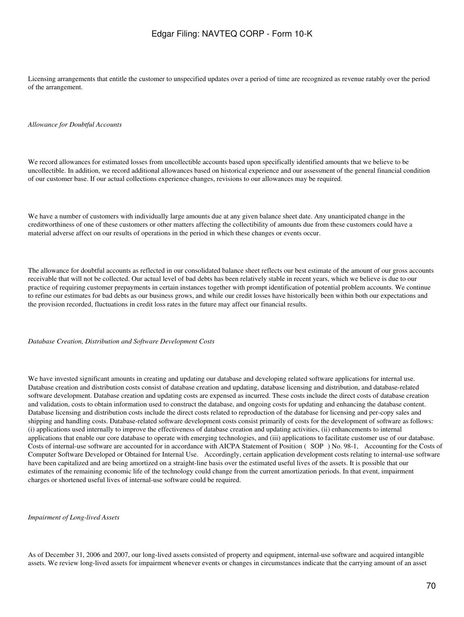Licensing arrangements that entitle the customer to unspecified updates over a period of time are recognized as revenue ratably over the period of the arrangement.

#### *Allowance for Doubtful Accounts*

We record allowances for estimated losses from uncollectible accounts based upon specifically identified amounts that we believe to be uncollectible. In addition, we record additional allowances based on historical experience and our assessment of the general financial condition of our customer base. If our actual collections experience changes, revisions to our allowances may be required.

We have a number of customers with individually large amounts due at any given balance sheet date. Any unanticipated change in the creditworthiness of one of these customers or other matters affecting the collectibility of amounts due from these customers could have a material adverse affect on our results of operations in the period in which these changes or events occur.

The allowance for doubtful accounts as reflected in our consolidated balance sheet reflects our best estimate of the amount of our gross accounts receivable that will not be collected. Our actual level of bad debts has been relatively stable in recent years, which we believe is due to our practice of requiring customer prepayments in certain instances together with prompt identification of potential problem accounts. We continue to refine our estimates for bad debts as our business grows, and while our credit losses have historically been within both our expectations and the provision recorded, fluctuations in credit loss rates in the future may affect our financial results.

*Database Creation, Distribution and Software Development Costs*

We have invested significant amounts in creating and updating our database and developing related software applications for internal use. Database creation and distribution costs consist of database creation and updating, database licensing and distribution, and database-related software development. Database creation and updating costs are expensed as incurred. These costs include the direct costs of database creation and validation, costs to obtain information used to construct the database, and ongoing costs for updating and enhancing the database content. Database licensing and distribution costs include the direct costs related to reproduction of the database for licensing and per-copy sales and shipping and handling costs. Database-related software development costs consist primarily of costs for the development of software as follows: (i) applications used internally to improve the effectiveness of database creation and updating activities, (ii) enhancements to internal applications that enable our core database to operate with emerging technologies, and (iii) applications to facilitate customer use of our database. Costs of internal-use software are accounted for in accordance with AICPA Statement of Position (SOP) No. 98-1, Accounting for the Costs of Computer Software Developed or Obtained for Internal Use. Accordingly, certain application development costs relating to internal-use software have been capitalized and are being amortized on a straight-line basis over the estimated useful lives of the assets. It is possible that our estimates of the remaining economic life of the technology could change from the current amortization periods. In that event, impairment charges or shortened useful lives of internal-use software could be required.

*Impairment of Long-lived Assets*

As of December 31, 2006 and 2007, our long-lived assets consisted of property and equipment, internal-use software and acquired intangible assets. We review long-lived assets for impairment whenever events or changes in circumstances indicate that the carrying amount of an asset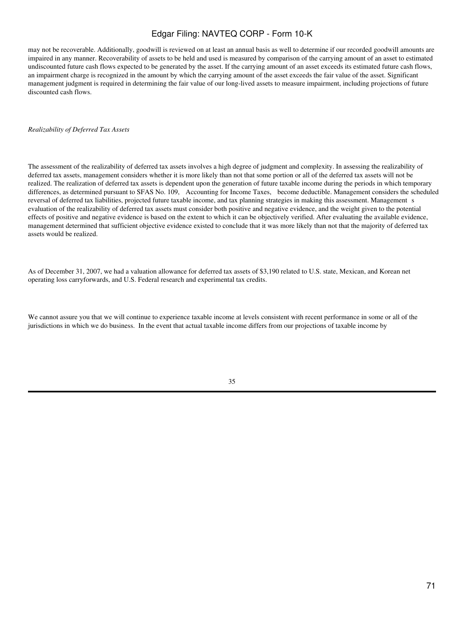may not be recoverable. Additionally, goodwill is reviewed on at least an annual basis as well to determine if our recorded goodwill amounts are impaired in any manner. Recoverability of assets to be held and used is measured by comparison of the carrying amount of an asset to estimated undiscounted future cash flows expected to be generated by the asset. If the carrying amount of an asset exceeds its estimated future cash flows, an impairment charge is recognized in the amount by which the carrying amount of the asset exceeds the fair value of the asset. Significant management judgment is required in determining the fair value of our long-lived assets to measure impairment, including projections of future discounted cash flows.

*Realizability of Deferred Tax Assets*

The assessment of the realizability of deferred tax assets involves a high degree of judgment and complexity. In assessing the realizability of deferred tax assets, management considers whether it is more likely than not that some portion or all of the deferred tax assets will not be realized. The realization of deferred tax assets is dependent upon the generation of future taxable income during the periods in which temporary differences, as determined pursuant to SFAS No. 109, Accounting for Income Taxes, become deductible. Management considers the scheduled reversal of deferred tax liabilities, projected future taxable income, and tax planning strategies in making this assessment. Managements evaluation of the realizability of deferred tax assets must consider both positive and negative evidence, and the weight given to the potential effects of positive and negative evidence is based on the extent to which it can be objectively verified. After evaluating the available evidence, management determined that sufficient objective evidence existed to conclude that it was more likely than not that the majority of deferred tax assets would be realized.

As of December 31, 2007, we had a valuation allowance for deferred tax assets of \$3,190 related to U.S. state, Mexican, and Korean net operating loss carryforwards, and U.S. Federal research and experimental tax credits.

We cannot assure you that we will continue to experience taxable income at levels consistent with recent performance in some or all of the jurisdictions in which we do business. In the event that actual taxable income differs from our projections of taxable income by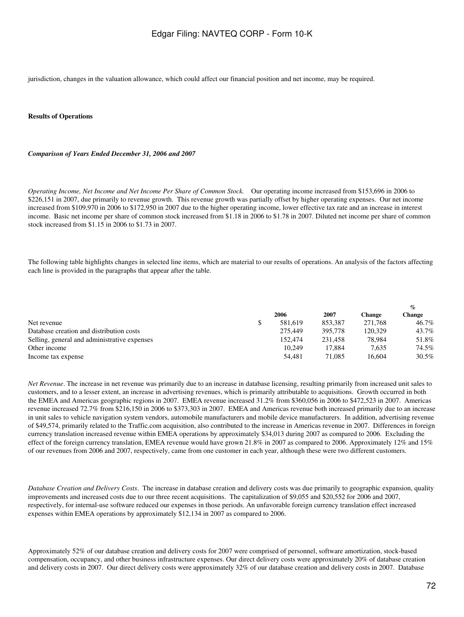jurisdiction, changes in the valuation allowance, which could affect our financial position and net income, may be required.

#### **Results of Operations**

#### *Comparison of Years Ended December 31, 2006 and 2007*

*Operating Income, Net Income and Net Income Per Share of Common Stock.* Our operating income increased from \$153,696 in 2006 to \$226,151 in 2007, due primarily to revenue growth. This revenue growth was partially offset by higher operating expenses. Our net income increased from \$109,970 in 2006 to \$172,950 in 2007 due to the higher operating income, lower effective tax rate and an increase in interest income. Basic net income per share of common stock increased from \$1.18 in 2006 to \$1.78 in 2007. Diluted net income per share of common stock increased from \$1.15 in 2006 to \$1.73 in 2007.

The following table highlights changes in selected line items, which are material to our results of operations. An analysis of the factors affecting each line is provided in the paragraphs that appear after the table.

|                                              |         |         |         | $\%$   |
|----------------------------------------------|---------|---------|---------|--------|
|                                              | 2006    | 2007    | Change  | Change |
| Net revenue                                  | 581.619 | 853.387 | 271.768 | 46.7%  |
| Database creation and distribution costs     | 275,449 | 395,778 | 120,329 | 43.7%  |
| Selling, general and administrative expenses | 152,474 | 231.458 | 78.984  | 51.8%  |
| Other income                                 | 10.249  | 17.884  | 7.635   | 74.5%  |
| Income tax expense                           | 54.481  | 71.085  | 16.604  | 30.5%  |

*Net Revenue*. The increase in net revenue was primarily due to an increase in database licensing, resulting primarily from increased unit sales to customers, and to a lesser extent, an increase in advertising revenues, which is primarily attributable to acquisitions. Growth occurred in both the EMEA and Americas geographic regions in 2007. EMEA revenue increased 31.2% from \$360,056 in 2006 to \$472,523 in 2007. Americas revenue increased 72.7% from \$216,150 in 2006 to \$373,303 in 2007. EMEA and Americas revenue both increased primarily due to an increase in unit sales to vehicle navigation system vendors, automobile manufacturers and mobile device manufacturers. In addition, advertising revenue of \$49,574, primarily related to the Traffic.com acquisition, also contributed to the increase in Americas revenue in 2007. Differences in foreign currency translation increased revenue within EMEA operations by approximately \$34,013 during 2007 as compared to 2006. Excluding the effect of the foreign currency translation, EMEA revenue would have grown 21.8% in 2007 as compared to 2006. Approximately 12% and 15% of our revenues from 2006 and 2007, respectively, came from one customer in each year, although these were two different customers.

*Database Creation and Delivery Costs*. The increase in database creation and delivery costs was due primarily to geographic expansion, quality improvements and increased costs due to our three recent acquisitions. The capitalization of \$9,055 and \$20,552 for 2006 and 2007, respectively, for internal-use software reduced our expenses in those periods. An unfavorable foreign currency translation effect increased expenses within EMEA operations by approximately \$12,134 in 2007 as compared to 2006.

Approximately 52% of our database creation and delivery costs for 2007 were comprised of personnel, software amortization, stock-based compensation, occupancy, and other business infrastructure expenses. Our direct delivery costs were approximately 20% of database creation and delivery costs in 2007. Our direct delivery costs were approximately 32% of our database creation and delivery costs in 2007. Database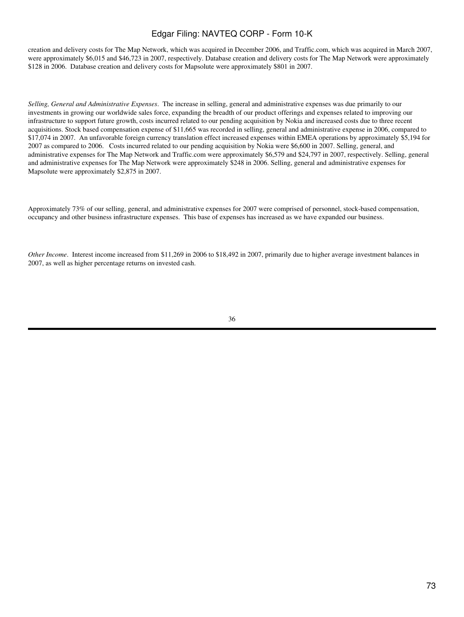creation and delivery costs for The Map Network, which was acquired in December 2006, and Traffic.com, which was acquired in March 2007, were approximately \$6,015 and \$46,723 in 2007, respectively. Database creation and delivery costs for The Map Network were approximately \$128 in 2006. Database creation and delivery costs for Mapsolute were approximately \$801 in 2007.

*Selling, General and Administrative Expenses*. The increase in selling, general and administrative expenses was due primarily to our investments in growing our worldwide sales force, expanding the breadth of our product offerings and expenses related to improving our infrastructure to support future growth, costs incurred related to our pending acquisition by Nokia and increased costs due to three recent acquisitions. Stock based compensation expense of \$11,665 was recorded in selling, general and administrative expense in 2006, compared to \$17,074 in 2007. An unfavorable foreign currency translation effect increased expenses within EMEA operations by approximately \$5,194 for 2007 as compared to 2006. Costs incurred related to our pending acquisition by Nokia were \$6,600 in 2007. Selling, general, and administrative expenses for The Map Network and Traffic.com were approximately \$6,579 and \$24,797 in 2007, respectively. Selling, general and administrative expenses for The Map Network were approximately \$248 in 2006. Selling, general and administrative expenses for Mapsolute were approximately \$2,875 in 2007.

Approximately 73% of our selling, general, and administrative expenses for 2007 were comprised of personnel, stock-based compensation, occupancy and other business infrastructure expenses. This base of expenses has increased as we have expanded our business.

*Other Income*. Interest income increased from \$11,269 in 2006 to \$18,492 in 2007, primarily due to higher average investment balances in 2007, as well as higher percentage returns on invested cash.

| ٠<br>v                         | ٧        |
|--------------------------------|----------|
| I                              |          |
| ۰.<br>۰,<br>×<br>M.<br>v<br>۰. | ۰.<br>۰. |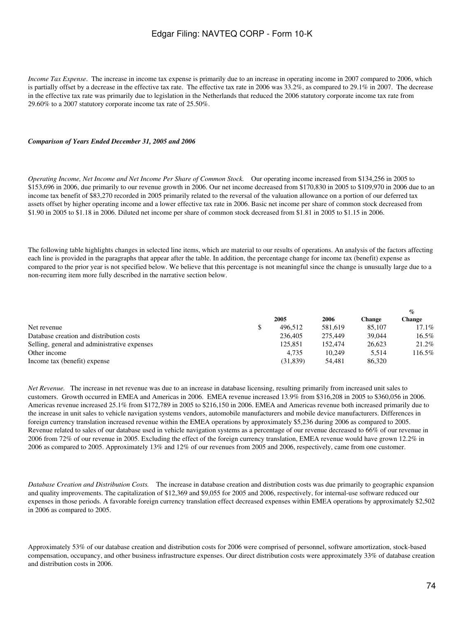*Income Tax Expense*. The increase in income tax expense is primarily due to an increase in operating income in 2007 compared to 2006, which is partially offset by a decrease in the effective tax rate. The effective tax rate in 2006 was 33.2%, as compared to 29.1% in 2007. The decrease in the effective tax rate was primarily due to legislation in the Netherlands that reduced the 2006 statutory corporate income tax rate from 29.60% to a 2007 statutory corporate income tax rate of 25.50%.

### *Comparison of Years Ended December 31, 2005 and 2006*

*Operating Income, Net Income and Net Income Per Share of Common Stock.* Our operating income increased from \$134,256 in 2005 to \$153,696 in 2006, due primarily to our revenue growth in 2006. Our net income decreased from \$170,830 in 2005 to \$109,970 in 2006 due to an income tax benefit of \$83,270 recorded in 2005 primarily related to the reversal of the valuation allowance on a portion of our deferred tax assets offset by higher operating income and a lower effective tax rate in 2006. Basic net income per share of common stock decreased from \$1.90 in 2005 to \$1.18 in 2006. Diluted net income per share of common stock decreased from \$1.81 in 2005 to \$1.15 in 2006.

The following table highlights changes in selected line items, which are material to our results of operations. An analysis of the factors affecting each line is provided in the paragraphs that appear after the table. In addition, the percentage change for income tax (benefit) expense as compared to the prior year is not specified below. We believe that this percentage is not meaningful since the change is unusually large due to a non-recurring item more fully described in the narrative section below.

|                                              |          |         |        | $\mathcal{O}_{\mathcal{O}}$ |
|----------------------------------------------|----------|---------|--------|-----------------------------|
|                                              | 2005     | 2006    | Change | Change                      |
| Net revenue                                  | 496.512  | 581,619 | 85,107 | 17.1%                       |
| Database creation and distribution costs     | 236,405  | 275,449 | 39,044 | 16.5%                       |
| Selling, general and administrative expenses | 125.851  | 152.474 | 26.623 | 21.2%                       |
| Other income                                 | 4.735    | 10.249  | 5.514  | 116.5%                      |
| Income tax (benefit) expense                 | (31,839) | 54.481  | 86,320 |                             |

*Net Revenue.* The increase in net revenue was due to an increase in database licensing, resulting primarily from increased unit sales to customers. Growth occurred in EMEA and Americas in 2006. EMEA revenue increased 13.9% from \$316,208 in 2005 to \$360,056 in 2006. Americas revenue increased 25.1% from \$172,789 in 2005 to \$216,150 in 2006. EMEA and Americas revenue both increased primarily due to the increase in unit sales to vehicle navigation systems vendors, automobile manufacturers and mobile device manufacturers. Differences in foreign currency translation increased revenue within the EMEA operations by approximately \$5,236 during 2006 as compared to 2005. Revenue related to sales of our database used in vehicle navigation systems as a percentage of our revenue decreased to 66% of our revenue in 2006 from 72% of our revenue in 2005. Excluding the effect of the foreign currency translation, EMEA revenue would have grown 12.2% in 2006 as compared to 2005. Approximately 13% and 12% of our revenues from 2005 and 2006, respectively, came from one customer.

*Database Creation and Distribution Costs.* The increase in database creation and distribution costs was due primarily to geographic expansion and quality improvements. The capitalization of \$12,369 and \$9,055 for 2005 and 2006, respectively, for internal-use software reduced our expenses in those periods. A favorable foreign currency translation effect decreased expenses within EMEA operations by approximately \$2,502 in 2006 as compared to 2005.

Approximately 53% of our database creation and distribution costs for 2006 were comprised of personnel, software amortization, stock-based compensation, occupancy, and other business infrastructure expenses. Our direct distribution costs were approximately 33% of database creation and distribution costs in 2006.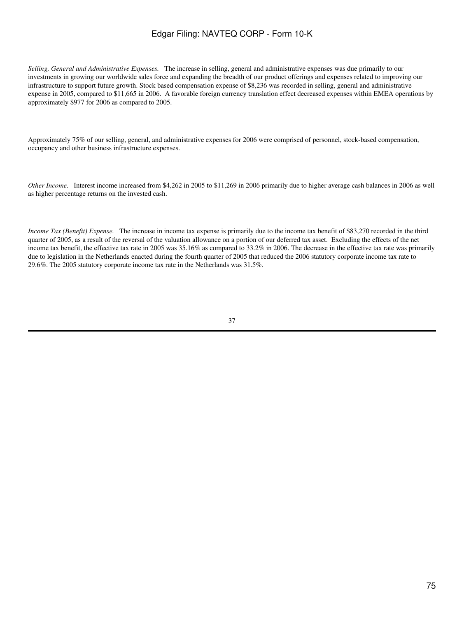*Selling, General and Administrative Expenses.* The increase in selling, general and administrative expenses was due primarily to our investments in growing our worldwide sales force and expanding the breadth of our product offerings and expenses related to improving our infrastructure to support future growth. Stock based compensation expense of \$8,236 was recorded in selling, general and administrative expense in 2005, compared to \$11,665 in 2006. A favorable foreign currency translation effect decreased expenses within EMEA operations by approximately \$977 for 2006 as compared to 2005.

Approximately 75% of our selling, general, and administrative expenses for 2006 were comprised of personnel, stock-based compensation, occupancy and other business infrastructure expenses.

*Other Income.* Interest income increased from \$4,262 in 2005 to \$11,269 in 2006 primarily due to higher average cash balances in 2006 as well as higher percentage returns on the invested cash.

*Income Tax (Benefit) Expense.* The increase in income tax expense is primarily due to the income tax benefit of \$83,270 recorded in the third quarter of 2005, as a result of the reversal of the valuation allowance on a portion of our deferred tax asset. Excluding the effects of the net income tax benefit, the effective tax rate in 2005 was 35.16% as compared to 33.2% in 2006. The decrease in the effective tax rate was primarily due to legislation in the Netherlands enacted during the fourth quarter of 2005 that reduced the 2006 statutory corporate income tax rate to 29.6%. The 2005 statutory corporate income tax rate in the Netherlands was 31.5%.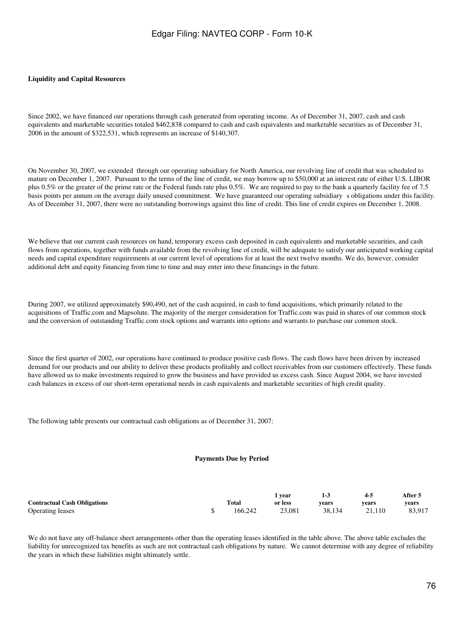### **Liquidity and Capital Resources**

Since 2002, we have financed our operations through cash generated from operating income. As of December 31, 2007, cash and cash equivalents and marketable securities totaled \$462,838 compared to cash and cash equivalents and marketable securities as of December 31, 2006 in the amount of \$322,531, which represents an increase of \$140,307.

On November 30, 2007, we extended through our operating subsidiary for North America, our revolving line of credit that was scheduled to mature on December 1, 2007. Pursuant to the terms of the line of credit, we may borrow up to \$50,000 at an interest rate of either U.S. LIBOR plus 0.5% or the greater of the prime rate or the Federal funds rate plus 0.5%. We are required to pay to the bank a quarterly facility fee of 7.5 basis points per annum on the average daily unused commitment. We have guaranteed our operating subsidiary s obligations under this facility. As of December 31, 2007, there were no outstanding borrowings against this line of credit. This line of credit expires on December 1, 2008.

We believe that our current cash resources on hand, temporary excess cash deposited in cash equivalents and marketable securities, and cash flows from operations, together with funds available from the revolving line of credit, will be adequate to satisfy our anticipated working capital needs and capital expenditure requirements at our current level of operations for at least the next twelve months. We do, however, consider additional debt and equity financing from time to time and may enter into these financings in the future.

During 2007, we utilized approximately \$90,490, net of the cash acquired, in cash to fund acquisitions, which primarily related to the acquisitions of Traffic.com and Mapsolute. The majority of the merger consideration for Traffic.com was paid in shares of our common stock and the conversion of outstanding Traffic.com stock options and warrants into options and warrants to purchase our common stock.

Since the first quarter of 2002, our operations have continued to produce positive cash flows. The cash flows have been driven by increased demand for our products and our ability to deliver these products profitably and collect receivables from our customers effectively. These funds have allowed us to make investments required to grow the business and have provided us excess cash. Since August 2004, we have invested cash balances in excess of our short-term operational needs in cash equivalents and marketable securities of high credit quality.

The following table presents our contractual cash obligations as of December 31, 2007:

### **Payments Due by Period**

|                                     |         | vear    |        | 4-5    | After 5 |
|-------------------------------------|---------|---------|--------|--------|---------|
| <b>Contractual Cash Obligations</b> | Total   | or less | vears  | vears  | vears   |
| <b>Operating leases</b>             | 166.242 | 23,081  | 38.134 | 21.110 | 83,917  |

We do not have any off-balance sheet arrangements other than the operating leases identified in the table above. The above table excludes the liability for unrecognized tax benefits as such are not contractual cash obligations by nature. We cannot determine with any degree of reliability the years in which these liabilities might ultimately settle.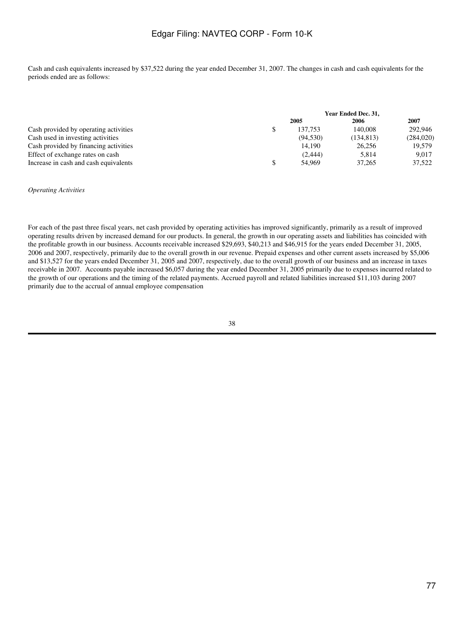Cash and cash equivalents increased by \$37,522 during the year ended December 31, 2007. The changes in cash and cash equivalents for the periods ended are as follows:

|                                       | Year Ended Dec. 31, |           |            |            |  |
|---------------------------------------|---------------------|-----------|------------|------------|--|
|                                       |                     | 2005      | 2006       | 2007       |  |
| Cash provided by operating activities |                     | 137.753   | 140,008    | 292,946    |  |
| Cash used in investing activities     |                     | (94, 530) | (134, 813) | (284, 020) |  |
| Cash provided by financing activities |                     | 14.190    | 26.256     | 19.579     |  |
| Effect of exchange rates on cash      |                     | (2,444)   | 5.814      | 9.017      |  |
| Increase in cash and cash equivalents |                     | 54,969    | 37,265     | 37.522     |  |

### *Operating Activities*

For each of the past three fiscal years, net cash provided by operating activities has improved significantly, primarily as a result of improved operating results driven by increased demand for our products. In general, the growth in our operating assets and liabilities has coincided with the profitable growth in our business. Accounts receivable increased \$29,693, \$40,213 and \$46,915 for the years ended December 31, 2005, 2006 and 2007, respectively, primarily due to the overall growth in our revenue. Prepaid expenses and other current assets increased by \$5,006 and \$13,527 for the years ended December 31, 2005 and 2007, respectively, due to the overall growth of our business and an increase in taxes receivable in 2007. Accounts payable increased \$6,057 during the year ended December 31, 2005 primarily due to expenses incurred related to the growth of our operations and the timing of the related payments. Accrued payroll and related liabilities increased \$11,103 during 2007 primarily due to the accrual of annual employee compensation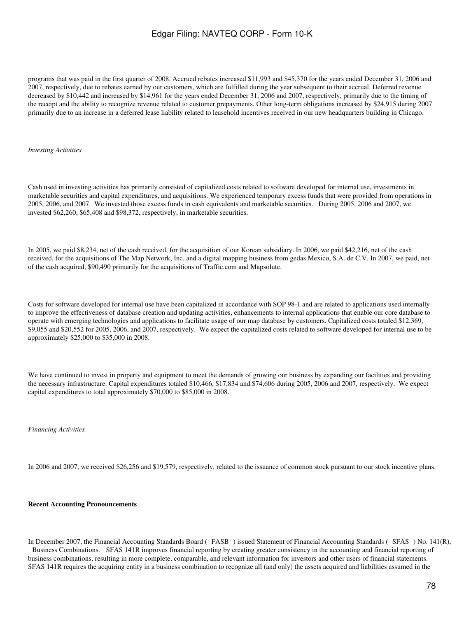programs that was paid in the first quarter of 2008. Accrued rebates increased \$11,993 and \$45,370 for the years ended December 31, 2006 and 2007, respectively, due to rebates earned by our customers, which are fulfilled during the year subsequent to their accrual. Deferred revenue decreased by \$10,442 and increased by \$14,961 for the years ended December 31, 2006 and 2007, respectively, primarily due to the timing of the receipt and the ability to recognize revenue related to customer prepayments. Other long-term obligations increased by \$24,915 during 2007 primarily due to an increase in a deferred lease liability related to leasehold incentives received in our new headquarters building in Chicago.

### *Investing Activities*

Cash used in investing activities has primarily consisted of capitalized costs related to software developed for internal use, investments in marketable securities and capital expenditures, and acquisitions. We experienced temporary excess funds that were provided from operations in 2005, 2006, and 2007. We invested those excess funds in cash equivalents and marketable securities. During 2005, 2006 and 2007, we invested \$62,260, \$65,408 and \$98,372, respectively, in marketable securities.

In 2005, we paid \$8,234, net of the cash received, for the acquisition of our Korean subsidiary. In 2006, we paid \$42,216, net of the cash received, for the acquisitions of The Map Network, Inc. and a digital mapping business from gedas Mexico, S.A. de C.V. In 2007, we paid, net of the cash acquired, \$90,490 primarily for the acquisitions of Traffic.com and Mapsolute.

Costs for software developed for internal use have been capitalized in accordance with SOP 98-1 and are related to applications used internally to improve the effectiveness of database creation and updating activities, enhancements to internal applications that enable our core database to operate with emerging technologies and applications to facilitate usage of our map database by customers. Capitalized costs totaled \$12,369, \$9,055 and \$20,552 for 2005, 2006, and 2007, respectively. We expect the capitalized costs related to software developed for internal use to be approximately \$25,000 to \$35,000 in 2008.

We have continued to invest in property and equipment to meet the demands of growing our business by expanding our facilities and providing the necessary infrastructure. Capital expenditures totaled \$10,466, \$17,834 and \$74,606 during 2005, 2006 and 2007, respectively. We expect capital expenditures to total approximately \$70,000 to \$85,000 in 2008.

#### *Financing Activities*

In 2006 and 2007, we received \$26,256 and \$19,579, respectively, related to the issuance of common stock pursuant to our stock incentive plans.

#### **Recent Accounting Pronouncements**

In December 2007, the Financial Accounting Standards Board (FASB) issued Statement of Financial Accounting Standards (SFAS) No. 141(R), Business Combinations. SFAS 141R improves financial reporting by creating greater consistency in the accounting and financial reporting of business combinations, resulting in more complete, comparable, and relevant information for investors and other users of financial statements. SFAS 141R requires the acquiring entity in a business combination to recognize all (and only) the assets acquired and liabilities assumed in the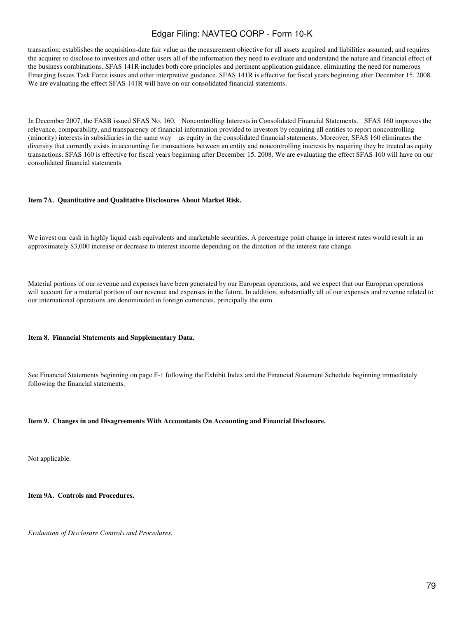transaction; establishes the acquisition-date fair value as the measurement objective for all assets acquired and liabilities assumed; and requires the acquirer to disclose to investors and other users all of the information they need to evaluate and understand the nature and financial effect of the business combinations. SFAS 141R includes both core principles and pertinent application guidance, eliminating the need for numerous Emerging Issues Task Force issues and other interpretive guidance. SFAS 141R is effective for fiscal years beginning after December 15, 2008. We are evaluating the effect SFAS 141R will have on our consolidated financial statements.

In December 2007, the FASB issued SFAS No. 160, Noncontrolling Interests in Consolidated Financial Statements. SFAS 160 improves the relevance, comparability, and transparency of financial information provided to investors by requiring all entities to report noncontrolling (minority) interests in subsidiaries in the same way as equity in the consolidated financial statements. Moreover, SFAS 160 eliminates the diversity that currently exists in accounting for transactions between an entity and noncontrolling interests by requiring they be treated as equity transactions. SFAS 160 is effective for fiscal years beginning after December 15, 2008. We are evaluating the effect SFAS 160 will have on our consolidated financial statements.

### **Item 7A. Quantitative and Qualitative Disclosures About Market Risk.**

We invest our cash in highly liquid cash equivalents and marketable securities. A percentage point change in interest rates would result in an approximately \$3,000 increase or decrease to interest income depending on the direction of the interest rate change.

Material portions of our revenue and expenses have been generated by our European operations, and we expect that our European operations will account for a material portion of our revenue and expenses in the future. In addition, substantially all of our expenses and revenue related to our international operations are denominated in foreign currencies, principally the euro.

### **Item 8. Financial Statements and Supplementary Data.**

See Financial Statements beginning on page F-1 following the Exhibit Index and the Financial Statement Schedule beginning immediately following the financial statements.

### **Item 9. Changes in and Disagreements With Accountants On Accounting and Financial Disclosure.**

Not applicable.

**Item 9A. Controls and Procedures.**

*Evaluation of Disclosure Controls and Procedures.*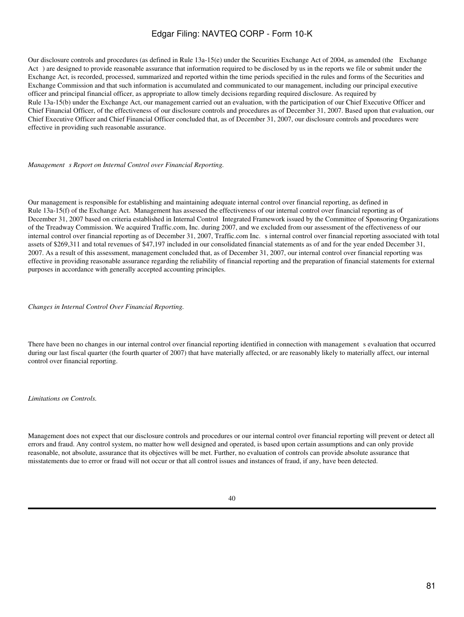Our disclosure controls and procedures (as defined in Rule 13a-15(e) under the Securities Exchange Act of 2004, as amended (the Exchange Act) are designed to provide reasonable assurance that information required to be disclosed by us in the reports we file or submit under the Exchange Act, is recorded, processed, summarized and reported within the time periods specified in the rules and forms of the Securities and Exchange Commission and that such information is accumulated and communicated to our management, including our principal executive officer and principal financial officer, as appropriate to allow timely decisions regarding required disclosure. As required by Rule 13a-15(b) under the Exchange Act, our management carried out an evaluation, with the participation of our Chief Executive Officer and Chief Financial Officer, of the effectiveness of our disclosure controls and procedures as of December 31, 2007. Based upon that evaluation, our Chief Executive Officer and Chief Financial Officer concluded that, as of December 31, 2007, our disclosure controls and procedures were effective in providing such reasonable assurance.

### *Management s Report on Internal Control over Financial Reporting.*

Our management is responsible for establishing and maintaining adequate internal control over financial reporting, as defined in Rule 13a-15(f) of the Exchange Act. Management has assessed the effectiveness of our internal control over financial reporting as of December 31, 2007 based on criteria established in Internal Control Integrated Framework issued by the Committee of Sponsoring Organizations of the Treadway Commission. We acquired Traffic.com, Inc. during 2007, and we excluded from our assessment of the effectiveness of our internal control over financial reporting as of December 31, 2007, Traffic.com Inc. s internal control over financial reporting associated with total assets of \$269,311 and total revenues of \$47,197 included in our consolidated financial statements as of and for the year ended December 31, 2007. As a result of this assessment, management concluded that, as of December 31, 2007, our internal control over financial reporting was effective in providing reasonable assurance regarding the reliability of financial reporting and the preparation of financial statements for external purposes in accordance with generally accepted accounting principles.

*Changes in Internal Control Over Financial Reporting.*

There have been no changes in our internal control over financial reporting identified in connection with management s evaluation that occurred during our last fiscal quarter (the fourth quarter of 2007) that have materially affected, or are reasonably likely to materially affect, our internal control over financial reporting.

### *Limitations on Controls.*

Management does not expect that our disclosure controls and procedures or our internal control over financial reporting will prevent or detect all errors and fraud. Any control system, no matter how well designed and operated, is based upon certain assumptions and can only provide reasonable, not absolute, assurance that its objectives will be met. Further, no evaluation of controls can provide absolute assurance that misstatements due to error or fraud will not occur or that all control issues and instances of fraud, if any, have been detected.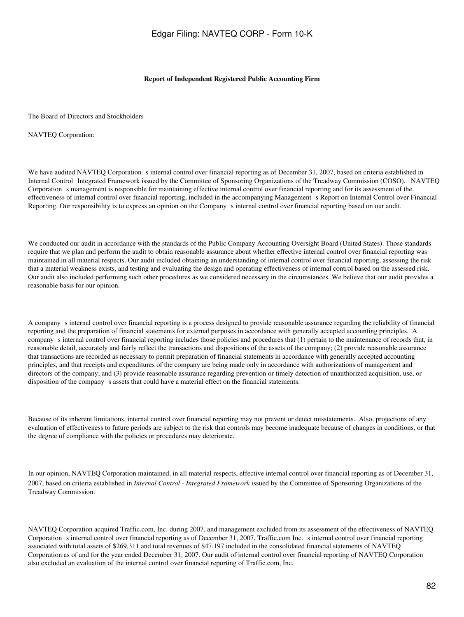### **Report of Independent Registered Public Accounting Firm**

The Board of Directors and Stockholders

NAVTEQ Corporation:

We have audited NAVTEQ Corporation s internal control over financial reporting as of December 31, 2007, based on criteria established in Internal Control Integrated Framework issued by the Committee of Sponsoring Organizations of the Treadway Commission (COSO). NAVTEQ Corporation s management is responsible for maintaining effective internal control over financial reporting and for its assessment of the effectiveness of internal control over financial reporting, included in the accompanying Management s Report on Internal Control over Financial Reporting. Our responsibility is to express an opinion on the Companys internal control over financial reporting based on our audit.

We conducted our audit in accordance with the standards of the Public Company Accounting Oversight Board (United States). Those standards require that we plan and perform the audit to obtain reasonable assurance about whether effective internal control over financial reporting was maintained in all material respects. Our audit included obtaining an understanding of internal control over financial reporting, assessing the risk that a material weakness exists, and testing and evaluating the design and operating effectiveness of internal control based on the assessed risk. Our audit also included performing such other procedures as we considered necessary in the circumstances. We believe that our audit provides a reasonable basis for our opinion.

A companys internal control over financial reporting is a process designed to provide reasonable assurance regarding the reliability of financial reporting and the preparation of financial statements for external purposes in accordance with generally accepted accounting principles. A companys internal control over financial reporting includes those policies and procedures that (1) pertain to the maintenance of records that, in reasonable detail, accurately and fairly reflect the transactions and dispositions of the assets of the company; (2) provide reasonable assurance that transactions are recorded as necessary to permit preparation of financial statements in accordance with generally accepted accounting principles, and that receipts and expenditures of the company are being made only in accordance with authorizations of management and directors of the company; and (3) provide reasonable assurance regarding prevention or timely detection of unauthorized acquisition, use, or disposition of the company s assets that could have a material effect on the financial statements.

Because of its inherent limitations, internal control over financial reporting may not prevent or detect misstatements. Also, projections of any evaluation of effectiveness to future periods are subject to the risk that controls may become inadequate because of changes in conditions, or that the degree of compliance with the policies or procedures may deteriorate.

In our opinion, NAVTEQ Corporation maintained, in all material respects, effective internal control over financial reporting as of December 31, 2007, based on criteria established in *Internal Control - Integrated Framework* issued by the Committee of Sponsoring Organizations of the Treadway Commission.

NAVTEQ Corporation acquired Traffic.com, Inc. during 2007, and management excluded from its assessment of the effectiveness of NAVTEQ Corporation s internal control over financial reporting as of December 31, 2007, Traffic.com Inc. s internal control over financial reporting associated with total assets of \$269,311 and total revenues of \$47,197 included in the consolidated financial statements of NAVTEQ Corporation as of and for the year ended December 31, 2007. Our audit of internal control over financial reporting of NAVTEQ Corporation also excluded an evaluation of the internal control over financial reporting of Traffic.com, Inc.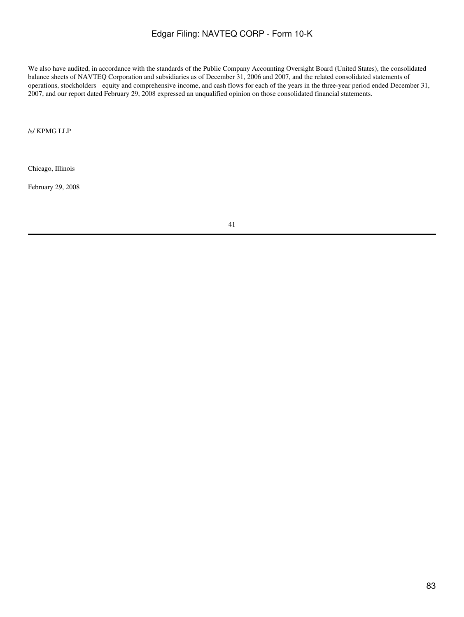We also have audited, in accordance with the standards of the Public Company Accounting Oversight Board (United States), the consolidated balance sheets of NAVTEQ Corporation and subsidiaries as of December 31, 2006 and 2007, and the related consolidated statements of operations, stockholders equity and comprehensive income, and cash flows for each of the years in the three-year period ended December 31, 2007, and our report dated February 29, 2008 expressed an unqualified opinion on those consolidated financial statements.

/s/ KPMG LLP

Chicago, Illinois

February 29, 2008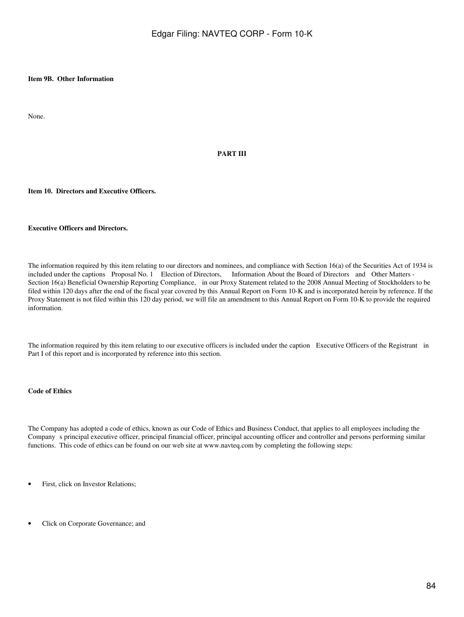### **Item 9B. Other Information**

None.

### **PART III**

### **Item 10. Directors and Executive Officers.**

### **Executive Officers and Directors.**

The information required by this item relating to our directors and nominees, and compliance with Section 16(a) of the Securities Act of 1934 is included under the captions Proposal No. 1 Election of Directors, Information About the Board of Directors and Other Matters - Section 16(a) Beneficial Ownership Reporting Compliance, in our Proxy Statement related to the 2008 Annual Meeting of Stockholders to be filed within 120 days after the end of the fiscal year covered by this Annual Report on Form 10-K and is incorporated herein by reference. If the Proxy Statement is not filed within this 120 day period, we will file an amendment to this Annual Report on Form 10-K to provide the required information.

The information required by this item relating to our executive officers is included under the caption Executive Officers of the Registrant in Part I of this report and is incorporated by reference into this section.

### **Code of Ethics**

The Company has adopted a code of ethics, known as our Code of Ethics and Business Conduct, that applies to all employees including the Companys principal executive officer, principal financial officer, principal accounting officer and controller and persons performing similar functions. This code of ethics can be found on our web site at www.navteq.com by completing the following steps:

- First, click on Investor Relations;
- Click on Corporate Governance; and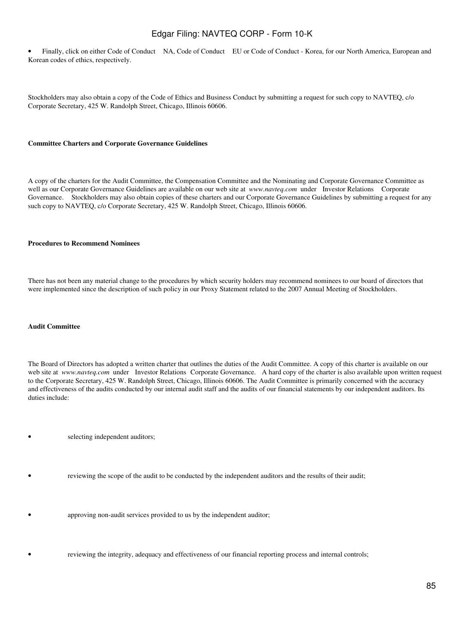• Finally, click on either Code of Conduct NA, Code of Conduct EU or Code of Conduct - Korea, for our North America, European and Korean codes of ethics, respectively.

Stockholders may also obtain a copy of the Code of Ethics and Business Conduct by submitting a request for such copy to NAVTEQ, c/o Corporate Secretary, 425 W. Randolph Street, Chicago, Illinois 60606.

### **Committee Charters and Corporate Governance Guidelines**

A copy of the charters for the Audit Committee, the Compensation Committee and the Nominating and Corporate Governance Committee as well as our Corporate Governance Guidelines are available on our web site at *www.navteq.com* under Investor Relations Corporate Governance. Stockholders may also obtain copies of these charters and our Corporate Governance Guidelines by submitting a request for any such copy to NAVTEQ, c/o Corporate Secretary, 425 W. Randolph Street, Chicago, Illinois 60606.

### **Procedures to Recommend Nominees**

There has not been any material change to the procedures by which security holders may recommend nominees to our board of directors that were implemented since the description of such policy in our Proxy Statement related to the 2007 Annual Meeting of Stockholders.

#### **Audit Committee**

The Board of Directors has adopted a written charter that outlines the duties of the Audit Committee. A copy of this charter is available on our web site at *www.navteq.com* under Investor Relations Corporate Governance. A hard copy of the charter is also available upon written request to the Corporate Secretary, 425 W. Randolph Street, Chicago, Illinois 60606. The Audit Committee is primarily concerned with the accuracy and effectiveness of the audits conducted by our internal audit staff and the audits of our financial statements by our independent auditors. Its duties include:

- selecting independent auditors;
- reviewing the scope of the audit to be conducted by the independent auditors and the results of their audit;
- approving non-audit services provided to us by the independent auditor;
- reviewing the integrity, adequacy and effectiveness of our financial reporting process and internal controls;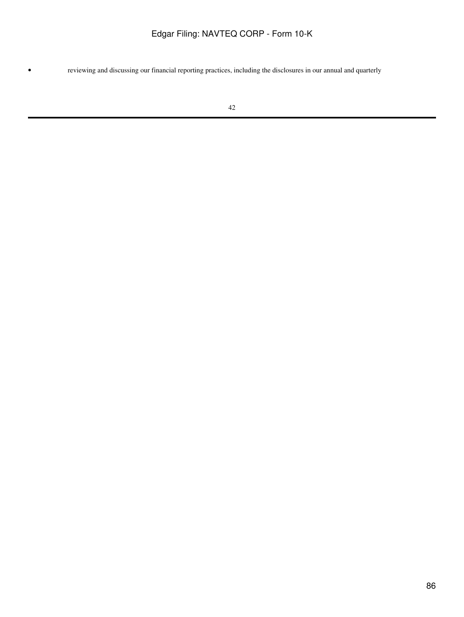• reviewing and discussing our financial reporting practices, including the disclosures in our annual and quarterly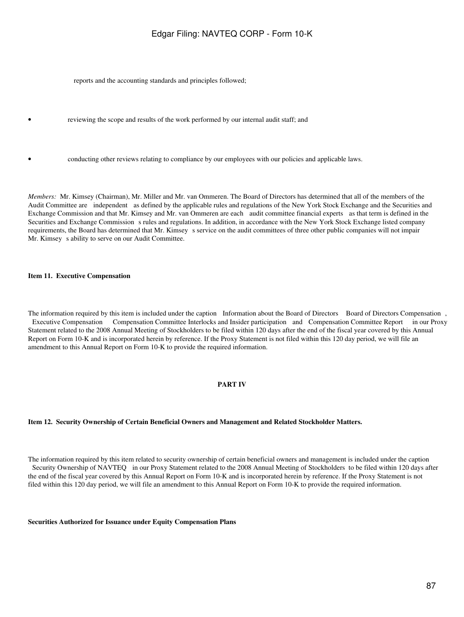reports and the accounting standards and principles followed;

• reviewing the scope and results of the work performed by our internal audit staff; and

• conducting other reviews relating to compliance by our employees with our policies and applicable laws.

*Members:* Mr. Kimsey (Chairman), Mr. Miller and Mr. van Ommeren. The Board of Directors has determined that all of the members of the Audit Committee are independent as defined by the applicable rules and regulations of the New York Stock Exchange and the Securities and Exchange Commission and that Mr. Kimsey and Mr. van Ommeren are each audit committee financial experts as that term is defined in the Securities and Exchange Commission s rules and regulations. In addition, in accordance with the New York Stock Exchange listed company requirements, the Board has determined that Mr. Kimsey s service on the audit committees of three other public companies will not impair Mr. Kimsey s ability to serve on our Audit Committee.

### **Item 11. Executive Compensation**

The information required by this item is included under the caption Information about the Board of Directors Board of Directors Compensation, Executive Compensation Compensation Committee Interlocks and Insider participation and Compensation Committee Report in our Proxy Statement related to the 2008 Annual Meeting of Stockholders to be filed within 120 days after the end of the fiscal year covered by this Annual Report on Form 10-K and is incorporated herein by reference. If the Proxy Statement is not filed within this 120 day period, we will file an amendment to this Annual Report on Form 10-K to provide the required information.

### **PART IV**

#### **Item 12. Security Ownership of Certain Beneficial Owners and Management and Related Stockholder Matters.**

The information required by this item related to security ownership of certain beneficial owners and management is included under the caption Security Ownership of NAVTEQ in our Proxy Statement related to the 2008 Annual Meeting of Stockholders to be filed within 120 days after the end of the fiscal year covered by this Annual Report on Form 10-K and is incorporated herein by reference. If the Proxy Statement is not filed within this 120 day period, we will file an amendment to this Annual Report on Form 10-K to provide the required information.

#### **Securities Authorized for Issuance under Equity Compensation Plans**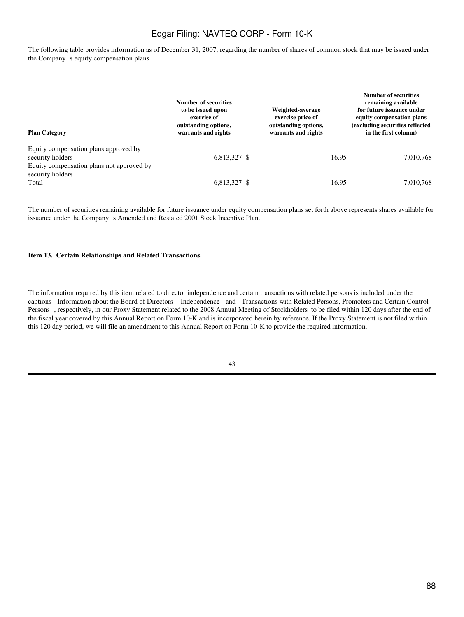The following table provides information as of December 31, 2007, regarding the number of shares of common stock that may be issued under the Company s equity compensation plans.

| <b>Plan Category</b>                                                                                   | Number of securities<br>to be issued upon<br>exercise of<br>outstanding options,<br>warrants and rights | Weighted-average<br>exercise price of<br>outstanding options,<br>warrants and rights | <b>Number of securities</b><br>remaining available<br>for future issuance under<br>equity compensation plans<br>(excluding securities reflected<br>in the first column) |  |  |
|--------------------------------------------------------------------------------------------------------|---------------------------------------------------------------------------------------------------------|--------------------------------------------------------------------------------------|-------------------------------------------------------------------------------------------------------------------------------------------------------------------------|--|--|
| Equity compensation plans approved by<br>security holders<br>Equity compensation plans not approved by | 6,813,327 \$                                                                                            |                                                                                      | 16.95<br>7,010,768                                                                                                                                                      |  |  |
| security holders<br>Total                                                                              | 6,813,327 \$                                                                                            |                                                                                      | 7,010,768<br>16.95                                                                                                                                                      |  |  |

The number of securities remaining available for future issuance under equity compensation plans set forth above represents shares available for issuance under the Company s Amended and Restated 2001 Stock Incentive Plan.

### **Item 13. Certain Relationships and Related Transactions.**

The information required by this item related to director independence and certain transactions with related persons is included under the captions Information about the Board of Directors Independence and Transactions with Related Persons, Promoters and Certain Control Persons, respectively, in our Proxy Statement related to the 2008 Annual Meeting of Stockholders to be filed within 120 days after the end of the fiscal year covered by this Annual Report on Form 10-K and is incorporated herein by reference. If the Proxy Statement is not filed within this 120 day period, we will file an amendment to this Annual Report on Form 10-K to provide the required information.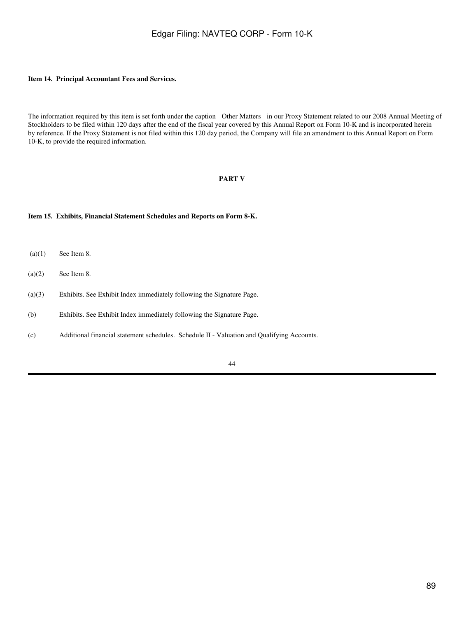### **Item 14. Principal Accountant Fees and Services.**

The information required by this item is set forth under the caption Other Matters in our Proxy Statement related to our 2008 Annual Meeting of Stockholders to be filed within 120 days after the end of the fiscal year covered by this Annual Report on Form 10-K and is incorporated herein by reference. If the Proxy Statement is not filed within this 120 day period, the Company will file an amendment to this Annual Report on Form 10-K, to provide the required information.

### **PART V**

### **Item 15. Exhibits, Financial Statement Schedules and Reports on Form 8-K.**

- $(a)(1)$  See Item 8.
- $(a)(2)$  See Item 8.
- (a)(3) Exhibits. See Exhibit Index immediately following the Signature Page.
- (b) Exhibits. See Exhibit Index immediately following the Signature Page.
- (c) Additional financial statement schedules. Schedule II Valuation and Qualifying Accounts.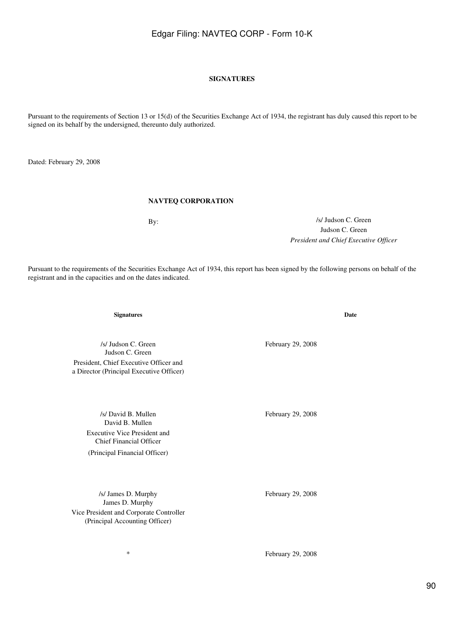90

/s/ James D. Murphy February 29, 2008 James D. Murphy Vice President and Corporate Controller

**Signatures Date** 

President, Chief Executive Officer and a Director (Principal Executive Officer)

Judson C. Green

David B. Mullen Executive Vice President and Chief Financial Officer (Principal Financial Officer)

registrant and in the capacities and on the dates indicated.

Judson C. Green *President and Chief Executive Officer*

# Pursuant to the requirements of Section 13 or 15(d) of the Securities Exchange Act of 1934, the registrant has duly caused this report to be signed on its behalf by the undersigned, thereunto duly authorized.

**SIGNATURES**

Edgar Filing: NAVTEQ CORP - Form 10-K

Dated: February 29, 2008

## **NAVTEQ CORPORATION**

By:  $\frac{1}{s}$  Judson C. Green

/s/ Judson C. Green February 29, 2008

/s/ David B. Mullen February 29, 2008

(Principal Accounting Officer)

\* February 29, 2008

Pursuant to the requirements of the Securities Exchange Act of 1934, this report has been signed by the following persons on behalf of the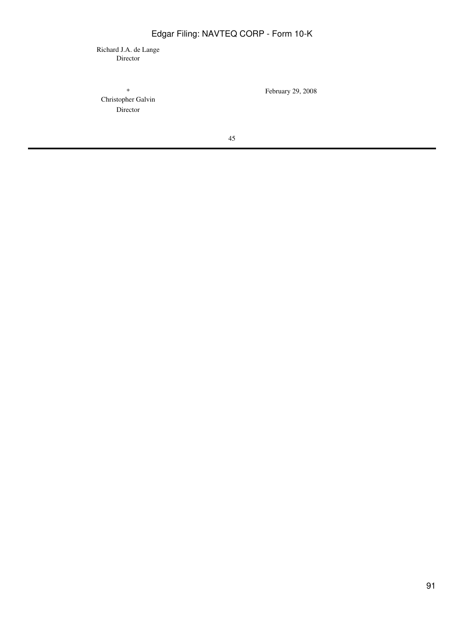Richard J.A. de Lange Director

Christopher Galvin Director

\* February 29, 2008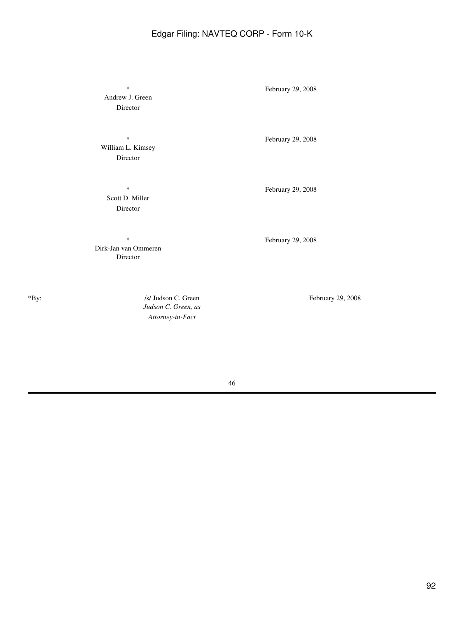Andrew J. Green Director

William L. Kimsey Director

> Scott D. Miller Director

Dirk-Jan van Ommeren Director

\* February 29, 2008

\* February 29, 2008

\* February 29, 2008

\* February 29, 2008

\*By: /s/ Judson C. Green February 29, 2008 *Judson C. Green, as Attorney-in-Fact*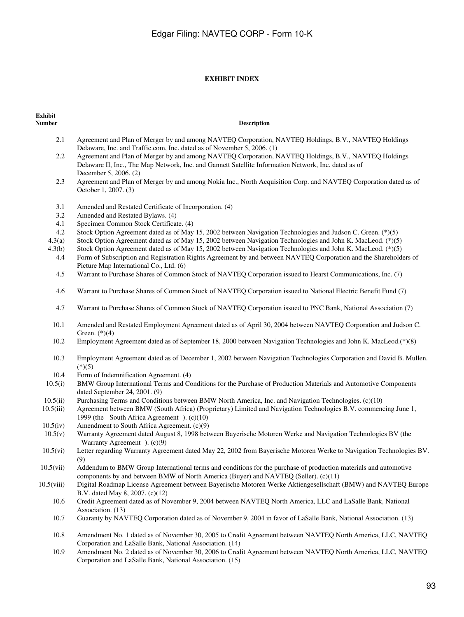### **EXHIBIT INDEX**

# **Exhibit**

### **Description**

- 2.1 Agreement and Plan of Merger by and among NAVTEQ Corporation, NAVTEQ Holdings, B.V., NAVTEQ Holdings Delaware, Inc. and Traffic.com, Inc. dated as of November 5, 2006. (1)
- 2.2 Agreement and Plan of Merger by and among NAVTEQ Corporation, NAVTEQ Holdings, B.V., NAVTEQ Holdings Delaware II, Inc., The Map Network, Inc. and Gannett Satellite Information Network, Inc. dated as of December 5, 2006. (2)
- 2.3 Agreement and Plan of Merger by and among Nokia Inc., North Acquisition Corp. and NAVTEQ Corporation dated as of October 1, 2007. (3)
- 3.1 Amended and Restated Certificate of Incorporation. (4)
- 3.2 Amended and Restated Bylaws. (4)
- 4.1 Specimen Common Stock Certificate. (4)
- 4.2 Stock Option Agreement dated as of May 15, 2002 between Navigation Technologies and Judson C. Green. (\*)(5)
- 4.3(a) Stock Option Agreement dated as of May 15, 2002 between Navigation Technologies and John K. MacLeod. (\*)(5)
- 4.3(b) Stock Option Agreement dated as of May 15, 2002 between Navigation Technologies and John K. MacLeod. (\*)(5)
- 4.4 Form of Subscription and Registration Rights Agreement by and between NAVTEQ Corporation and the Shareholders of Picture Map International Co., Ltd. (6)
- 4.5 Warrant to Purchase Shares of Common Stock of NAVTEQ Corporation issued to Hearst Communications, Inc. (7)
- 4.6 Warrant to Purchase Shares of Common Stock of NAVTEQ Corporation issued to National Electric Benefit Fund (7)
- 4.7 Warrant to Purchase Shares of Common Stock of NAVTEQ Corporation issued to PNC Bank, National Association (7)
- 10.1 Amended and Restated Employment Agreement dated as of April 30, 2004 between NAVTEQ Corporation and Judson C. Green. (\*)(4)
- 10.2 Employment Agreement dated as of September 18, 2000 between Navigation Technologies and John K. MacLeod.(\*)(8)
- 10.3 Employment Agreement dated as of December 1, 2002 between Navigation Technologies Corporation and David B. Mullen.  $(*)(5)$
- 10.4 Form of Indemnification Agreement. (4)
- 10.5(i) BMW Group International Terms and Conditions for the Purchase of Production Materials and Automotive Components dated September 24, 2001. (9)
- 10.5(ii) Purchasing Terms and Conditions between BMW North America, Inc. and Navigation Technologies. (c)(10)
- 10.5(iii) Agreement between BMW (South Africa) (Proprietary) Limited and Navigation Technologies B.V. commencing June 1, 1999 (the South Africa Agreement). (c)(10)
- 10.5(iv) Amendment to South Africa Agreement. (c)(9)
- 10.5(v) Warranty Agreement dated August 8, 1998 between Bayerische Motoren Werke and Navigation Technologies BV (the Warranty Agreement ). (c)(9)
- 10.5(vi) Letter regarding Warranty Agreement dated May 22, 2002 from Bayerische Motoren Werke to Navigation Technologies BV. (9)
- 10.5(vii) Addendum to BMW Group International terms and conditions for the purchase of production materials and automotive components by and between BMW of North America (Buyer) and NAVTEQ (Seller). (c)(11)
- 10.5(viii) Digital Roadmap License Agreement between Bayerische Motoren Werke Aktiengesellschaft (BMW) and NAVTEQ Europe B.V. dated May 8, 2007. (c)(12)
	- 10.6 Credit Agreement dated as of November 9, 2004 between NAVTEQ North America, LLC and LaSalle Bank, National Association. (13)
	- 10.7 Guaranty by NAVTEQ Corporation dated as of November 9, 2004 in favor of LaSalle Bank, National Association. (13)
	- 10.8 Amendment No. 1 dated as of November 30, 2005 to Credit Agreement between NAVTEQ North America, LLC, NAVTEQ Corporation and LaSalle Bank, National Association. (14)
	- 10.9 Amendment No. 2 dated as of November 30, 2006 to Credit Agreement between NAVTEQ North America, LLC, NAVTEQ Corporation and LaSalle Bank, National Association. (15)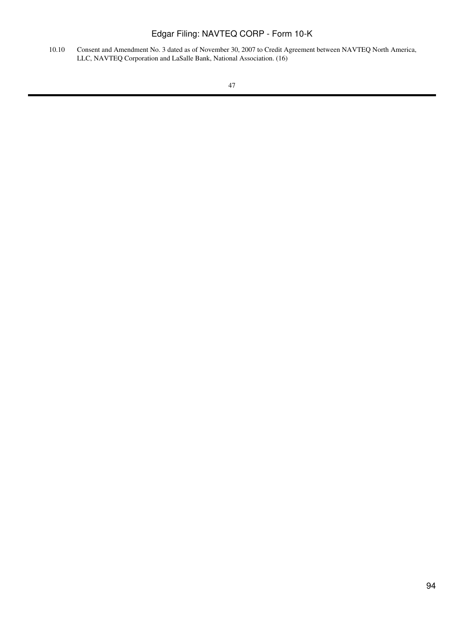10.10 Consent and Amendment No. 3 dated as of November 30, 2007 to Credit Agreement between NAVTEQ North America, LLC, NAVTEQ Corporation and LaSalle Bank, National Association. (16)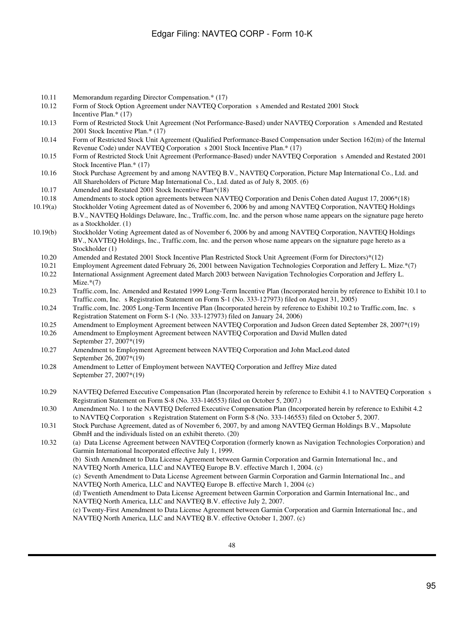- 10.11 Memorandum regarding Director Compensation.\* (17)
- 10.12 Form of Stock Option Agreement under NAVTEQ Corporation s Amended and Restated 2001 Stock Incentive Plan.\* (17)
- 10.13 Form of Restricted Stock Unit Agreement (Not Performance-Based) under NAVTEQ Corporations Amended and Restated 2001 Stock Incentive Plan.\* (17)
- 10.14 Form of Restricted Stock Unit Agreement (Qualified Performance-Based Compensation under Section 162(m) of the Internal Revenue Code) under NAVTEO Corporation s 2001 Stock Incentive Plan.\* (17)
- 10.15 Form of Restricted Stock Unit Agreement (Performance-Based) under NAVTEQ Corporations Amended and Restated 2001 Stock Incentive Plan.\* (17)
- 10.16 Stock Purchase Agreement by and among NAVTEQ B.V., NAVTEQ Corporation, Picture Map International Co., Ltd. and All Shareholders of Picture Map International Co., Ltd. dated as of July 8, 2005. (6)
- 10.17 Amended and Restated 2001 Stock Incentive Plan\*(18)
- 10.18 Amendments to stock option agreements between NAVTEQ Corporation and Denis Cohen dated August 17, 2006\*(18)
- 10.19(a) Stockholder Voting Agreement dated as of November 6, 2006 by and among NAVTEQ Corporation, NAVTEQ Holdings B.V., NAVTEQ Holdings Delaware, Inc., Traffic.com, Inc. and the person whose name appears on the signature page hereto as a Stockholder. (1)
- 10.19(b) Stockholder Voting Agreement dated as of November 6, 2006 by and among NAVTEQ Corporation, NAVTEQ Holdings BV., NAVTEQ Holdings, Inc., Traffic.com, Inc. and the person whose name appears on the signature page hereto as a Stockholder (1)
	- 10.20 Amended and Restated 2001 Stock Incentive Plan Restricted Stock Unit Agreement (Form for Directors)\*(12)
	- 10.21 Employment Agreement dated February 26, 2001 between Navigation Technologies Corporation and Jeffery L. Mize.\*(7) 10.22 International Assignment Agreement dated March 2003 between Navigation Technologies Corporation and Jeffery L. Mize.\*(7)
	- 10.23 Traffic.com, Inc. Amended and Restated 1999 Long-Term Incentive Plan (Incorporated herein by reference to Exhibit 10.1 to Traffic.com, Inc. s Registration Statement on Form S-1 (No. 333-127973) filed on August 31, 2005)
	- 10.24 Traffic.com, Inc. 2005 Long-Term Incentive Plan (Incorporated herein by reference to Exhibit 10.2 to Traffic.com, Inc. s Registration Statement on Form S-1 (No. 333-127973) filed on January 24, 2006)
	- 10.25 Amendment to Employment Agreement between NAVTEQ Corporation and Judson Green dated September 28, 2007\*(19)
	- 10.26 Amendment to Employment Agreement between NAVTEQ Corporation and David Mullen dated September 27, 2007\*(19)
	- 10.27 Amendment to Employment Agreement between NAVTEQ Corporation and John MacLeod dated September 26, 2007\*(19)
	- 10.28 Amendment to Letter of Employment between NAVTEQ Corporation and Jeffrey Mize dated September 27, 2007\*(19)
	- 10.29 NAVTEQ Deferred Executive Compensation Plan (Incorporated herein by reference to Exhibit 4.1 to NAVTEQ Corporations Registration Statement on Form S-8 (No. 333-146553) filed on October 5, 2007.)
	- 10.30 Amendment No. 1 to the NAVTEQ Deferred Executive Compensation Plan (Incorporated herein by reference to Exhibit 4.2 to NAVTEQ Corporation s Registration Statement on Form S-8 (No. 333-146553) filed on October 5, 2007.
	- 10.31 Stock Purchase Agreement, dated as of November 6, 2007, by and among NAVTEQ German Holdings B.V., Mapsolute GbmH and the individuals listed on an exhibit thereto. (20)
	- 10.32 (a) Data License Agreement between NAVTEQ Corporation (formerly known as Navigation Technologies Corporation) and Garmin International Incorporated effective July 1, 1999. (b) Sixth Amendment to Data License Agreement between Garmin Corporation and Garmin International Inc., and NAVTEQ North America, LLC and NAVTEQ Europe B.V. effective March 1, 2004. (c) (c) Seventh Amendment to Data License Agreement between Garmin Corporation and Garmin International Inc., and NAVTEQ North America, LLC and NAVTEQ Europe B. effective March 1, 2004 (c) (d) Twentieth Amendment to Data License Agreement between Garmin Corporation and Garmin International Inc., and NAVTEQ North America, LLC and NAVTEQ B.V. effective July 2, 2007. (e) Twenty-First Amendment to Data License Agreement between Garmin Corporation and Garmin International Inc., and NAVTEQ North America, LLC and NAVTEQ B.V. effective October 1, 2007. (c)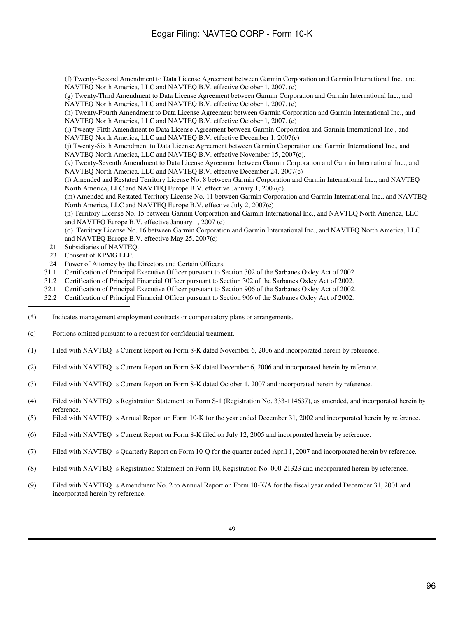(f) Twenty-Second Amendment to Data License Agreement between Garmin Corporation and Garmin International Inc., and NAVTEQ North America, LLC and NAVTEQ B.V. effective October 1, 2007. (c)

(g) Twenty-Third Amendment to Data License Agreement between Garmin Corporation and Garmin International Inc., and NAVTEQ North America, LLC and NAVTEQ B.V. effective October 1, 2007. (c)

(h) Twenty-Fourth Amendment to Data License Agreement between Garmin Corporation and Garmin International Inc., and NAVTEQ North America, LLC and NAVTEQ B.V. effective October 1, 2007. (c)

(i) Twenty-Fifth Amendment to Data License Agreement between Garmin Corporation and Garmin International Inc., and NAVTEQ North America, LLC and NAVTEQ B.V. effective December 1, 2007(c)

(j) Twenty-Sixth Amendment to Data License Agreement between Garmin Corporation and Garmin International Inc., and NAVTEQ North America, LLC and NAVTEQ B.V. effective November 15, 2007(c).

(k) Twenty-Seventh Amendment to Data License Agreement between Garmin Corporation and Garmin International Inc., and NAVTEQ North America, LLC and NAVTEQ B.V. effective December 24, 2007(c)

(l) Amended and Restated Territory License No. 8 between Garmin Corporation and Garmin International Inc., and NAVTEQ North America, LLC and NAVTEQ Europe B.V. effective January 1, 2007(c).

(m) Amended and Restated Territory License No. 11 between Garmin Corporation and Garmin International Inc., and NAVTEQ North America, LLC and NAVTEQ Europe B.V. effective July 2, 2007(c)

(n) Territory License No. 15 between Garmin Corporation and Garmin International Inc., and NAVTEQ North America, LLC and NAVTEQ Europe B.V. effective January 1, 2007 (c)

(o) Territory License No. 16 between Garmin Corporation and Garmin International Inc., and NAVTEQ North America, LLC and NAVTEQ Europe B.V. effective May 25, 2007(c)

- 21 Subsidiaries of NAVTEQ.
- 23 Consent of KPMG LLP.
- 24 Power of Attorney by the Directors and Certain Officers.
- 31.1 Certification of Principal Executive Officer pursuant to Section 302 of the Sarbanes Oxley Act of 2002.
- 31.2 Certification of Principal Financial Officer pursuant to Section 302 of the Sarbanes Oxley Act of 2002.
- 32.1 Certification of Principal Executive Officer pursuant to Section 906 of the Sarbanes Oxley Act of 2002.<br>32.2 Certification of Principal Financial Officer pursuant to Section 906 of the Sarbanes Oxley Act of 2002.
- 32.2 Certification of Principal Financial Officer pursuant to Section 906 of the Sarbanes Oxley Act of 2002.

(\*) Indicates management employment contracts or compensatory plans or arrangements.

- (c) Portions omitted pursuant to a request for confidential treatment.
- (1) Filed with NAVTEQ s Current Report on Form 8-K dated November 6, 2006 and incorporated herein by reference.
- (2) Filed with NAVTEQ s Current Report on Form 8-K dated December 6, 2006 and incorporated herein by reference.
- (3) Filed with NAVTEQ s Current Report on Form 8-K dated October 1, 2007 and incorporated herein by reference.
- (4) Filed with NAVTEO s Registration Statement on Form S-1 (Registration No. 333-114637), as amended, and incorporated herein by reference.
- (5) Filed with NAVTEQ s Annual Report on Form 10-K for the year ended December 31, 2002 and incorporated herein by reference.
- (6) Filed with NAVTEQ s Current Report on Form 8-K filed on July 12, 2005 and incorporated herein by reference.
- (7) Filed with NAVTEQ s Quarterly Report on Form 10-Q for the quarter ended April 1, 2007 and incorporated herein by reference.
- (8) Filed with NAVTEQ s Registration Statement on Form 10, Registration No. 000-21323 and incorporated herein by reference.
- (9) Filed with NAVTEQ s Amendment No. 2 to Annual Report on Form 10-K/A for the fiscal year ended December 31, 2001 and incorporated herein by reference.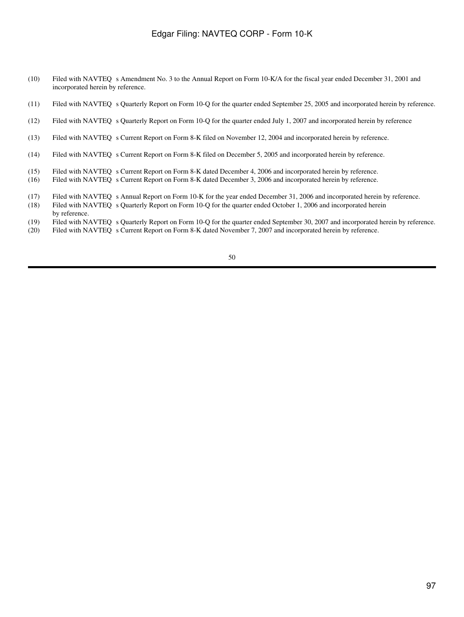- (10) Filed with NAVTEQs Amendment No. 3 to the Annual Report on Form 10-K/A for the fiscal year ended December 31, 2001 and incorporated herein by reference.
- (11) Filed with NAVTEQ s Quarterly Report on Form 10-Q for the quarter ended September 25, 2005 and incorporated herein by reference.
- $(12)$  Filed with NAVTEQ s Quarterly Report on Form 10-Q for the quarter ended July 1, 2007 and incorporated herein by reference
- (13) Filed with NAVTEQ s Current Report on Form 8-K filed on November 12, 2004 and incorporated herein by reference.
- (14) Filed with NAVTEQ s Current Report on Form 8-K filed on December 5, 2005 and incorporated herein by reference.
- (15) Filed with NAVTEQ s Current Report on Form 8-K dated December 4, 2006 and incorporated herein by reference.
- (16) Filed with NAVTEQ s Current Report on Form 8-K dated December 3, 2006 and incorporated herein by reference.
- (17) Filed with NAVTEQ s Annual Report on Form 10-K for the year ended December 31, 2006 and incorporated herein by reference.
- (18) Filed with NAVTEQ s Quarterly Report on Form 10-Q for the quarter ended October 1, 2006 and incorporated herein by reference.
- (19) Filed with NAVTEQ s Quarterly Report on Form 10-Q for the quarter ended September 30, 2007 and incorporated herein by reference.
- (20) Filed with NAVTEQ s Current Report on Form 8-K dated November 7, 2007 and incorporated herein by reference.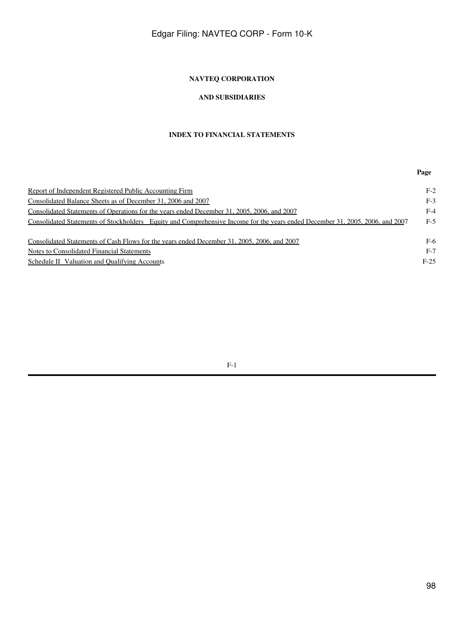## **NAVTEQ CORPORATION**

## **AND SUBSIDIARIES**

## **INDEX TO FINANCIAL STATEMENTS**

|                                                                                                                               | Page   |
|-------------------------------------------------------------------------------------------------------------------------------|--------|
| Report of Independent Registered Public Accounting Firm                                                                       | $F-2$  |
| Consolidated Balance Sheets as of December 31, 2006 and 2007                                                                  | $F-3$  |
| Consolidated Statements of Operations for the years ended December 31, 2005, 2006, and 2007                                   | $F-4$  |
| Consolidated Statements of Stockholders Equity and Comprehensive Income for the years ended December 31, 2005, 2006, and 2007 | $F-5$  |
| Consolidated Statements of Cash Flows for the years ended December 31, 2005, 2006, and 2007                                   | $F-6$  |
| Notes to Consolidated Financial Statements                                                                                    | $F-7$  |
| Schedule II Valuation and Oualifying Accounts                                                                                 | $F-25$ |

## F-1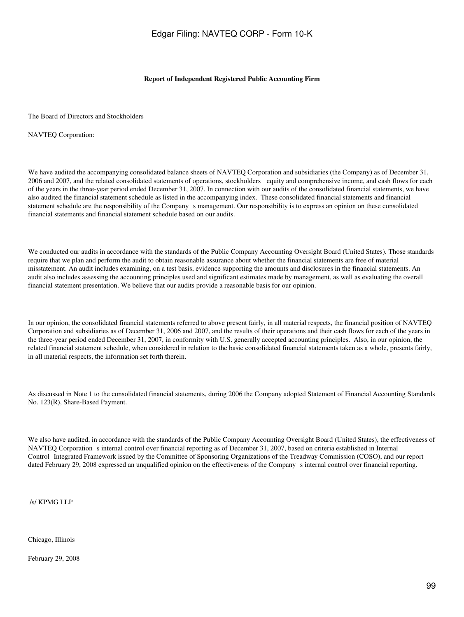### **Report of Independent Registered Public Accounting Firm**

The Board of Directors and Stockholders

NAVTEQ Corporation:

We have audited the accompanying consolidated balance sheets of NAVTEQ Corporation and subsidiaries (the Company) as of December 31, 2006 and 2007, and the related consolidated statements of operations, stockholders equity and comprehensive income, and cash flows for each of the years in the three-year period ended December 31, 2007. In connection with our audits of the consolidated financial statements, we have also audited the financial statement schedule as listed in the accompanying index. These consolidated financial statements and financial statement schedule are the responsibility of the Companys management. Our responsibility is to express an opinion on these consolidated financial statements and financial statement schedule based on our audits.

We conducted our audits in accordance with the standards of the Public Company Accounting Oversight Board (United States). Those standards require that we plan and perform the audit to obtain reasonable assurance about whether the financial statements are free of material misstatement. An audit includes examining, on a test basis, evidence supporting the amounts and disclosures in the financial statements. An audit also includes assessing the accounting principles used and significant estimates made by management, as well as evaluating the overall financial statement presentation. We believe that our audits provide a reasonable basis for our opinion.

In our opinion, the consolidated financial statements referred to above present fairly, in all material respects, the financial position of NAVTEQ Corporation and subsidiaries as of December 31, 2006 and 2007, and the results of their operations and their cash flows for each of the years in the three-year period ended December 31, 2007, in conformity with U.S. generally accepted accounting principles. Also, in our opinion, the related financial statement schedule, when considered in relation to the basic consolidated financial statements taken as a whole, presents fairly, in all material respects, the information set forth therein.

As discussed in Note 1 to the consolidated financial statements, during 2006 the Company adopted Statement of Financial Accounting Standards No. 123(R), Share-Based Payment.

We also have audited, in accordance with the standards of the Public Company Accounting Oversight Board (United States), the effectiveness of NAVTEQ Corporation s internal control over financial reporting as of December 31, 2007, based on criteria established in Internal Control Integrated Framework issued by the Committee of Sponsoring Organizations of the Treadway Commission (COSO), and our report dated February 29, 2008 expressed an unqualified opinion on the effectiveness of the Company s internal control over financial reporting.

/s/ KPMG LLP

Chicago, Illinois

February 29, 2008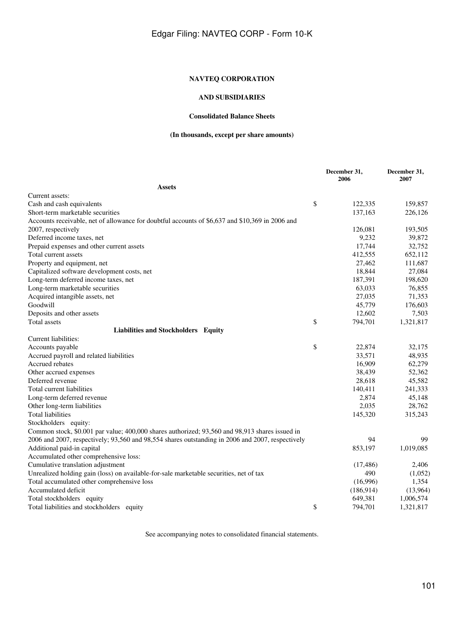## **NAVTEQ CORPORATION**

## **AND SUBSIDIARIES**

## **Consolidated Balance Sheets**

## **(In thousands, except per share amounts)**

|                                                                                                  | December 31,<br>2006 | December 31,<br>2007 |
|--------------------------------------------------------------------------------------------------|----------------------|----------------------|
| <b>Assets</b>                                                                                    |                      |                      |
| Current assets:                                                                                  |                      |                      |
| Cash and cash equivalents                                                                        | \$<br>122,335        | 159,857              |
| Short-term marketable securities                                                                 | 137,163              | 226,126              |
| Accounts receivable, net of allowance for doubtful accounts of \$6,637 and \$10,369 in 2006 and  |                      |                      |
| 2007, respectively                                                                               | 126,081              | 193,505              |
| Deferred income taxes, net                                                                       | 9,232                | 39,872               |
| Prepaid expenses and other current assets                                                        | 17,744               | 32,752               |
| Total current assets                                                                             | 412,555              | 652,112              |
| Property and equipment, net                                                                      | 27,462               | 111,687              |
| Capitalized software development costs, net                                                      | 18,844               | 27,084               |
| Long-term deferred income taxes, net                                                             | 187,391              | 198,620              |
| Long-term marketable securities                                                                  | 63,033               | 76,855               |
| Acquired intangible assets, net                                                                  | 27,035               | 71,353               |
| Goodwill                                                                                         | 45,779               | 176,603              |
| Deposits and other assets                                                                        | 12,602               | 7,503                |
| Total assets                                                                                     | \$<br>794,701        | 1,321,817            |
| Liabilities and Stockholders Equity                                                              |                      |                      |
| Current liabilities:                                                                             |                      |                      |
| Accounts payable                                                                                 | \$<br>22,874         | 32,175               |
| Accrued payroll and related liabilities                                                          | 33,571               | 48,935               |
| Accrued rebates                                                                                  | 16,909               | 62,279               |
| Other accrued expenses                                                                           | 38,439               | 52,362               |
| Deferred revenue                                                                                 | 28,618               | 45,582               |
| Total current liabilities                                                                        | 140,411              | 241,333              |
| Long-term deferred revenue                                                                       | 2,874                | 45,148               |
| Other long-term liabilities                                                                      | 2,035                | 28,762               |
| <b>Total liabilities</b>                                                                         | 145,320              | 315,243              |
| Stockholders equity:                                                                             |                      |                      |
| Common stock, \$0.001 par value; 400,000 shares authorized; 93,560 and 98,913 shares issued in   |                      |                      |
| 2006 and 2007, respectively; 93,560 and 98,554 shares outstanding in 2006 and 2007, respectively | 94                   | 99                   |
| Additional paid-in capital                                                                       | 853,197              | 1,019,085            |
| Accumulated other comprehensive loss:                                                            |                      |                      |
| Cumulative translation adjustment                                                                | (17, 486)            | 2,406                |
| Unrealized holding gain (loss) on available-for-sale marketable securities, net of tax           | 490                  | (1,052)              |
| Total accumulated other comprehensive loss                                                       | (16,996)             | 1,354                |
| Accumulated deficit                                                                              | (186, 914)           | (13,964)             |
| Total stockholders equity                                                                        | 649,381              | 1,006,574            |
| Total liabilities and stockholders equity                                                        | \$<br>794,701        | 1,321,817            |

See accompanying notes to consolidated financial statements.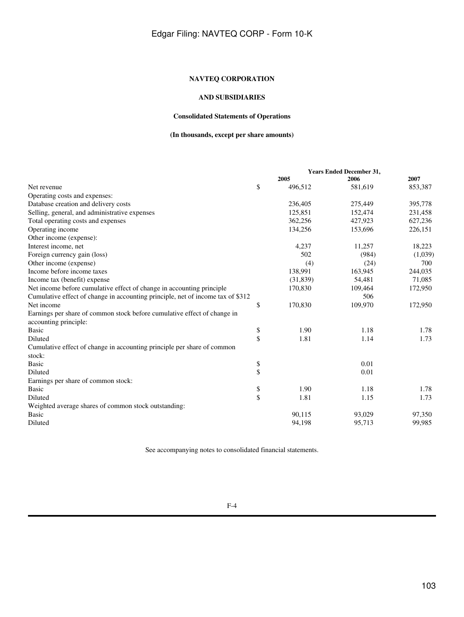## **NAVTEQ CORPORATION**

## **AND SUBSIDIARIES**

## **Consolidated Statements of Operations**

## **(In thousands, except per share amounts)**

|                                                                                 |               | <b>Years Ended December 31,</b> |         |
|---------------------------------------------------------------------------------|---------------|---------------------------------|---------|
|                                                                                 | 2005          | 2006                            | 2007    |
| Net revenue                                                                     | \$<br>496,512 | 581,619                         | 853,387 |
| Operating costs and expenses:                                                   |               |                                 |         |
| Database creation and delivery costs                                            | 236,405       | 275,449                         | 395,778 |
| Selling, general, and administrative expenses                                   | 125,851       | 152,474                         | 231,458 |
| Total operating costs and expenses                                              | 362,256       | 427,923                         | 627,236 |
| Operating income                                                                | 134,256       | 153,696                         | 226,151 |
| Other income (expense):                                                         |               |                                 |         |
| Interest income, net                                                            | 4,237         | 11,257                          | 18,223  |
| Foreign currency gain (loss)                                                    | 502           | (984)                           | (1,039) |
| Other income (expense)                                                          | (4)           | (24)                            | 700     |
| Income before income taxes                                                      | 138,991       | 163,945                         | 244,035 |
| Income tax (benefit) expense                                                    | (31,839)      | 54.481                          | 71,085  |
| Net income before cumulative effect of change in accounting principle           | 170,830       | 109,464                         | 172,950 |
| Cumulative effect of change in accounting principle, net of income tax of \$312 |               | 506                             |         |
| Net income                                                                      | \$<br>170,830 | 109,970                         | 172,950 |
| Earnings per share of common stock before cumulative effect of change in        |               |                                 |         |
| accounting principle:                                                           |               |                                 |         |
| <b>Basic</b>                                                                    | 1.90          | 1.18                            | 1.78    |
| Diluted                                                                         | \$<br>1.81    | 1.14                            | 1.73    |
| Cumulative effect of change in accounting principle per share of common         |               |                                 |         |
| stock:                                                                          |               |                                 |         |
| <b>Basic</b>                                                                    | \$            | 0.01                            |         |
| Diluted                                                                         | \$            | 0.01                            |         |
| Earnings per share of common stock:                                             |               |                                 |         |
| <b>Basic</b>                                                                    | \$<br>1.90    | 1.18                            | 1.78    |
| Diluted                                                                         | \$<br>1.81    | 1.15                            | 1.73    |
| Weighted average shares of common stock outstanding:                            |               |                                 |         |
| <b>Basic</b>                                                                    | 90,115        | 93,029                          | 97,350  |
| Diluted                                                                         | 94,198        | 95,713                          | 99,985  |
|                                                                                 |               |                                 |         |

See accompanying notes to consolidated financial statements.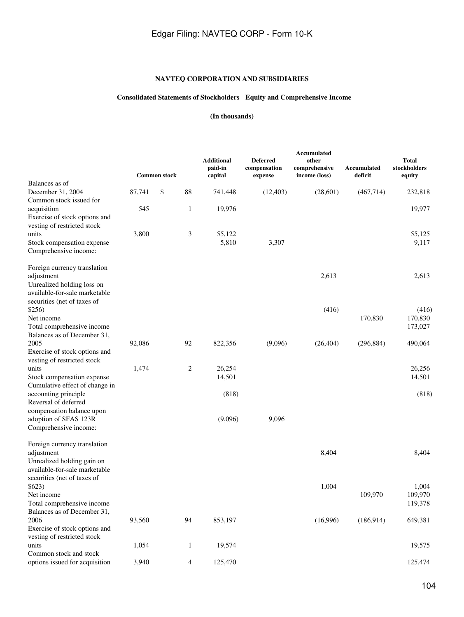## **NAVTEQ CORPORATION AND SUBSIDIARIES**

## **Consolidated Statements of Stockholders Equity and Comprehensive Income**

## **(In thousands)**

|                                                              |        | <b>Common stock</b> |                | <b>Additional</b><br>paid-in<br>capital | <b>Deferred</b><br>compensation<br>expense | Accumulated<br>other<br>comprehensive<br>income (loss) | Accumulated<br>deficit | <b>Total</b><br>stockholders<br>equity |
|--------------------------------------------------------------|--------|---------------------|----------------|-----------------------------------------|--------------------------------------------|--------------------------------------------------------|------------------------|----------------------------------------|
| Balances as of                                               |        |                     |                |                                         |                                            |                                                        |                        |                                        |
| December 31, 2004                                            | 87,741 | \$                  | 88             | 741,448                                 | (12, 403)                                  | (28, 601)                                              | (467, 714)             | 232,818                                |
| Common stock issued for                                      |        |                     |                |                                         |                                            |                                                        |                        |                                        |
| acquisition                                                  | 545    |                     | 1              | 19,976                                  |                                            |                                                        |                        | 19,977                                 |
| Exercise of stock options and                                |        |                     |                |                                         |                                            |                                                        |                        |                                        |
| vesting of restricted stock                                  |        |                     |                |                                         |                                            |                                                        |                        |                                        |
| units                                                        | 3,800  |                     | 3              | 55,122                                  |                                            |                                                        |                        | 55,125                                 |
| Stock compensation expense<br>Comprehensive income:          |        |                     |                | 5,810                                   | 3,307                                      |                                                        |                        | 9,117                                  |
| Foreign currency translation                                 |        |                     |                |                                         |                                            |                                                        |                        |                                        |
| adjustment                                                   |        |                     |                |                                         |                                            | 2,613                                                  |                        | 2,613                                  |
| Unrealized holding loss on                                   |        |                     |                |                                         |                                            |                                                        |                        |                                        |
| available-for-sale marketable                                |        |                     |                |                                         |                                            |                                                        |                        |                                        |
| securities (net of taxes of                                  |        |                     |                |                                         |                                            |                                                        |                        |                                        |
| \$256)                                                       |        |                     |                |                                         |                                            | (416)                                                  |                        | (416)                                  |
| Net income                                                   |        |                     |                |                                         |                                            |                                                        | 170,830                | 170,830                                |
| Total comprehensive income                                   |        |                     |                |                                         |                                            |                                                        |                        | 173,027                                |
| Balances as of December 31,                                  |        |                     |                |                                         |                                            |                                                        |                        |                                        |
| 2005                                                         | 92,086 |                     | 92             | 822,356                                 | (9,096)                                    | (26, 404)                                              | (296, 884)             | 490,064                                |
| Exercise of stock options and                                |        |                     |                |                                         |                                            |                                                        |                        |                                        |
| vesting of restricted stock                                  |        |                     |                |                                         |                                            |                                                        |                        |                                        |
| units                                                        | 1,474  |                     | 2              | 26,254                                  |                                            |                                                        |                        | 26,256                                 |
| Stock compensation expense                                   |        |                     |                | 14,501                                  |                                            |                                                        |                        | 14,501                                 |
| Cumulative effect of change in                               |        |                     |                |                                         |                                            |                                                        |                        |                                        |
| accounting principle                                         |        |                     |                | (818)                                   |                                            |                                                        |                        | (818)                                  |
| Reversal of deferred                                         |        |                     |                |                                         |                                            |                                                        |                        |                                        |
| compensation balance upon                                    |        |                     |                |                                         |                                            |                                                        |                        |                                        |
| adoption of SFAS 123R                                        |        |                     |                | (9,096)                                 | 9,096                                      |                                                        |                        |                                        |
| Comprehensive income:                                        |        |                     |                |                                         |                                            |                                                        |                        |                                        |
| Foreign currency translation                                 |        |                     |                |                                         |                                            |                                                        |                        |                                        |
| adjustment                                                   |        |                     |                |                                         |                                            | 8,404                                                  |                        | 8,404                                  |
| Unrealized holding gain on                                   |        |                     |                |                                         |                                            |                                                        |                        |                                        |
| available-for-sale marketable                                |        |                     |                |                                         |                                            |                                                        |                        |                                        |
| securities (net of taxes of                                  |        |                     |                |                                         |                                            |                                                        |                        |                                        |
| \$623)                                                       |        |                     |                |                                         |                                            | 1,004                                                  |                        | 1,004                                  |
| Net income                                                   |        |                     |                |                                         |                                            |                                                        | 109,970                | 109,970                                |
| Total comprehensive income                                   |        |                     |                |                                         |                                            |                                                        |                        | 119,378                                |
| Balances as of December 31,                                  |        |                     |                |                                         |                                            |                                                        |                        |                                        |
| 2006                                                         | 93,560 |                     | 94             | 853,197                                 |                                            | (16,996)                                               | (186,914)              | 649,381                                |
| Exercise of stock options and<br>vesting of restricted stock |        |                     |                |                                         |                                            |                                                        |                        |                                        |
| units<br>Common stock and stock                              | 1,054  |                     | $\mathbf{1}$   | 19,574                                  |                                            |                                                        |                        | 19,575                                 |
| options issued for acquisition                               | 3,940  |                     | $\overline{4}$ | 125,470                                 |                                            |                                                        |                        | 125,474                                |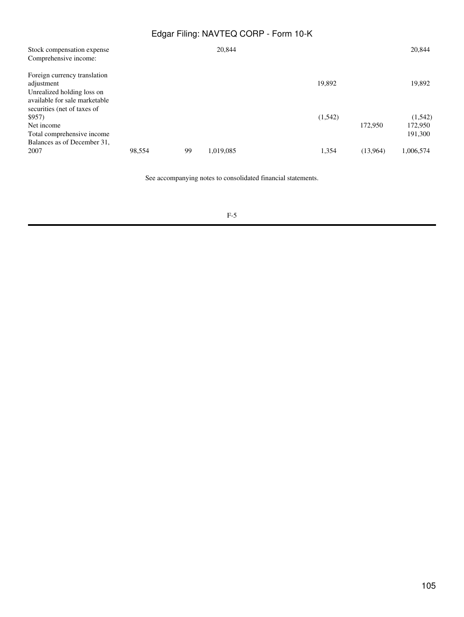| Stock compensation expense<br>Comprehensive income:                                                                                      |        |    | 20.844    |         |          | 20,844                        |
|------------------------------------------------------------------------------------------------------------------------------------------|--------|----|-----------|---------|----------|-------------------------------|
| Foreign currency translation<br>adjustment<br>Unrealized holding loss on<br>available for sale marketable<br>securities (net of taxes of |        |    |           | 19,892  |          | 19.892                        |
| \$957<br>Net income<br>Total comprehensive income<br>Balances as of December 31,                                                         |        |    |           | (1,542) | 172,950  | (1,542)<br>172,950<br>191,300 |
| 2007                                                                                                                                     | 98,554 | 99 | 1,019,085 | 1,354   | (13,964) | 1,006,574                     |

See accompanying notes to consolidated financial statements.

F-5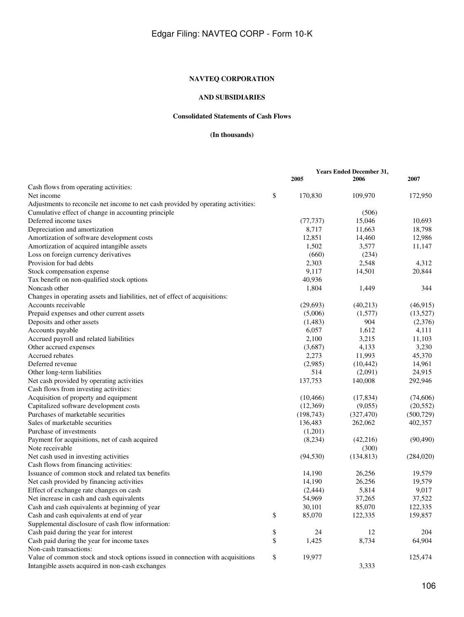## **NAVTEQ CORPORATION**

## **AND SUBSIDIARIES**

## **Consolidated Statements of Cash Flows**

## **(In thousands)**

|                                                                                   |               | <b>Years Ended December 31,</b> |            |
|-----------------------------------------------------------------------------------|---------------|---------------------------------|------------|
|                                                                                   | 2005          | 2006                            | 2007       |
| Cash flows from operating activities:                                             |               |                                 |            |
| Net income                                                                        | \$<br>170,830 | 109,970                         | 172,950    |
| Adjustments to reconcile net income to net cash provided by operating activities: |               |                                 |            |
| Cumulative effect of change in accounting principle                               |               | (506)                           |            |
| Deferred income taxes                                                             | (77, 737)     | 15,046                          | 10,693     |
| Depreciation and amortization                                                     | 8,717         | 11,663                          | 18,798     |
| Amortization of software development costs                                        | 12,851        | 14,460                          | 12,986     |
| Amortization of acquired intangible assets                                        | 1,502         | 3,577                           | 11,147     |
| Loss on foreign currency derivatives                                              | (660)         | (234)                           |            |
| Provision for bad debts                                                           | 2,303         | 2,548                           | 4,312      |
| Stock compensation expense                                                        | 9,117         | 14,501                          | 20,844     |
| Tax benefit on non-qualified stock options                                        | 40,936        |                                 |            |
| Noncash other                                                                     | 1,804         | 1,449                           | 344        |
| Changes in operating assets and liabilities, net of effect of acquisitions:       |               |                                 |            |
| Accounts receivable                                                               | (29,693)      | (40,213)                        | (46,915)   |
| Prepaid expenses and other current assets                                         | (5,006)       | (1,577)                         | (13,527)   |
| Deposits and other assets                                                         | (1,483)       | 904                             | (2,376)    |
| Accounts payable                                                                  | 6,057         | 1,612                           | 4,111      |
| Accrued payroll and related liabilities                                           | 2,100         | 3,215                           | 11,103     |
| Other accrued expenses                                                            | (3,687)       | 4,133                           | 3,230      |
| Accrued rebates                                                                   | 2,273         | 11,993                          | 45,370     |
| Deferred revenue                                                                  | (2,985)       | (10, 442)                       | 14,961     |
| Other long-term liabilities                                                       | 514           | (2,091)                         | 24,915     |
| Net cash provided by operating activities                                         | 137,753       | 140,008                         | 292,946    |
| Cash flows from investing activities:                                             |               |                                 |            |
| Acquisition of property and equipment                                             | (10, 466)     | (17, 834)                       | (74, 606)  |
| Capitalized software development costs                                            | (12,369)      | (9,055)                         | (20, 552)  |
| Purchases of marketable securities                                                | (198, 743)    | (327, 470)                      | (500, 729) |
| Sales of marketable securities                                                    | 136,483       | 262,062                         | 402,357    |
| Purchase of investments                                                           | (1,201)       |                                 |            |
| Payment for acquisitions, net of cash acquired                                    | (8,234)       | (42,216)                        | (90, 490)  |
| Note receivable                                                                   |               | (300)                           |            |
| Net cash used in investing activities                                             | (94, 530)     | (134, 813)                      | (284, 020) |
| Cash flows from financing activities:                                             |               |                                 |            |
| Issuance of common stock and related tax benefits                                 | 14,190        | 26,256                          | 19,579     |
| Net cash provided by financing activities                                         | 14,190        | 26,256                          | 19,579     |
| Effect of exchange rate changes on cash                                           | (2, 444)      | 5,814                           | 9,017      |
| Net increase in cash and cash equivalents                                         | 54,969        | 37,265                          | 37,522     |
| Cash and cash equivalents at beginning of year                                    | 30,101        | 85,070                          | 122,335    |
| Cash and cash equivalents at end of year                                          | \$<br>85,070  | 122,335                         | 159,857    |
| Supplemental disclosure of cash flow information:                                 |               |                                 |            |
| Cash paid during the year for interest                                            | \$<br>24      | 12                              | 204        |
| Cash paid during the year for income taxes                                        | \$<br>1,425   | 8,734                           | 64,904     |
| Non-cash transactions:                                                            |               |                                 |            |
| Value of common stock and stock options issued in connection with acquisitions    | \$<br>19,977  |                                 | 125,474    |
| Intangible assets acquired in non-cash exchanges                                  |               | 3,333                           |            |
|                                                                                   |               |                                 |            |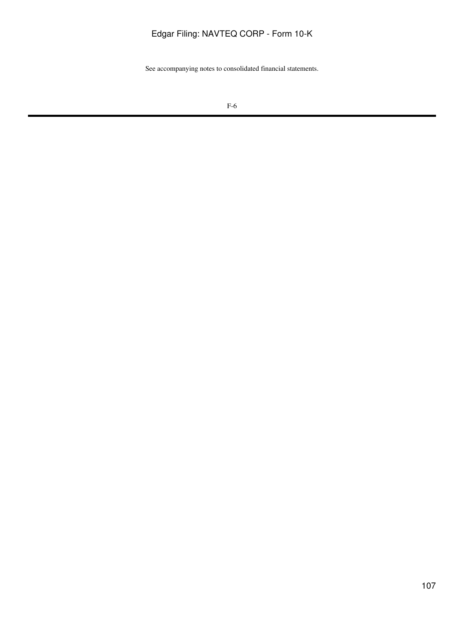See accompanying notes to consolidated financial statements.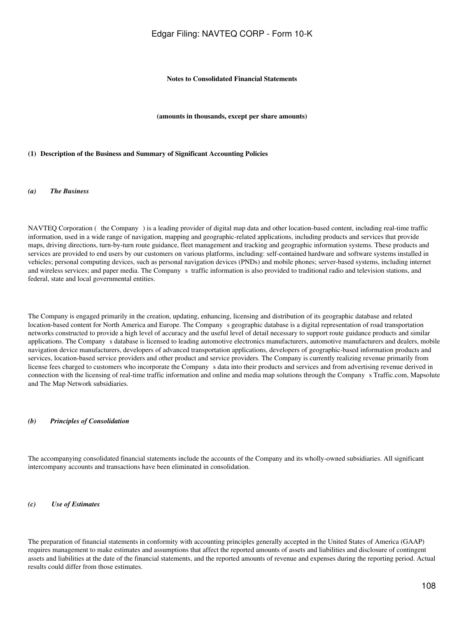### **Notes to Consolidated Financial Statements**

**(amounts in thousands, except per share amounts)**

### **(1)Description of the Business and Summary of Significant Accounting Policies**

### *(a) The Business*

NAVTEQ Corporation (the Company) is a leading provider of digital map data and other location-based content, including real-time traffic information, used in a wide range of navigation, mapping and geographic-related applications, including products and services that provide maps, driving directions, turn-by-turn route guidance, fleet management and tracking and geographic information systems. These products and services are provided to end users by our customers on various platforms, including: self-contained hardware and software systems installed in vehicles; personal computing devices, such as personal navigation devices (PNDs) and mobile phones; server-based systems, including internet and wireless services; and paper media. The Company s traffic information is also provided to traditional radio and television stations, and federal, state and local governmental entities.

The Company is engaged primarily in the creation, updating, enhancing, licensing and distribution of its geographic database and related location-based content for North America and Europe. The Company s geographic database is a digital representation of road transportation networks constructed to provide a high level of accuracy and the useful level of detail necessary to support route guidance products and similar applications. The Company s database is licensed to leading automotive electronics manufacturers, automotive manufacturers and dealers, mobile navigation device manufacturers, developers of advanced transportation applications, developers of geographic-based information products and services, location-based service providers and other product and service providers. The Company is currently realizing revenue primarily from license fees charged to customers who incorporate the Company s data into their products and services and from advertising revenue derived in connection with the licensing of real-time traffic information and online and media map solutions through the Companys Traffic.com, Mapsolute and The Map Network subsidiaries.

### *(b) Principles of Consolidation*

The accompanying consolidated financial statements include the accounts of the Company and its wholly-owned subsidiaries. All significant intercompany accounts and transactions have been eliminated in consolidation.

#### *(c) Use of Estimates*

The preparation of financial statements in conformity with accounting principles generally accepted in the United States of America (GAAP) requires management to make estimates and assumptions that affect the reported amounts of assets and liabilities and disclosure of contingent assets and liabilities at the date of the financial statements, and the reported amounts of revenue and expenses during the reporting period. Actual results could differ from those estimates.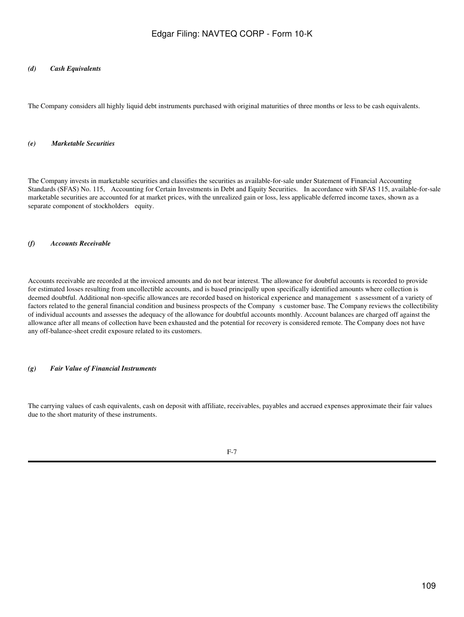### *(d) Cash Equivalents*

The Company considers all highly liquid debt instruments purchased with original maturities of three months or less to be cash equivalents.

#### *(e) Marketable Securities*

The Company invests in marketable securities and classifies the securities as available-for-sale under Statement of Financial Accounting Standards (SFAS) No. 115, Accounting for Certain Investments in Debt and Equity Securities. In accordance with SFAS 115, available-for-sale marketable securities are accounted for at market prices, with the unrealized gain or loss, less applicable deferred income taxes, shown as a separate component of stockholders equity.

#### *(f) Accounts Receivable*

Accounts receivable are recorded at the invoiced amounts and do not bear interest. The allowance for doubtful accounts is recorded to provide for estimated losses resulting from uncollectible accounts, and is based principally upon specifically identified amounts where collection is deemed doubtful. Additional non-specific allowances are recorded based on historical experience and management s assessment of a variety of factors related to the general financial condition and business prospects of the Company s customer base. The Company reviews the collectibility of individual accounts and assesses the adequacy of the allowance for doubtful accounts monthly. Account balances are charged off against the allowance after all means of collection have been exhausted and the potential for recovery is considered remote. The Company does not have any off-balance-sheet credit exposure related to its customers.

### *(g) Fair Value of Financial Instruments*

The carrying values of cash equivalents, cash on deposit with affiliate, receivables, payables and accrued expenses approximate their fair values due to the short maturity of these instruments.

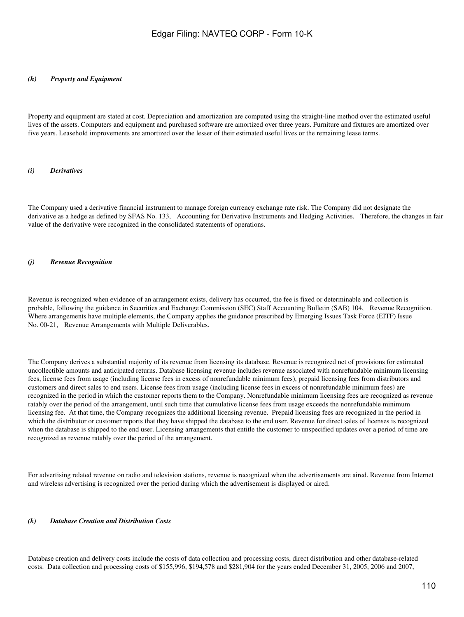#### *(h) Property and Equipment*

Property and equipment are stated at cost. Depreciation and amortization are computed using the straight-line method over the estimated useful lives of the assets. Computers and equipment and purchased software are amortized over three years. Furniture and fixtures are amortized over five years. Leasehold improvements are amortized over the lesser of their estimated useful lives or the remaining lease terms.

#### *(i) Derivatives*

The Company used a derivative financial instrument to manage foreign currency exchange rate risk. The Company did not designate the derivative as a hedge as defined by SFAS No. 133, Accounting for Derivative Instruments and Hedging Activities. Therefore, the changes in fair value of the derivative were recognized in the consolidated statements of operations.

#### *(j) Revenue Recognition*

Revenue is recognized when evidence of an arrangement exists, delivery has occurred, the fee is fixed or determinable and collection is probable, following the guidance in Securities and Exchange Commission (SEC) Staff Accounting Bulletin (SAB) 104, Revenue Recognition. Where arrangements have multiple elements, the Company applies the guidance prescribed by Emerging Issues Task Force (EITF) Issue No. 00-21, Revenue Arrangements with Multiple Deliverables.

The Company derives a substantial majority of its revenue from licensing its database. Revenue is recognized net of provisions for estimated uncollectible amounts and anticipated returns. Database licensing revenue includes revenue associated with nonrefundable minimum licensing fees, license fees from usage (including license fees in excess of nonrefundable minimum fees), prepaid licensing fees from distributors and customers and direct sales to end users. License fees from usage (including license fees in excess of nonrefundable minimum fees) are recognized in the period in which the customer reports them to the Company. Nonrefundable minimum licensing fees are recognized as revenue ratably over the period of the arrangement, until such time that cumulative license fees from usage exceeds the nonrefundable minimum licensing fee. At that time, the Company recognizes the additional licensing revenue. Prepaid licensing fees are recognized in the period in which the distributor or customer reports that they have shipped the database to the end user. Revenue for direct sales of licenses is recognized when the database is shipped to the end user. Licensing arrangements that entitle the customer to unspecified updates over a period of time are recognized as revenue ratably over the period of the arrangement.

For advertising related revenue on radio and television stations, revenue is recognized when the advertisements are aired. Revenue from Internet and wireless advertising is recognized over the period during which the advertisement is displayed or aired.

#### *(k) Database Creation and Distribution Costs*

Database creation and delivery costs include the costs of data collection and processing costs, direct distribution and other database-related costs. Data collection and processing costs of \$155,996, \$194,578 and \$281,904 for the years ended December 31, 2005, 2006 and 2007,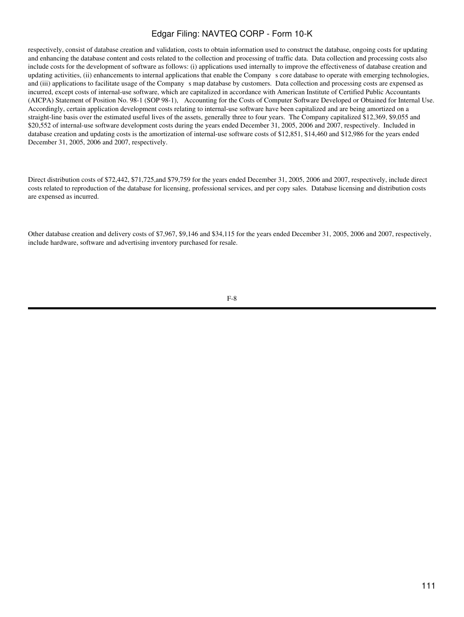respectively, consist of database creation and validation, costs to obtain information used to construct the database, ongoing costs for updating and enhancing the database content and costs related to the collection and processing of traffic data. Data collection and processing costs also include costs for the development of software as follows: (i) applications used internally to improve the effectiveness of database creation and updating activities, (ii) enhancements to internal applications that enable the Companys core database to operate with emerging technologies, and (iii) applications to facilitate usage of the Company s map database by customers. Data collection and processing costs are expensed as incurred, except costs of internal-use software, which are capitalized in accordance with American Institute of Certified Public Accountants (AICPA) Statement of Position No. 98-1 (SOP 98-1), Accounting for the Costs of Computer Software Developed or Obtained for Internal Use. Accordingly, certain application development costs relating to internal-use software have been capitalized and are being amortized on a straight-line basis over the estimated useful lives of the assets, generally three to four years. The Company capitalized \$12,369, \$9,055 and \$20,552 of internal-use software development costs during the years ended December 31, 2005, 2006 and 2007, respectively. Included in database creation and updating costs is the amortization of internal-use software costs of \$12,851, \$14,460 and \$12,986 for the years ended December 31, 2005, 2006 and 2007, respectively.

Direct distribution costs of \$72,442, \$71,725,and \$79,759 for the years ended December 31, 2005, 2006 and 2007, respectively, include direct costs related to reproduction of the database for licensing, professional services, and per copy sales. Database licensing and distribution costs are expensed as incurred.

Other database creation and delivery costs of \$7,967, \$9,146 and \$34,115 for the years ended December 31, 2005, 2006 and 2007, respectively, include hardware, software and advertising inventory purchased for resale.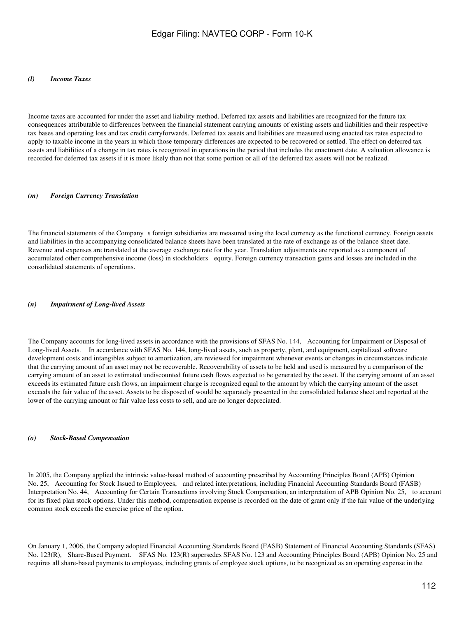#### *(l) Income Taxes*

Income taxes are accounted for under the asset and liability method. Deferred tax assets and liabilities are recognized for the future tax consequences attributable to differences between the financial statement carrying amounts of existing assets and liabilities and their respective tax bases and operating loss and tax credit carryforwards. Deferred tax assets and liabilities are measured using enacted tax rates expected to apply to taxable income in the years in which those temporary differences are expected to be recovered or settled. The effect on deferred tax assets and liabilities of a change in tax rates is recognized in operations in the period that includes the enactment date. A valuation allowance is recorded for deferred tax assets if it is more likely than not that some portion or all of the deferred tax assets will not be realized.

#### *(m) Foreign Currency Translation*

The financial statements of the Company s foreign subsidiaries are measured using the local currency as the functional currency. Foreign assets and liabilities in the accompanying consolidated balance sheets have been translated at the rate of exchange as of the balance sheet date. Revenue and expenses are translated at the average exchange rate for the year. Translation adjustments are reported as a component of accumulated other comprehensive income (loss) in stockholders equity. Foreign currency transaction gains and losses are included in the consolidated statements of operations.

#### *(n) Impairment of Long-lived Assets*

The Company accounts for long-lived assets in accordance with the provisions of SFAS No. 144, Accounting for Impairment or Disposal of Long-lived Assets. In accordance with SFAS No. 144, long-lived assets, such as property, plant, and equipment, capitalized software development costs and intangibles subject to amortization, are reviewed for impairment whenever events or changes in circumstances indicate that the carrying amount of an asset may not be recoverable. Recoverability of assets to be held and used is measured by a comparison of the carrying amount of an asset to estimated undiscounted future cash flows expected to be generated by the asset. If the carrying amount of an asset exceeds its estimated future cash flows, an impairment charge is recognized equal to the amount by which the carrying amount of the asset exceeds the fair value of the asset. Assets to be disposed of would be separately presented in the consolidated balance sheet and reported at the lower of the carrying amount or fair value less costs to sell, and are no longer depreciated.

#### *(o) Stock-Based Compensation*

In 2005, the Company applied the intrinsic value-based method of accounting prescribed by Accounting Principles Board (APB) Opinion No. 25, Accounting for Stock Issued to Employees, and related interpretations, including Financial Accounting Standards Board (FASB) Interpretation No. 44, Accounting for Certain Transactions involving Stock Compensation, an interpretation of APB Opinion No. 25, to account for its fixed plan stock options. Under this method, compensation expense is recorded on the date of grant only if the fair value of the underlying common stock exceeds the exercise price of the option.

On January 1, 2006, the Company adopted Financial Accounting Standards Board (FASB) Statement of Financial Accounting Standards (SFAS) No. 123(R), Share-Based Payment. SFAS No. 123(R) supersedes SFAS No. 123 and Accounting Principles Board (APB) Opinion No. 25 and requires all share-based payments to employees, including grants of employee stock options, to be recognized as an operating expense in the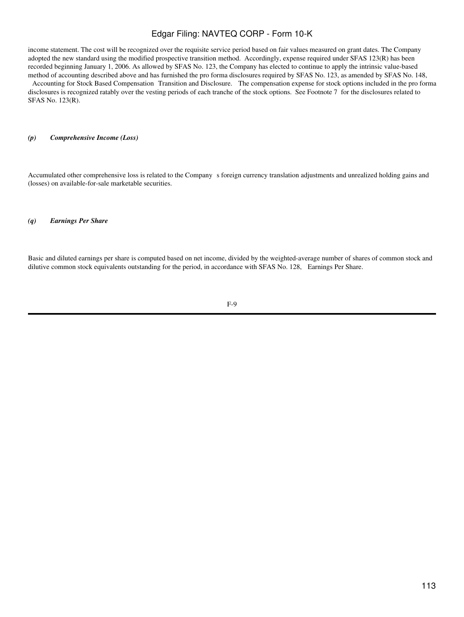income statement. The cost will be recognized over the requisite service period based on fair values measured on grant dates. The Company adopted the new standard using the modified prospective transition method. Accordingly, expense required under SFAS 123(R) has been recorded beginning January 1, 2006. As allowed by SFAS No. 123, the Company has elected to continue to apply the intrinsic value-based method of accounting described above and has furnished the pro forma disclosures required by SFAS No. 123, as amended by SFAS No. 148, Accounting for Stock Based Compensation Transition and Disclosure. The compensation expense for stock options included in the pro forma disclosures is recognized ratably over the vesting periods of each tranche of the stock options. See Footnote 7 for the disclosures related to SFAS No. 123(R).

#### *(p) Comprehensive Income (Loss)*

Accumulated other comprehensive loss is related to the Company s foreign currency translation adjustments and unrealized holding gains and (losses) on available-for-sale marketable securities.

#### *(q) Earnings Per Share*

Basic and diluted earnings per share is computed based on net income, divided by the weighted-average number of shares of common stock and dilutive common stock equivalents outstanding for the period, in accordance with SFAS No. 128, Earnings Per Share.

$$
F-9
$$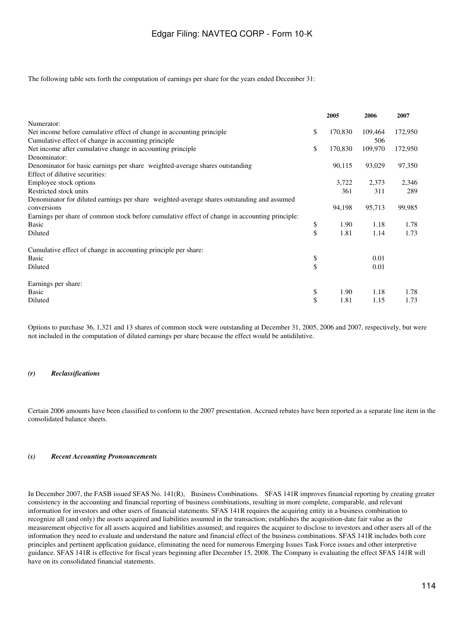The following table sets forth the computation of earnings per share for the years ended December 31:

|                                                                                                | 2005          | 2006    | 2007    |
|------------------------------------------------------------------------------------------------|---------------|---------|---------|
| Numerator:                                                                                     |               |         |         |
| Net income before cumulative effect of change in accounting principle                          | \$<br>170,830 | 109,464 | 172,950 |
| Cumulative effect of change in accounting principle                                            |               | 506     |         |
| Net income after cumulative change in accounting principle.                                    | \$<br>170,830 | 109,970 | 172,950 |
| Denominator:                                                                                   |               |         |         |
| Denominator for basic earnings per share weighted-average shares outstanding                   | 90,115        | 93,029  | 97,350  |
| Effect of dilutive securities:                                                                 |               |         |         |
| Employee stock options                                                                         | 3,722         | 2,373   | 2,346   |
| Restricted stock units                                                                         | 361           | 311     | 289     |
| Denominator for diluted earnings per share weighted-average shares outstanding and assumed     |               |         |         |
| conversions                                                                                    | 94,198        | 95,713  | 99,985  |
| Earnings per share of common stock before cumulative effect of change in accounting principle: |               |         |         |
| Basic                                                                                          | \$<br>1.90    | 1.18    | 1.78    |
| Diluted                                                                                        | \$<br>1.81    | 1.14    | 1.73    |
| Cumulative effect of change in accounting principle per share:                                 |               |         |         |
| Basic                                                                                          | \$            | 0.01    |         |
| Diluted                                                                                        | \$            | 0.01    |         |
| Earnings per share:                                                                            |               |         |         |
| Basic                                                                                          | \$<br>1.90    | 1.18    | 1.78    |
| Diluted                                                                                        | \$<br>1.81    | 1.15    | 1.73    |

Options to purchase 36, 1,321 and 13 shares of common stock were outstanding at December 31, 2005, 2006 and 2007, respectively, but were not included in the computation of diluted earnings per share because the effect would be antidilutive.

#### *(r) Reclassifications*

Certain 2006 amounts have been classified to conform to the 2007 presentation. Accrued rebates have been reported as a separate line item in the consolidated balance sheets.

#### *(s) Recent Accounting Pronouncements*

In December 2007, the FASB issued SFAS No. 141(R), Business Combinations. SFAS 141R improves financial reporting by creating greater consistency in the accounting and financial reporting of business combinations, resulting in more complete, comparable, and relevant information for investors and other users of financial statements. SFAS 141R requires the acquiring entity in a business combination to recognize all (and only) the assets acquired and liabilities assumed in the transaction; establishes the acquisition-date fair value as the measurement objective for all assets acquired and liabilities assumed; and requires the acquirer to disclose to investors and other users all of the information they need to evaluate and understand the nature and financial effect of the business combinations. SFAS 141R includes both core principles and pertinent application guidance, eliminating the need for numerous Emerging Issues Task Force issues and other interpretive guidance. SFAS 141R is effective for fiscal years beginning after December 15, 2008. The Company is evaluating the effect SFAS 141R will have on its consolidated financial statements.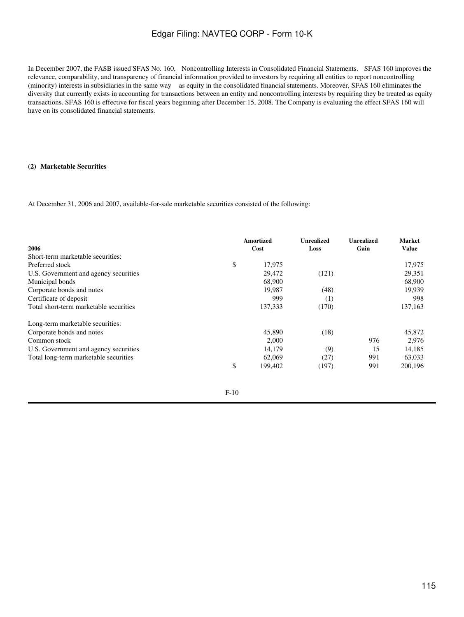In December 2007, the FASB issued SFAS No. 160, Noncontrolling Interests in Consolidated Financial Statements. SFAS 160 improves the relevance, comparability, and transparency of financial information provided to investors by requiring all entities to report noncontrolling (minority) interests in subsidiaries in the same way as equity in the consolidated financial statements. Moreover, SFAS 160 eliminates the diversity that currently exists in accounting for transactions between an entity and noncontrolling interests by requiring they be treated as equity transactions. SFAS 160 is effective for fiscal years beginning after December 15, 2008. The Company is evaluating the effect SFAS 160 will have on its consolidated financial statements.

### **(2)Marketable Securities**

At December 31, 2006 and 2007, available-for-sale marketable securities consisted of the following:

| 2006                                   | Amortized<br>Cost | <b>Unrealized</b><br>Loss | <b>Unrealized</b><br>Gain | <b>Market</b><br><b>Value</b> |
|----------------------------------------|-------------------|---------------------------|---------------------------|-------------------------------|
| Short-term marketable securities:      |                   |                           |                           |                               |
| Preferred stock                        | \$<br>17,975      |                           |                           | 17,975                        |
| U.S. Government and agency securities  | 29,472            | (121)                     |                           | 29,351                        |
| Municipal bonds                        | 68,900            |                           |                           | 68,900                        |
| Corporate bonds and notes              | 19.987            | (48)                      |                           | 19,939                        |
| Certificate of deposit                 | 999               | (1)                       |                           | 998                           |
| Total short-term marketable securities | 137,333           | (170)                     |                           | 137,163                       |
| Long-term marketable securities:       |                   |                           |                           |                               |
| Corporate bonds and notes              | 45,890            | (18)                      |                           | 45,872                        |
| Common stock                           | 2,000             |                           | 976                       | 2,976                         |
| U.S. Government and agency securities  | 14,179            | (9)                       | 15                        | 14,185                        |
| Total long-term marketable securities  | 62,069            | (27)                      | 991                       | 63,033                        |
|                                        | \$<br>199,402     | (197)                     | 991                       | 200,196                       |
|                                        |                   |                           |                           |                               |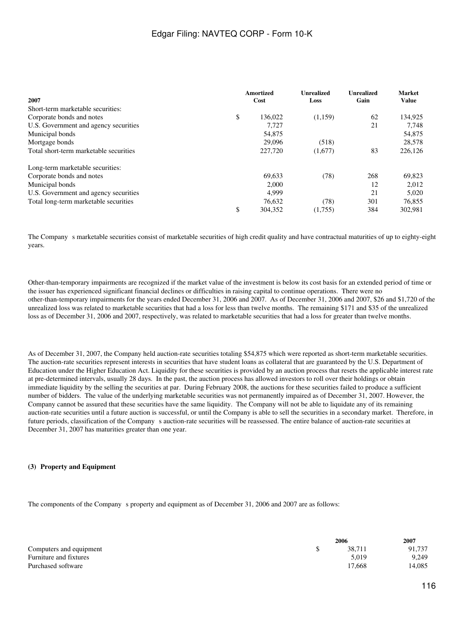|                                        | <b>Amortized</b> | <b>Unrealized</b> | <b>Unrealized</b> | <b>Market</b> |
|----------------------------------------|------------------|-------------------|-------------------|---------------|
| 2007                                   | Cost             | Loss              | Gain              | <b>Value</b>  |
| Short-term marketable securities:      |                  |                   |                   |               |
| Corporate bonds and notes              | \$<br>136,022    | (1,159)           | 62                | 134,925       |
| U.S. Government and agency securities  | 7.727            |                   | 21                | 7.748         |
| Municipal bonds                        | 54,875           |                   |                   | 54,875        |
| Mortgage bonds                         | 29,096           | (518)             |                   | 28,578        |
| Total short-term marketable securities | 227,720          | (1,677)           | 83                | 226,126       |
| Long-term marketable securities:       |                  |                   |                   |               |
| Corporate bonds and notes              | 69.633           | (78)              | 268               | 69,823        |
| Municipal bonds                        | 2,000            |                   | 12                | 2,012         |
| U.S. Government and agency securities  | 4.999            |                   | 21                | 5.020         |
| Total long-term marketable securities  | 76.632           | (78)              | 301               | 76,855        |
|                                        | \$<br>304.352    | (1,755)           | 384               | 302.981       |

The Company s marketable securities consist of marketable securities of high credit quality and have contractual maturities of up to eighty-eight years.

Other-than-temporary impairments are recognized if the market value of the investment is below its cost basis for an extended period of time or the issuer has experienced significant financial declines or difficulties in raising capital to continue operations. There were no other-than-temporary impairments for the years ended December 31, 2006 and 2007. As of December 31, 2006 and 2007, \$26 and \$1,720 of the unrealized loss was related to marketable securities that had a loss for less than twelve months. The remaining \$171 and \$35 of the unrealized loss as of December 31, 2006 and 2007, respectively, was related to marketable securities that had a loss for greater than twelve months.

As of December 31, 2007, the Company held auction-rate securities totaling \$54,875 which were reported as short-term marketable securities. The auction-rate securities represent interests in securities that have student loans as collateral that are guaranteed by the U.S. Department of Education under the Higher Education Act. Liquidity for these securities is provided by an auction process that resets the applicable interest rate at pre-determined intervals, usually 28 days. In the past, the auction process has allowed investors to roll over their holdings or obtain immediate liquidity by the selling the securities at par. During February 2008, the auctions for these securities failed to produce a sufficient number of bidders. The value of the underlying marketable securities was not permanently impaired as of December 31, 2007. However, the Company cannot be assured that these securities have the same liquidity. The Company will not be able to liquidate any of its remaining auction-rate securities until a future auction is successful, or until the Company is able to sell the securities in a secondary market. Therefore, in future periods, classification of the Company s auction-rate securities will be reassessed. The entire balance of auction-rate securities at December 31, 2007 has maturities greater than one year.

### **(3) Property and Equipment**

The components of the Company s property and equipment as of December 31, 2006 and 2007 are as follows:

|                         | 2006   | 2007   |
|-------------------------|--------|--------|
| Computers and equipment | 38.711 | 91,737 |
| Furniture and fixtures  | 5.019  | 9.249  |
| Purchased software      | 17.668 | 14,085 |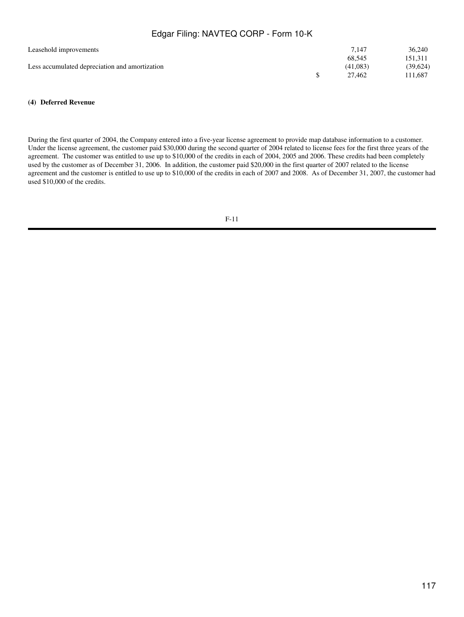| Leasehold improvements                         | 7.147    | 36,240   |
|------------------------------------------------|----------|----------|
|                                                | 68.545   | 151.311  |
| Less accumulated depreciation and amortization | (41.083) | (39,624) |
|                                                | 27.462   | 111.687  |

### **(4) Deferred Revenue**

During the first quarter of 2004, the Company entered into a five-year license agreement to provide map database information to a customer. Under the license agreement, the customer paid \$30,000 during the second quarter of 2004 related to license fees for the first three years of the agreement. The customer was entitled to use up to \$10,000 of the credits in each of 2004, 2005 and 2006. These credits had been completely used by the customer as of December 31, 2006. In addition, the customer paid \$20,000 in the first quarter of 2007 related to the license agreement and the customer is entitled to use up to \$10,000 of the credits in each of 2007 and 2008. As of December 31, 2007, the customer had used \$10,000 of the credits.

$$
F-11
$$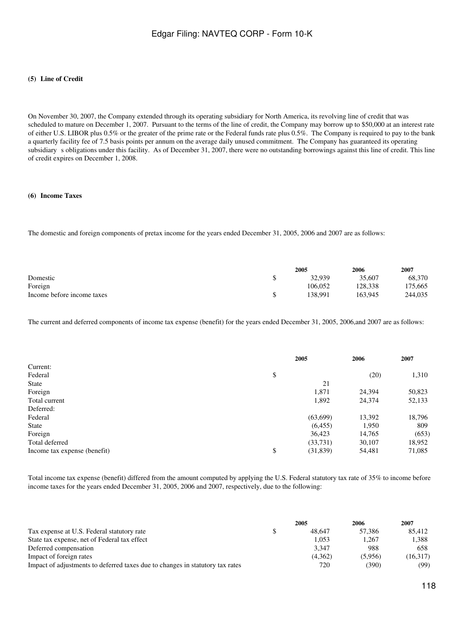### **(5)Line of Credit**

On November 30, 2007, the Company extended through its operating subsidiary for North America, its revolving line of credit that was scheduled to mature on December 1, 2007. Pursuant to the terms of the line of credit, the Company may borrow up to \$50,000 at an interest rate of either U.S. LIBOR plus 0.5% or the greater of the prime rate or the Federal funds rate plus 0.5%. The Company is required to pay to the bank a quarterly facility fee of 7.5 basis points per annum on the average daily unused commitment. The Company has guaranteed its operating subsidiary s obligations under this facility. As of December 31, 2007, there were no outstanding borrowings against this line of credit. This line of credit expires on December 1, 2008.

#### **(6)Income Taxes**

The domestic and foreign components of pretax income for the years ended December 31, 2005, 2006 and 2007 are as follows:

|                            | 2005    | 2006    | 2007    |
|----------------------------|---------|---------|---------|
| Domestic                   | 32.939  | 35,607  | 68.370  |
| Foreign                    | 106.052 | 128.338 | 175.665 |
| Income before income taxes | 138.991 | 163.945 | 244,035 |

The current and deferred components of income tax expense (benefit) for the years ended December 31, 2005, 2006,and 2007 are as follows:

|                              | 2005            | 2006   | 2007   |
|------------------------------|-----------------|--------|--------|
| Current:                     |                 |        |        |
| Federal                      | \$              | (20)   | 1,310  |
| <b>State</b>                 | 21              |        |        |
| Foreign                      | 1,871           | 24,394 | 50,823 |
| Total current                | 1,892           | 24,374 | 52,133 |
| Deferred:                    |                 |        |        |
| Federal                      | (63,699)        | 13,392 | 18,796 |
| State                        | (6,455)         | 1,950  | 809    |
| Foreign                      | 36,423          | 14,765 | (653)  |
| Total deferred               | (33, 731)       | 30,107 | 18,952 |
| Income tax expense (benefit) | \$<br>(31, 839) | 54,481 | 71,085 |

Total income tax expense (benefit) differed from the amount computed by applying the U.S. Federal statutory tax rate of 35% to income before income taxes for the years ended December 31, 2005, 2006 and 2007, respectively, due to the following:

|                                                                               | 2005    | 2006    | 2007     |
|-------------------------------------------------------------------------------|---------|---------|----------|
| Tax expense at U.S. Federal statutory rate                                    | 48.647  | 57.386  | 85.412   |
| State tax expense, net of Federal tax effect                                  | 1.053   | 1.267   | 1.388    |
| Deferred compensation                                                         | 3.347   | 988     | 658      |
| Impact of foreign rates                                                       | (4.362) | (5.956) | (16,317) |
| Impact of adjustments to deferred taxes due to changes in statutory tax rates | 720     | (390)   | (99)     |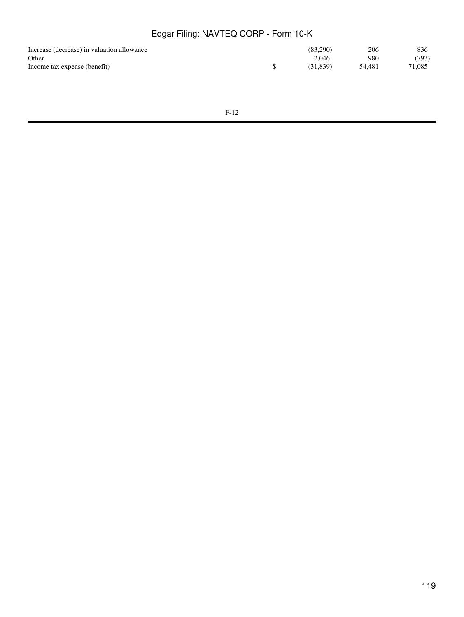| Increase (decrease) in valuation allowance | (83.290) | 206    | 836    |
|--------------------------------------------|----------|--------|--------|
| Other                                      | 2.046    | 980    | 793)   |
| Income tax expense (benefit)               | (31.839) | 54.481 | 71.085 |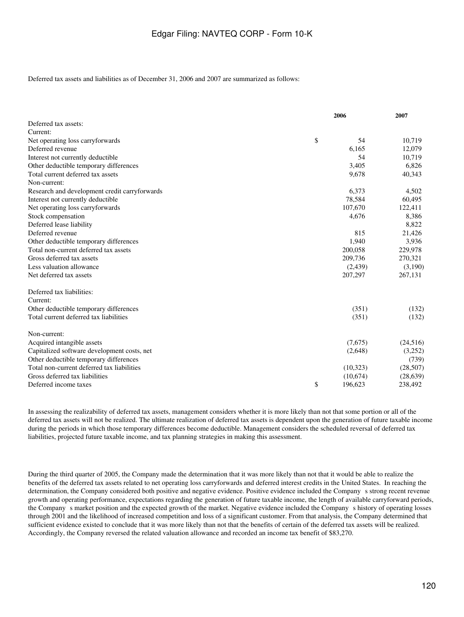Deferred tax assets and liabilities as of December 31, 2006 and 2007 are summarized as follows:

|                                               | 2006 |           | 2007      |  |
|-----------------------------------------------|------|-----------|-----------|--|
| Deferred tax assets:                          |      |           |           |  |
| Current:                                      |      |           |           |  |
| Net operating loss carryforwards              | \$   | 54        | 10,719    |  |
| Deferred revenue                              |      | 6,165     | 12,079    |  |
| Interest not currently deductible             |      | 54        | 10,719    |  |
| Other deductible temporary differences        |      | 3,405     | 6,826     |  |
| Total current deferred tax assets             |      | 9,678     | 40,343    |  |
| Non-current:                                  |      |           |           |  |
| Research and development credit carryforwards |      | 6,373     | 4,502     |  |
| Interest not currently deductible             |      | 78,584    | 60,495    |  |
| Net operating loss carryforwards              |      | 107,670   | 122,411   |  |
| Stock compensation                            |      | 4,676     | 8,386     |  |
| Deferred lease liability                      |      |           | 8,822     |  |
| Deferred revenue                              |      | 815       | 21,426    |  |
| Other deductible temporary differences        |      | 1,940     | 3,936     |  |
| Total non-current deferred tax assets         |      | 200,058   | 229,978   |  |
| Gross deferred tax assets                     |      | 209,736   | 270,321   |  |
| Less valuation allowance                      |      | (2,439)   | (3,190)   |  |
| Net deferred tax assets                       |      | 207,297   | 267,131   |  |
| Deferred tax liabilities:                     |      |           |           |  |
| Current:                                      |      |           |           |  |
| Other deductible temporary differences        |      | (351)     | (132)     |  |
| Total current deferred tax liabilities        |      | (351)     | (132)     |  |
| Non-current:                                  |      |           |           |  |
| Acquired intangible assets                    |      | (7,675)   | (24,516)  |  |
| Capitalized software development costs, net   |      | (2,648)   | (3,252)   |  |
| Other deductible temporary differences        |      |           | (739)     |  |
| Total non-current deferred tax liabilities    |      | (10, 323) | (28,507)  |  |
| Gross deferred tax liabilities                |      | (10,674)  | (28, 639) |  |
| Deferred income taxes                         | \$   | 196,623   | 238,492   |  |

In assessing the realizability of deferred tax assets, management considers whether it is more likely than not that some portion or all of the deferred tax assets will not be realized. The ultimate realization of deferred tax assets is dependent upon the generation of future taxable income during the periods in which those temporary differences become deductible. Management considers the scheduled reversal of deferred tax liabilities, projected future taxable income, and tax planning strategies in making this assessment.

During the third quarter of 2005, the Company made the determination that it was more likely than not that it would be able to realize the benefits of the deferred tax assets related to net operating loss carryforwards and deferred interest credits in the United States. In reaching the determination, the Company considered both positive and negative evidence. Positive evidence included the Company s strong recent revenue growth and operating performance, expectations regarding the generation of future taxable income, the length of available carryforward periods, the Companys market position and the expected growth of the market. Negative evidence included the Companys history of operating losses through 2001 and the likelihood of increased competition and loss of a significant customer. From that analysis, the Company determined that sufficient evidence existed to conclude that it was more likely than not that the benefits of certain of the deferred tax assets will be realized. Accordingly, the Company reversed the related valuation allowance and recorded an income tax benefit of \$83,270.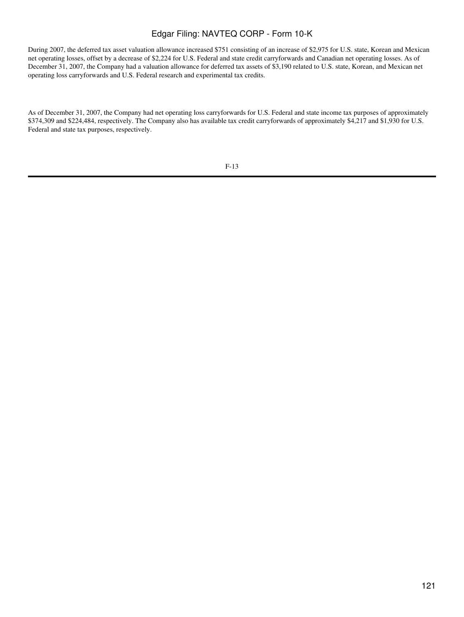During 2007, the deferred tax asset valuation allowance increased \$751 consisting of an increase of \$2,975 for U.S. state, Korean and Mexican net operating losses, offset by a decrease of \$2,224 for U.S. Federal and state credit carryforwards and Canadian net operating losses. As of December 31, 2007, the Company had a valuation allowance for deferred tax assets of \$3,190 related to U.S. state, Korean, and Mexican net operating loss carryforwards and U.S. Federal research and experimental tax credits.

As of December 31, 2007, the Company had net operating loss carryforwards for U.S. Federal and state income tax purposes of approximately \$374,309 and \$224,484, respectively. The Company also has available tax credit carryforwards of approximately \$4,217 and \$1,930 for U.S. Federal and state tax purposes, respectively.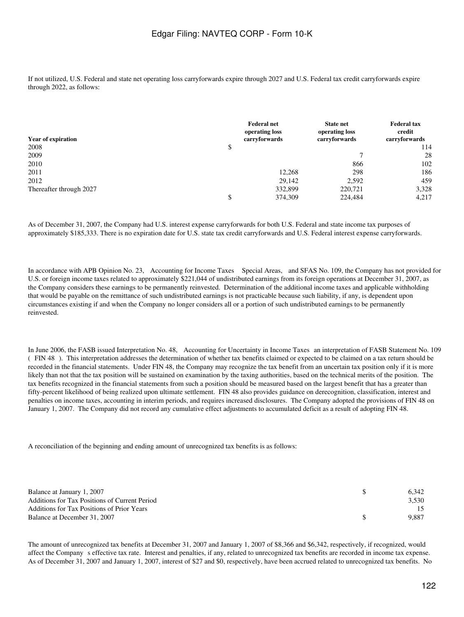If not utilized, U.S. Federal and state net operating loss carryforwards expire through 2027 and U.S. Federal tax credit carryforwards expire through 2022, as follows:

| <b>Year of expiration</b> | <b>Federal net</b><br>operating loss<br>carryforwards | <b>State net</b><br>operating loss<br>carryforwards | <b>Federal tax</b><br>credit<br>carryforwards |
|---------------------------|-------------------------------------------------------|-----------------------------------------------------|-----------------------------------------------|
| 2008                      | \$                                                    |                                                     | 114                                           |
| 2009                      |                                                       |                                                     | 28                                            |
| 2010                      |                                                       | 866                                                 | 102                                           |
| 2011                      | 12,268                                                | 298                                                 | 186                                           |
| 2012                      | 29,142                                                | 2,592                                               | 459                                           |
| Thereafter through 2027   | 332,899                                               | 220,721                                             | 3,328                                         |
|                           | \$<br>374,309                                         | 224,484                                             | 4,217                                         |

As of December 31, 2007, the Company had U.S. interest expense carryforwards for both U.S. Federal and state income tax purposes of approximately \$185,333. There is no expiration date for U.S. state tax credit carryforwards and U.S. Federal interest expense carryforwards.

In accordance with APB Opinion No. 23, Accounting for Income Taxes Special Areas, and SFAS No. 109, the Company has not provided for U.S. or foreign income taxes related to approximately \$221,044 of undistributed earnings from its foreign operations at December 31, 2007, as the Company considers these earnings to be permanently reinvested. Determination of the additional income taxes and applicable withholding that would be payable on the remittance of such undistributed earnings is not practicable because such liability, if any, is dependent upon circumstances existing if and when the Company no longer considers all or a portion of such undistributed earnings to be permanently reinvested.

In June 2006, the FASB issued Interpretation No. 48, Accounting for Uncertainty in Income Taxes an interpretation of FASB Statement No. 109 (FIN 48). This interpretation addresses the determination of whether tax benefits claimed or expected to be claimed on a tax return should be recorded in the financial statements. Under FIN 48, the Company may recognize the tax benefit from an uncertain tax position only if it is more likely than not that the tax position will be sustained on examination by the taxing authorities, based on the technical merits of the position. The tax benefits recognized in the financial statements from such a position should be measured based on the largest benefit that has a greater than fifty-percent likelihood of being realized upon ultimate settlement. FIN 48 also provides guidance on derecognition, classification, interest and penalties on income taxes, accounting in interim periods, and requires increased disclosures. The Company adopted the provisions of FIN 48 on January 1, 2007. The Company did not record any cumulative effect adjustments to accumulated deficit as a result of adopting FIN 48.

A reconciliation of the beginning and ending amount of unrecognized tax benefits is as follows:

| Balance at January 1, 2007                    | 6.342 |
|-----------------------------------------------|-------|
| Additions for Tax Positions of Current Period | 3.530 |
| Additions for Tax Positions of Prior Years    | 15    |
| Balance at December 31, 2007                  | 9.887 |

The amount of unrecognized tax benefits at December 31, 2007 and January 1, 2007 of \$8,366 and \$6,342, respectively, if recognized, would affect the Companys effective tax rate. Interest and penalties, if any, related to unrecognized tax benefits are recorded in income tax expense. As of December 31, 2007 and January 1, 2007, interest of \$27 and \$0, respectively, have been accrued related to unrecognized tax benefits. No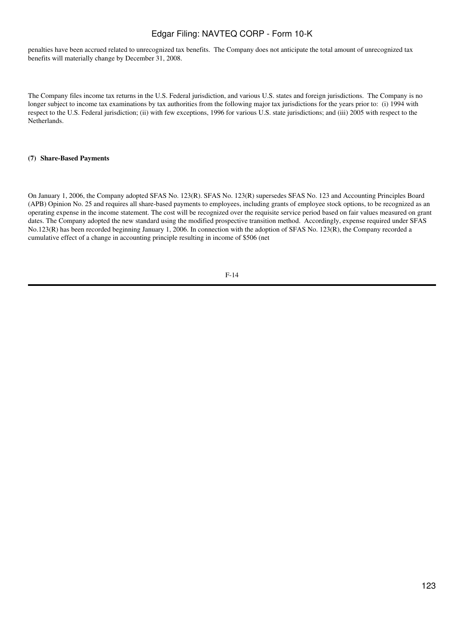penalties have been accrued related to unrecognized tax benefits. The Company does not anticipate the total amount of unrecognized tax benefits will materially change by December 31, 2008.

The Company files income tax returns in the U.S. Federal jurisdiction, and various U.S. states and foreign jurisdictions. The Company is no longer subject to income tax examinations by tax authorities from the following major tax jurisdictions for the years prior to: (i) 1994 with respect to the U.S. Federal jurisdiction; (ii) with few exceptions, 1996 for various U.S. state jurisdictions; and (iii) 2005 with respect to the Netherlands.

### **(7)Share-Based Payments**

On January 1, 2006, the Company adopted SFAS No. 123(R). SFAS No. 123(R) supersedes SFAS No. 123 and Accounting Principles Board (APB) Opinion No. 25 and requires all share-based payments to employees, including grants of employee stock options, to be recognized as an operating expense in the income statement. The cost will be recognized over the requisite service period based on fair values measured on grant dates. The Company adopted the new standard using the modified prospective transition method. Accordingly, expense required under SFAS No.123(R) has been recorded beginning January 1, 2006. In connection with the adoption of SFAS No. 123(R), the Company recorded a cumulative effect of a change in accounting principle resulting in income of \$506 (net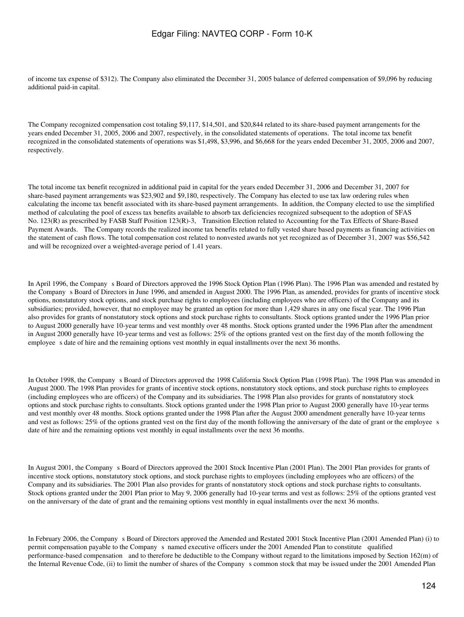of income tax expense of \$312). The Company also eliminated the December 31, 2005 balance of deferred compensation of \$9,096 by reducing additional paid-in capital.

The Company recognized compensation cost totaling \$9,117, \$14,501, and \$20,844 related to its share-based payment arrangements for the years ended December 31, 2005, 2006 and 2007, respectively, in the consolidated statements of operations. The total income tax benefit recognized in the consolidated statements of operations was \$1,498, \$3,996, and \$6,668 for the years ended December 31, 2005, 2006 and 2007, respectively.

The total income tax benefit recognized in additional paid in capital for the years ended December 31, 2006 and December 31, 2007 for share-based payment arrangements was \$23,902 and \$9,180, respectively. The Company has elected to use tax law ordering rules when calculating the income tax benefit associated with its share-based payment arrangements. In addition, the Company elected to use the simplified method of calculating the pool of excess tax benefits available to absorb tax deficiencies recognized subsequent to the adoption of SFAS No. 123(R) as prescribed by FASB Staff Position 123(R)-3, Transition Election related to Accounting for the Tax Effects of Share-Based Payment Awards. The Company records the realized income tax benefits related to fully vested share based payments as financing activities on the statement of cash flows. The total compensation cost related to nonvested awards not yet recognized as of December 31, 2007 was \$56,542 and will be recognized over a weighted-average period of 1.41 years.

In April 1996, the Company s Board of Directors approved the 1996 Stock Option Plan (1996 Plan). The 1996 Plan was amended and restated by the Company s Board of Directors in June 1996, and amended in August 2000. The 1996 Plan, as amended, provides for grants of incentive stock options, nonstatutory stock options, and stock purchase rights to employees (including employees who are officers) of the Company and its subsidiaries; provided, however, that no employee may be granted an option for more than 1,429 shares in any one fiscal year. The 1996 Plan also provides for grants of nonstatutory stock options and stock purchase rights to consultants. Stock options granted under the 1996 Plan prior to August 2000 generally have 10-year terms and vest monthly over 48 months. Stock options granted under the 1996 Plan after the amendment in August 2000 generally have 10-year terms and vest as follows: 25% of the options granted vest on the first day of the month following the employee s date of hire and the remaining options vest monthly in equal installments over the next 36 months.

In October 1998, the Company s Board of Directors approved the 1998 California Stock Option Plan (1998 Plan). The 1998 Plan was amended in August 2000. The 1998 Plan provides for grants of incentive stock options, nonstatutory stock options, and stock purchase rights to employees (including employees who are officers) of the Company and its subsidiaries. The 1998 Plan also provides for grants of nonstatutory stock options and stock purchase rights to consultants. Stock options granted under the 1998 Plan prior to August 2000 generally have 10-year terms and vest monthly over 48 months. Stock options granted under the 1998 Plan after the August 2000 amendment generally have 10-year terms and vest as follows: 25% of the options granted vest on the first day of the month following the anniversary of the date of grant or the employees date of hire and the remaining options vest monthly in equal installments over the next 36 months.

In August 2001, the Company s Board of Directors approved the 2001 Stock Incentive Plan (2001 Plan). The 2001 Plan provides for grants of incentive stock options, nonstatutory stock options, and stock purchase rights to employees (including employees who are officers) of the Company and its subsidiaries. The 2001 Plan also provides for grants of nonstatutory stock options and stock purchase rights to consultants. Stock options granted under the 2001 Plan prior to May 9, 2006 generally had 10-year terms and vest as follows: 25% of the options granted vest on the anniversary of the date of grant and the remaining options vest monthly in equal installments over the next 36 months.

In February 2006, the Companys Board of Directors approved the Amended and Restated 2001 Stock Incentive Plan (2001 Amended Plan) (i) to permit compensation payable to the Companys named executive officers under the 2001 Amended Plan to constitute qualified performance-based compensation and to therefore be deductible to the Company without regard to the limitations imposed by Section 162(m) of the Internal Revenue Code, (ii) to limit the number of shares of the Companys common stock that may be issued under the 2001 Amended Plan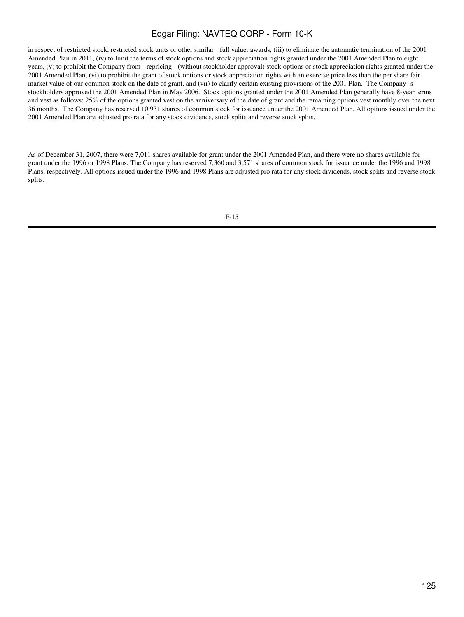in respect of restricted stock, restricted stock units or other similar full value: awards, (iii) to eliminate the automatic termination of the 2001 Amended Plan in 2011, (iv) to limit the terms of stock options and stock appreciation rights granted under the 2001 Amended Plan to eight years, (v) to prohibit the Company from repricing (without stockholder approval) stock options or stock appreciation rights granted under the 2001 Amended Plan, (vi) to prohibit the grant of stock options or stock appreciation rights with an exercise price less than the per share fair market value of our common stock on the date of grant, and (vii) to clarify certain existing provisions of the 2001 Plan. The Company s stockholders approved the 2001 Amended Plan in May 2006. Stock options granted under the 2001 Amended Plan generally have 8-year terms and vest as follows: 25% of the options granted vest on the anniversary of the date of grant and the remaining options vest monthly over the next 36 months. The Company has reserved 10,931 shares of common stock for issuance under the 2001 Amended Plan. All options issued under the 2001 Amended Plan are adjusted pro rata for any stock dividends, stock splits and reverse stock splits.

As of December 31, 2007, there were 7,011 shares available for grant under the 2001 Amended Plan, and there were no shares available for grant under the 1996 or 1998 Plans. The Company has reserved 7,360 and 3,571 shares of common stock for issuance under the 1996 and 1998 Plans, respectively. All options issued under the 1996 and 1998 Plans are adjusted pro rata for any stock dividends, stock splits and reverse stock splits.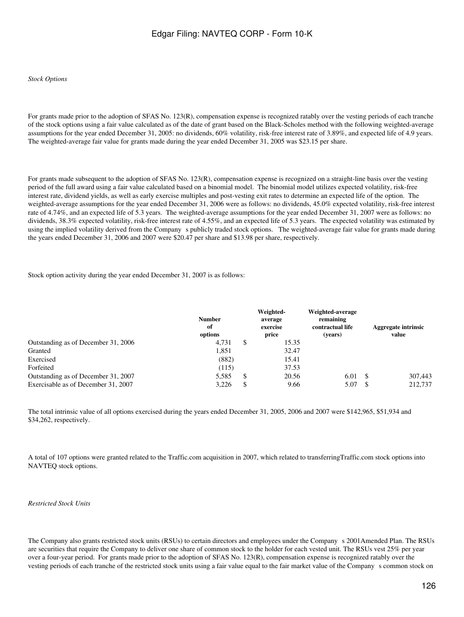#### *Stock Options*

For grants made prior to the adoption of SFAS No. 123(R), compensation expense is recognized ratably over the vesting periods of each tranche of the stock options using a fair value calculated as of the date of grant based on the Black-Scholes method with the following weighted-average assumptions for the year ended December 31, 2005: no dividends, 60% volatility, risk-free interest rate of 3.89%, and expected life of 4.9 years. The weighted-average fair value for grants made during the year ended December 31, 2005 was \$23.15 per share.

For grants made subsequent to the adoption of SFAS No. 123(R), compensation expense is recognized on a straight-line basis over the vesting period of the full award using a fair value calculated based on a binomial model. The binomial model utilizes expected volatility, risk-free interest rate, dividend yields, as well as early exercise multiples and post-vesting exit rates to determine an expected life of the option. The weighted-average assumptions for the year ended December 31, 2006 were as follows: no dividends, 45.0% expected volatility, risk-free interest rate of 4.74%, and an expected life of 5.3 years. The weighted-average assumptions for the year ended December 31, 2007 were as follows: no dividends, 38.3% expected volatility, risk-free interest rate of 4.55%, and an expected life of 5.3 years. The expected volatility was estimated by using the implied volatility derived from the Company s publicly traded stock options. The weighted-average fair value for grants made during the years ended December 31, 2006 and 2007 were \$20.47 per share and \$13.98 per share, respectively.

Stock option activity during the year ended December 31, 2007 is as follows:

|                                     | <b>Number</b><br>of<br>options |    | Weighted-<br>average<br>exercise<br>price | Weighted-average<br>remaining<br>contractual life<br>(vears) | <b>Aggregate intrinsic</b><br>value |
|-------------------------------------|--------------------------------|----|-------------------------------------------|--------------------------------------------------------------|-------------------------------------|
| Outstanding as of December 31, 2006 | 4.731                          | \$ | 15.35                                     |                                                              |                                     |
| Granted                             | 1.851                          |    | 32.47                                     |                                                              |                                     |
| Exercised                           | (882)                          |    | 15.41                                     |                                                              |                                     |
| Forfeited                           | (115)                          |    | 37.53                                     |                                                              |                                     |
| Outstanding as of December 31, 2007 | 5,585                          | S  | 20.56                                     | 6.01                                                         | 307,443                             |
| Exercisable as of December 31, 2007 | 3.226                          | \$ | 9.66                                      | 5.07                                                         | 212,737                             |

The total intrinsic value of all options exercised during the years ended December 31, 2005, 2006 and 2007 were \$142,965, \$51,934 and \$34,262, respectively.

A total of 107 options were granted related to the Traffic.com acquisition in 2007, which related to transferringTraffic.com stock options into NAVTEQ stock options.

#### *Restricted Stock Units*

The Company also grants restricted stock units (RSUs) to certain directors and employees under the Companys 2001Amended Plan. The RSUs are securities that require the Company to deliver one share of common stock to the holder for each vested unit. The RSUs vest 25% per year over a four-year period. For grants made prior to the adoption of SFAS No. 123(R), compensation expense is recognized ratably over the vesting periods of each tranche of the restricted stock units using a fair value equal to the fair market value of the Company s common stock on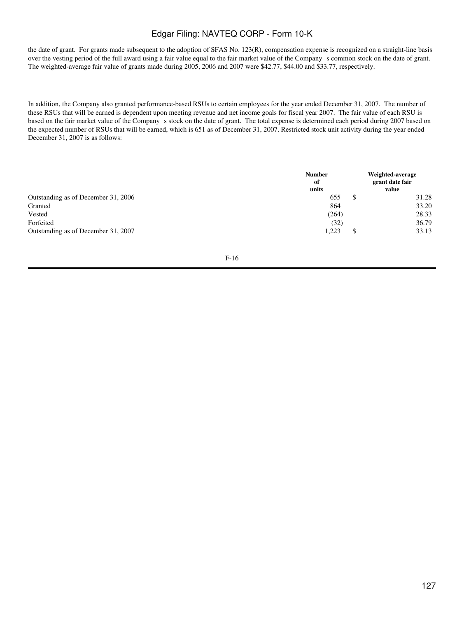the date of grant. For grants made subsequent to the adoption of SFAS No. 123(R), compensation expense is recognized on a straight-line basis over the vesting period of the full award using a fair value equal to the fair market value of the Companys common stock on the date of grant. The weighted-average fair value of grants made during 2005, 2006 and 2007 were \$42.77, \$44.00 and \$33.77, respectively.

In addition, the Company also granted performance-based RSUs to certain employees for the year ended December 31, 2007. The number of these RSUs that will be earned is dependent upon meeting revenue and net income goals for fiscal year 2007. The fair value of each RSU is based on the fair market value of the Company s stock on the date of grant. The total expense is determined each period during 2007 based on the expected number of RSUs that will be earned, which is 651 as of December 31, 2007. Restricted stock unit activity during the year ended December 31, 2007 is as follows:

|                                     | <b>Number</b><br>of<br>units |    | Weighted-average<br>grant date fair<br>value |  |
|-------------------------------------|------------------------------|----|----------------------------------------------|--|
| Outstanding as of December 31, 2006 | 655                          |    | 31.28                                        |  |
| Granted                             | 864                          |    | 33.20                                        |  |
| Vested                              | (264)                        |    | 28.33                                        |  |
| Forfeited                           | (32)                         |    | 36.79                                        |  |
| Outstanding as of December 31, 2007 | 1.223                        | \$ | 33.13                                        |  |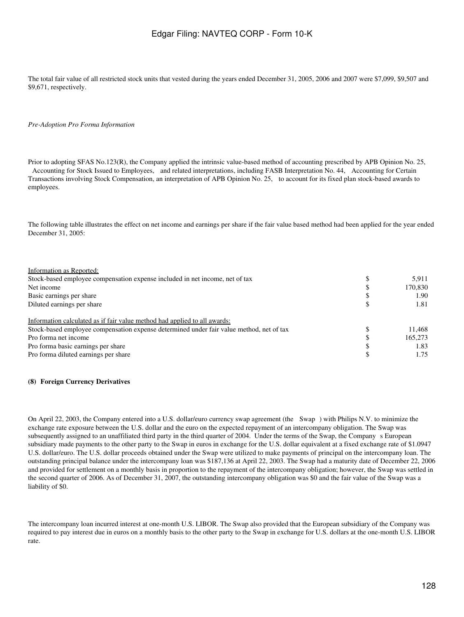The total fair value of all restricted stock units that vested during the years ended December 31, 2005, 2006 and 2007 were \$7,099, \$9,507 and \$9,671, respectively.

#### *Pre-Adoption Pro Forma Information*

Prior to adopting SFAS No.123(R), the Company applied the intrinsic value-based method of accounting prescribed by APB Opinion No. 25, Accounting for Stock Issued to Employees, and related interpretations, including FASB Interpretation No. 44, Accounting for Certain Transactions involving Stock Compensation, an interpretation of APB Opinion No. 25, to account for its fixed plan stock-based awards to employees.

The following table illustrates the effect on net income and earnings per share if the fair value based method had been applied for the year ended December 31, 2005:

| Information as Reported:                                                                 |    |         |
|------------------------------------------------------------------------------------------|----|---------|
| Stock-based employee compensation expense included in net income, net of tax             |    | 5.911   |
| Net income                                                                               | ۰D | 170,830 |
| Basic earnings per share                                                                 |    | 1.90    |
| Diluted earnings per share                                                               |    | 1.81    |
| Information calculated as if fair value method had applied to all awards:                |    |         |
| Stock-based employee compensation expense determined under fair value method, net of tax |    | 11.468  |
| Pro forma net income                                                                     |    | 165,273 |
| Pro forma basic earnings per share                                                       |    | 1.83    |
| Pro forma diluted earnings per share                                                     |    | 1.75    |

#### **(8)Foreign Currency Derivatives**

On April 22, 2003, the Company entered into a U.S. dollar/euro currency swap agreement (the Swap) with Philips N.V. to minimize the exchange rate exposure between the U.S. dollar and the euro on the expected repayment of an intercompany obligation. The Swap was subsequently assigned to an unaffiliated third party in the third quarter of 2004. Under the terms of the Swap, the Company s European subsidiary made payments to the other party to the Swap in euros in exchange for the U.S. dollar equivalent at a fixed exchange rate of \$1.0947 U.S. dollar/euro. The U.S. dollar proceeds obtained under the Swap were utilized to make payments of principal on the intercompany loan. The outstanding principal balance under the intercompany loan was \$187,136 at April 22, 2003. The Swap had a maturity date of December 22, 2006 and provided for settlement on a monthly basis in proportion to the repayment of the intercompany obligation; however, the Swap was settled in the second quarter of 2006. As of December 31, 2007, the outstanding intercompany obligation was \$0 and the fair value of the Swap was a liability of \$0.

The intercompany loan incurred interest at one-month U.S. LIBOR. The Swap also provided that the European subsidiary of the Company was required to pay interest due in euros on a monthly basis to the other party to the Swap in exchange for U.S. dollars at the one-month U.S. LIBOR rate.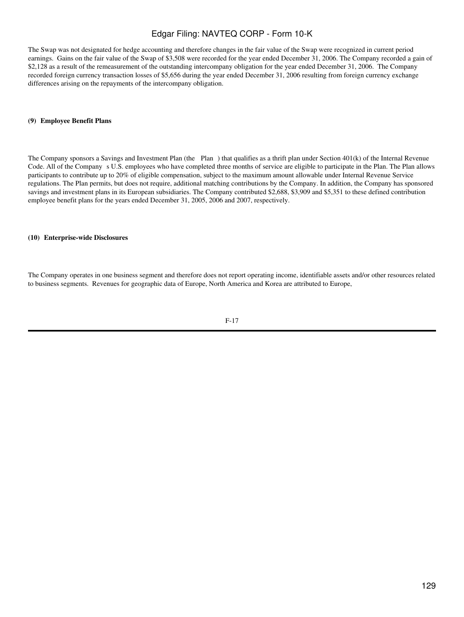The Swap was not designated for hedge accounting and therefore changes in the fair value of the Swap were recognized in current period earnings. Gains on the fair value of the Swap of \$3,508 were recorded for the year ended December 31, 2006. The Company recorded a gain of \$2,128 as a result of the remeasurement of the outstanding intercompany obligation for the year ended December 31, 2006. The Company recorded foreign currency transaction losses of \$5,656 during the year ended December 31, 2006 resulting from foreign currency exchange differences arising on the repayments of the intercompany obligation.

### **(9)Employee Benefit Plans**

The Company sponsors a Savings and Investment Plan (the Plan) that qualifies as a thrift plan under Section 401(k) of the Internal Revenue Code. All of the Company s U.S. employees who have completed three months of service are eligible to participate in the Plan. The Plan allows participants to contribute up to 20% of eligible compensation, subject to the maximum amount allowable under Internal Revenue Service regulations. The Plan permits, but does not require, additional matching contributions by the Company. In addition, the Company has sponsored savings and investment plans in its European subsidiaries. The Company contributed \$2,688, \$3,909 and \$5,351 to these defined contribution employee benefit plans for the years ended December 31, 2005, 2006 and 2007, respectively.

#### **(10)Enterprise-wide Disclosures**

The Company operates in one business segment and therefore does not report operating income, identifiable assets and/or other resources related to business segments. Revenues for geographic data of Europe, North America and Korea are attributed to Europe,

$$
F-17
$$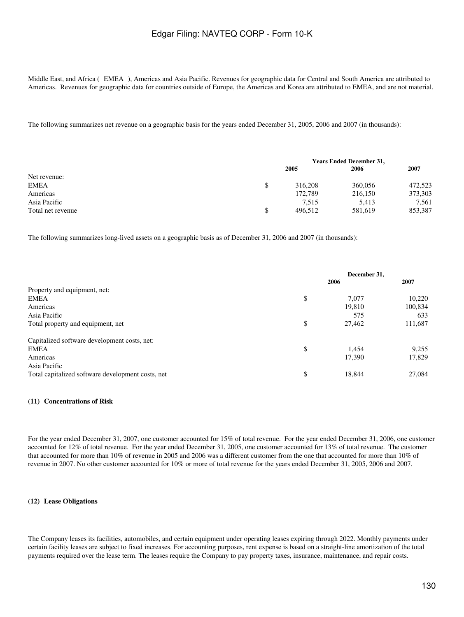Middle East, and Africa (EMEA), Americas and Asia Pacific. Revenues for geographic data for Central and South America are attributed to Americas. Revenues for geographic data for countries outside of Europe, the Americas and Korea are attributed to EMEA, and are not material.

The following summarizes net revenue on a geographic basis for the years ended December 31, 2005, 2006 and 2007 (in thousands):

|                   | <b>Years Ended December 31,</b> |         |         |         |
|-------------------|---------------------------------|---------|---------|---------|
|                   |                                 | 2005    | 2006    | 2007    |
| Net revenue:      |                                 |         |         |         |
| <b>EMEA</b>       | \$                              | 316,208 | 360,056 | 472,523 |
| Americas          |                                 | 172,789 | 216,150 | 373,303 |
| Asia Pacific      |                                 | 7.515   | 5,413   | 7.561   |
| Total net revenue | \$                              | 496.512 | 581,619 | 853,387 |

The following summarizes long-lived assets on a geographic basis as of December 31, 2006 and 2007 (in thousands):

|                                                   | December 31, |        |         |
|---------------------------------------------------|--------------|--------|---------|
|                                                   |              | 2006   | 2007    |
| Property and equipment, net:                      |              |        |         |
| <b>EMEA</b>                                       | \$           | 7.077  | 10,220  |
| Americas                                          |              | 19,810 | 100,834 |
| Asia Pacific                                      |              | 575    | 633     |
| Total property and equipment, net                 | \$           | 27,462 | 111,687 |
| Capitalized software development costs, net:      |              |        |         |
| EMEA                                              | \$           | 1,454  | 9,255   |
| Americas                                          |              | 17,390 | 17,829  |
| Asia Pacific                                      |              |        |         |
| Total capitalized software development costs, net | \$           | 18,844 | 27,084  |

#### **(11)Concentrations of Risk**

For the year ended December 31, 2007, one customer accounted for 15% of total revenue. For the year ended December 31, 2006, one customer accounted for 12% of total revenue. For the year ended December 31, 2005, one customer accounted for 13% of total revenue. The customer that accounted for more than 10% of revenue in 2005 and 2006 was a different customer from the one that accounted for more than 10% of revenue in 2007. No other customer accounted for 10% or more of total revenue for the years ended December 31, 2005, 2006 and 2007.

#### **(12)Lease Obligations**

The Company leases its facilities, automobiles, and certain equipment under operating leases expiring through 2022. Monthly payments under certain facility leases are subject to fixed increases. For accounting purposes, rent expense is based on a straight-line amortization of the total payments required over the lease term. The leases require the Company to pay property taxes, insurance, maintenance, and repair costs.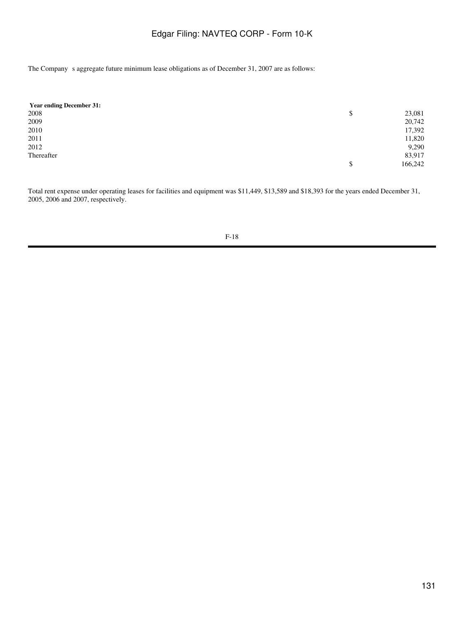The Company s aggregate future minimum lease obligations as of December 31, 2007 are as follows:

| <b>Year ending December 31:</b> |    |         |
|---------------------------------|----|---------|
| 2008                            | \$ | 23,081  |
| 2009                            |    | 20,742  |
| 2010                            |    | 17,392  |
| 2011                            |    | 11,820  |
| 2012                            |    | 9,290   |
| Thereafter                      |    | 83,917  |
|                                 | S  | 166,242 |

Total rent expense under operating leases for facilities and equipment was \$11,449, \$13,589 and \$18,393 for the years ended December 31, 2005, 2006 and 2007, respectively.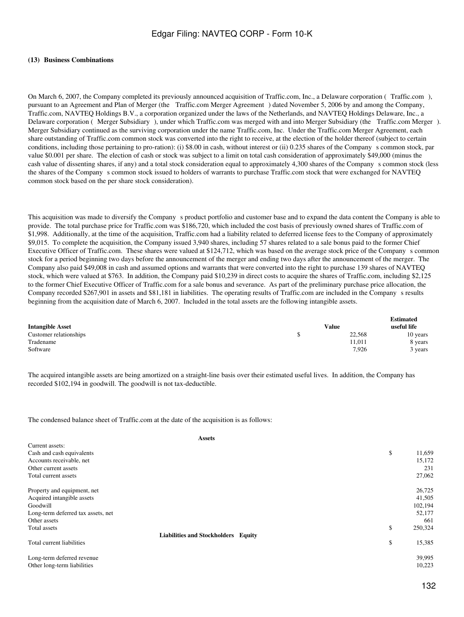### **(13) Business Combinations**

On March 6, 2007, the Company completed its previously announced acquisition of Traffic.com, Inc., a Delaware corporation (Traffic.com), pursuant to an Agreement and Plan of Merger (the Traffic.com Merger Agreement) dated November 5, 2006 by and among the Company, Traffic.com, NAVTEQ Holdings B.V., a corporation organized under the laws of the Netherlands, and NAVTEQ Holdings Delaware, Inc., a Delaware corporation (Merger Subsidiary), under which Traffic.com was merged with and into Merger Subsidiary (the Traffic.com Merger). Merger Subsidiary continued as the surviving corporation under the name Traffic.com, Inc. Under the Traffic.com Merger Agreement, each share outstanding of Traffic.com common stock was converted into the right to receive, at the election of the holder thereof (subject to certain conditions, including those pertaining to pro-ration): (i) \$8.00 in cash, without interest or (ii) 0.235 shares of the Company s common stock, par value \$0.001 per share. The election of cash or stock was subject to a limit on total cash consideration of approximately \$49,000 (minus the cash value of dissenting shares, if any) and a total stock consideration equal to approximately 4,300 shares of the Company s common stock (less the shares of the Company s common stock issued to holders of warrants to purchase Traffic.com stock that were exchanged for NAVTEQ common stock based on the per share stock consideration).

This acquisition was made to diversify the Company s product portfolio and customer base and to expand the data content the Company is able to provide. The total purchase price for Traffic.com was \$186,720, which included the cost basis of previously owned shares of Traffic.com of \$1,998. Additionally, at the time of the acquisition, Traffic.com had a liability related to deferred license fees to the Company of approximately \$9,015. To complete the acquisition, the Company issued 3,940 shares, including 57 shares related to a sale bonus paid to the former Chief Executive Officer of Traffic.com. These shares were valued at \$124,712, which was based on the average stock price of the Company s common stock for a period beginning two days before the announcement of the merger and ending two days after the announcement of the merger. The Company also paid \$49,008 in cash and assumed options and warrants that were converted into the right to purchase 139 shares of NAVTEQ stock, which were valued at \$763. In addition, the Company paid \$10,239 in direct costs to acquire the shares of Traffic.com, including \$2,125 to the former Chief Executive Officer of Traffic.com for a sale bonus and severance. As part of the preliminary purchase price allocation, the Company recorded \$267,901 in assets and \$81,181 in liabilities. The operating results of Traffic.com are included in the Companys results beginning from the acquisition date of March 6, 2007. Included in the total assets are the following intangible assets.

|                         |        | <b>Estimated</b> |
|-------------------------|--------|------------------|
| <b>Intangible Asset</b> | Value  | useful life      |
| Customer relationships  | 22.568 | 10 years         |
| Tradename               | 11.011 | 8 years          |
| Software                | 7.926  | s years          |

The acquired intangible assets are being amortized on a straight-line basis over their estimated useful lives. In addition, the Company has recorded \$102,194 in goodwill. The goodwill is not tax-deductible.

The condensed balance sheet of Traffic.com at the date of the acquisition is as follows:

| <b>Assets</b>                       |               |
|-------------------------------------|---------------|
| Current assets:                     |               |
| Cash and cash equivalents           | \$<br>11,659  |
| Accounts receivable, net            | 15,172        |
| Other current assets                | 231           |
| Total current assets                | 27,062        |
| Property and equipment, net         | 26,725        |
| Acquired intangible assets          | 41,505        |
| Goodwill                            | 102,194       |
| Long-term deferred tax assets, net  | 52,177        |
| Other assets                        | 661           |
| Total assets                        | \$<br>250,324 |
| Liabilities and Stockholders Equity |               |
| Total current liabilities           | \$<br>15,385  |
| Long-term deferred revenue          | 39,995        |
| Other long-term liabilities         | 10.223        |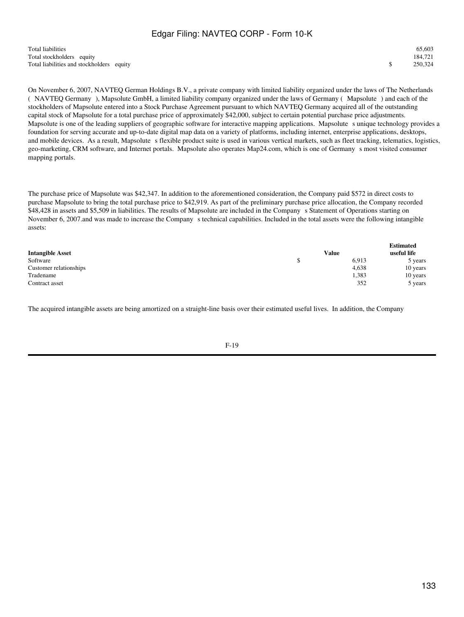Total liabilities 65,603 Total stockholders equity 184,721<br>
Total liabilities and stockholders equity 250,324<br>
Total liabilities and stockholders equity Total liabilities and stockholders equity

**Estimated**

On November 6, 2007, NAVTEQ German Holdings B.V., a private company with limited liability organized under the laws of The Netherlands (NAVTEQ Germany), Mapsolute GmbH, a limited liability company organized under the laws of Germany (Mapsolute) and each of the stockholders of Mapsolute entered into a Stock Purchase Agreement pursuant to which NAVTEQ Germany acquired all of the outstanding capital stock of Mapsolute for a total purchase price of approximately \$42,000, subject to certain potential purchase price adjustments. Mapsolute is one of the leading suppliers of geographic software for interactive mapping applications. Mapsolute s unique technology provides a foundation for serving accurate and up-to-date digital map data on a variety of platforms, including internet, enterprise applications, desktops, and mobile devices. As a result, Mapsolute s flexible product suite is used in various vertical markets, such as fleet tracking, telematics, logistics, geo-marketing, CRM software, and Internet portals. Mapsolute also operates Map24.com, which is one of Germanys most visited consumer mapping portals.

The purchase price of Mapsolute was \$42,347. In addition to the aforementioned consideration, the Company paid \$572 in direct costs to purchase Mapsolute to bring the total purchase price to \$42,919. As part of the preliminary purchase price allocation, the Company recorded \$48,428 in assets and \$5,509 in liabilities. The results of Mapsolute are included in the Company s Statement of Operations starting on November 6, 2007.and was made to increase the Company s technical capabilities. Included in the total assets were the following intangible assets:

|                         |       |       | <b>Esumated</b> |
|-------------------------|-------|-------|-----------------|
| <b>Intangible Asset</b> | Value |       | useful life     |
| Software                |       | 6.913 | vears           |
| Customer relationships  |       | 4.638 | 10 years        |
| Tradename               |       | .383  | 10 years        |
| Contract asset          |       | 352   | vears           |

The acquired intangible assets are being amortized on a straight-line basis over their estimated useful lives. In addition, the Company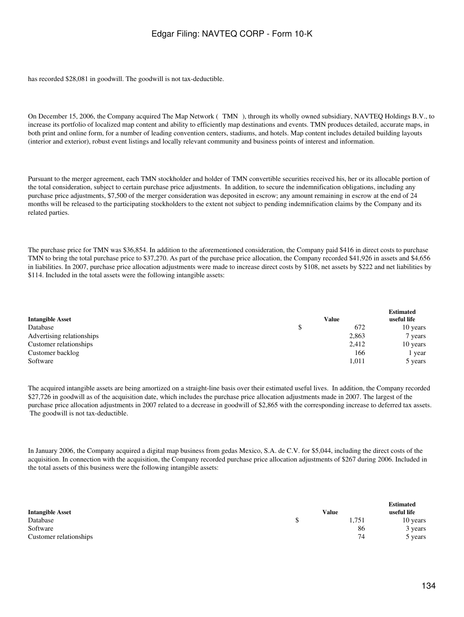has recorded \$28,081 in goodwill. The goodwill is not tax-deductible.

On December 15, 2006, the Company acquired The Map Network (TMN), through its wholly owned subsidiary, NAVTEQ Holdings B.V., to increase its portfolio of localized map content and ability to efficiently map destinations and events. TMN produces detailed, accurate maps, in both print and online form, for a number of leading convention centers, stadiums, and hotels. Map content includes detailed building layouts (interior and exterior), robust event listings and locally relevant community and business points of interest and information.

Pursuant to the merger agreement, each TMN stockholder and holder of TMN convertible securities received his, her or its allocable portion of the total consideration, subject to certain purchase price adjustments. In addition, to secure the indemnification obligations, including any purchase price adjustments, \$7,500 of the merger consideration was deposited in escrow; any amount remaining in escrow at the end of 24 months will be released to the participating stockholders to the extent not subject to pending indemnification claims by the Company and its related parties.

The purchase price for TMN was \$36,854. In addition to the aforementioned consideration, the Company paid \$416 in direct costs to purchase TMN to bring the total purchase price to \$37,270. As part of the purchase price allocation, the Company recorded \$41,926 in assets and \$4,656 in liabilities. In 2007, purchase price allocation adjustments were made to increase direct costs by \$108, net assets by \$222 and net liabilities by \$114. Included in the total assets were the following intangible assets:

|       | <b>Estimated</b> |
|-------|------------------|
| Value | useful life      |
| 672   | 10 years         |
| 2,863 | 7 years          |
| 2,412 | 10 years         |
| 166   | l year           |
| 1,011 | 5 years          |
|       |                  |

The acquired intangible assets are being amortized on a straight-line basis over their estimated useful lives. In addition, the Company recorded \$27,726 in goodwill as of the acquisition date, which includes the purchase price allocation adjustments made in 2007. The largest of the purchase price allocation adjustments in 2007 related to a decrease in goodwill of \$2,865 with the corresponding increase to deferred tax assets. The goodwill is not tax-deductible.

In January 2006, the Company acquired a digital map business from gedas Mexico, S.A. de C.V. for \$5,044, including the direct costs of the acquisition. In connection with the acquisition, the Company recorded purchase price allocation adjustments of \$267 during 2006. Included in the total assets of this business were the following intangible assets:

| <b>Intangible Asset</b> |        | Value | <b>Estimated</b><br>useful life |
|-------------------------|--------|-------|---------------------------------|
| Database                | ₼<br>ъ | 1,751 | 10 years                        |
| Software                |        | 86    | 3 years                         |
| Customer relationships  |        | 74    | 5 years                         |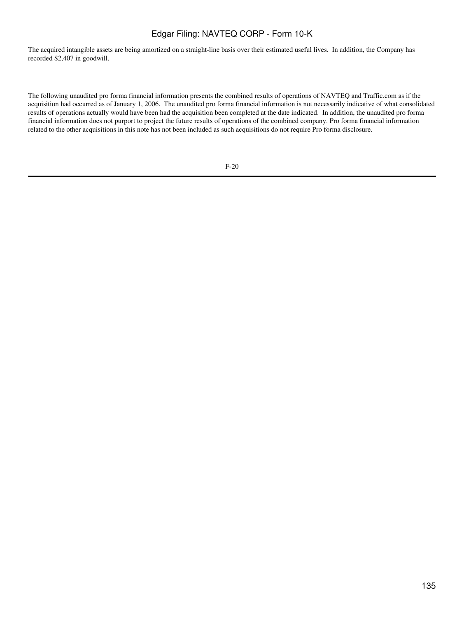The acquired intangible assets are being amortized on a straight-line basis over their estimated useful lives. In addition, the Company has recorded \$2,407 in goodwill.

The following unaudited pro forma financial information presents the combined results of operations of NAVTEQ and Traffic.com as if the acquisition had occurred as of January 1, 2006. The unaudited pro forma financial information is not necessarily indicative of what consolidated results of operations actually would have been had the acquisition been completed at the date indicated. In addition, the unaudited pro forma financial information does not purport to project the future results of operations of the combined company. Pro forma financial information related to the other acquisitions in this note has not been included as such acquisitions do not require Pro forma disclosure.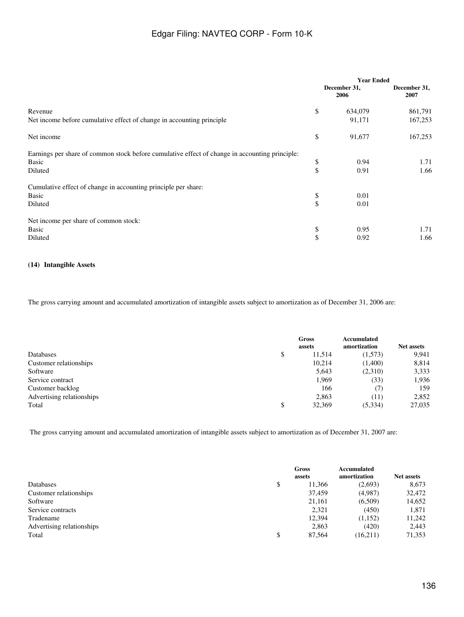|                                                                                                | <b>Year Ended</b>    |                      |
|------------------------------------------------------------------------------------------------|----------------------|----------------------|
|                                                                                                | December 31,<br>2006 | December 31,<br>2007 |
| Revenue                                                                                        | \$<br>634,079        | 861,791              |
| Net income before cumulative effect of change in accounting principle                          | 91,171               | 167,253              |
| Net income                                                                                     | \$<br>91,677         | 167,253              |
| Earnings per share of common stock before cumulative effect of change in accounting principle: |                      |                      |
| Basic                                                                                          | \$<br>0.94           | 1.71                 |
| Diluted                                                                                        | \$<br>0.91           | 1.66                 |
| Cumulative effect of change in accounting principle per share:                                 |                      |                      |
| Basic                                                                                          | \$<br>0.01           |                      |
| Diluted                                                                                        | \$<br>0.01           |                      |
| Net income per share of common stock:                                                          |                      |                      |
| Basic                                                                                          | \$<br>0.95           | 1.71                 |
| Diluted                                                                                        | \$<br>0.92           | 1.66                 |

### **(14)Intangible Assets**

The gross carrying amount and accumulated amortization of intangible assets subject to amortization as of December 31, 2006 are:

|                           | Gross<br>assets | Accumulated<br>amortization | <b>Net assets</b> |
|---------------------------|-----------------|-----------------------------|-------------------|
| Databases                 | \$<br>11,514    | (1,573)                     | 9,941             |
| Customer relationships    | 10.214          | (1,400)                     | 8,814             |
| Software                  | 5,643           | (2,310)                     | 3,333             |
| Service contract          | 1,969           | (33)                        | 1,936             |
| Customer backlog          | 166             | (7)                         | 159               |
| Advertising relationships | 2,863           | (11)                        | 2,852             |
| Total                     | \$<br>32,369    | (5,334)                     | 27,035            |

The gross carrying amount and accumulated amortization of intangible assets subject to amortization as of December 31, 2007 are:

|                           | Gross<br>assets | Accumulated<br>amortization | <b>Net assets</b> |
|---------------------------|-----------------|-----------------------------|-------------------|
| Databases                 | \$<br>11.366    | (2,693)                     | 8,673             |
| Customer relationships    | 37.459          | (4,987)                     | 32,472            |
| Software                  | 21,161          | (6,509)                     | 14,652            |
| Service contracts         | 2.321           | (450)                       | 1,871             |
| Tradename                 | 12,394          | (1,152)                     | 11,242            |
| Advertising relationships | 2.863           | (420)                       | 2,443             |
| Total                     | \$<br>87,564    | (16,211)                    | 71,353            |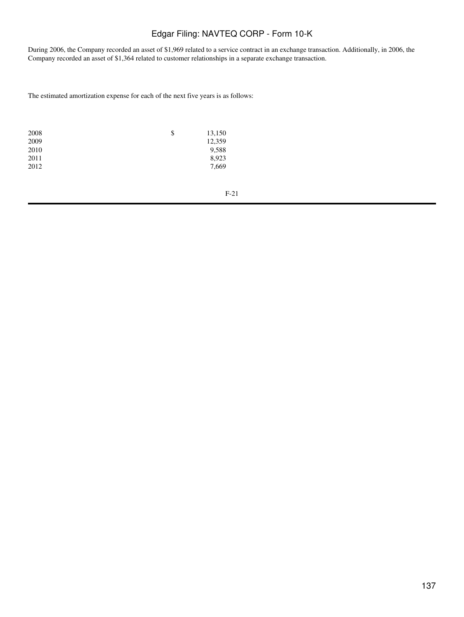During 2006, the Company recorded an asset of \$1,969 related to a service contract in an exchange transaction. Additionally, in 2006, the Company recorded an asset of \$1,364 related to customer relationships in a separate exchange transaction.

The estimated amortization expense for each of the next five years is as follows:

| 2008 | \$<br>13,150 |
|------|--------------|
| 2009 | 12,359       |
| 2010 | 9,588        |
| 2011 | 8,923        |
| 2012 | 7,669        |
|      |              |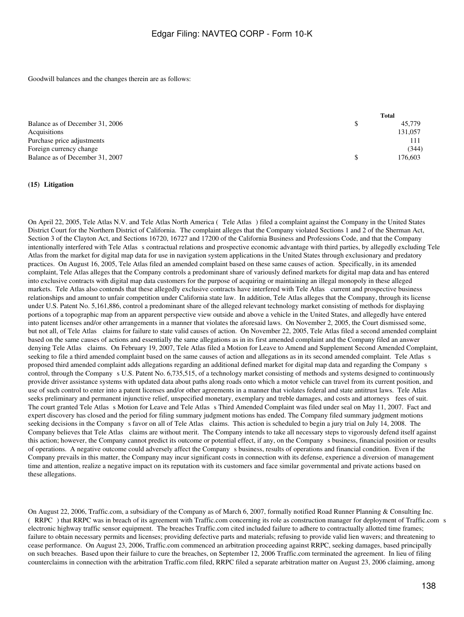Goodwill balances and the changes therein are as follows:

|                                 | Total |         |  |
|---------------------------------|-------|---------|--|
| Balance as of December 31, 2006 |       | 45,779  |  |
| Acquisitions                    |       | 131,057 |  |
| Purchase price adjustments      |       |         |  |
| Foreign currency change         |       | (344)   |  |
| Balance as of December 31, 2007 |       | 176.603 |  |

#### **(15)Litigation**

On April 22, 2005, Tele Atlas N.V. and Tele Atlas North America (Tele Atlas) filed a complaint against the Company in the United States District Court for the Northern District of California. The complaint alleges that the Company violated Sections 1 and 2 of the Sherman Act, Section 3 of the Clayton Act, and Sections 16720, 16727 and 17200 of the California Business and Professions Code, and that the Company intentionally interfered with Tele Atlas s contractual relations and prospective economic advantage with third parties, by allegedly excluding Tele Atlas from the market for digital map data for use in navigation system applications in the United States through exclusionary and predatory practices. On August 16, 2005, Tele Atlas filed an amended complaint based on these same causes of action. Specifically, in its amended complaint, Tele Atlas alleges that the Company controls a predominant share of variously defined markets for digital map data and has entered into exclusive contracts with digital map data customers for the purpose of acquiring or maintaining an illegal monopoly in these alleged markets. Tele Atlas also contends that these allegedly exclusive contracts have interfered with Tele Atlas current and prospective business relationships and amount to unfair competition under California state law. In addition, Tele Atlas alleges that the Company, through its license under U.S. Patent No. 5,161,886, control a predominant share of the alleged relevant technology market consisting of methods for displaying portions of a topographic map from an apparent perspective view outside and above a vehicle in the United States, and allegedly have entered into patent licenses and/or other arrangements in a manner that violates the aforesaid laws. On November 2, 2005, the Court dismissed some, but not all, of Tele Atlas claims for failure to state valid causes of action. On November 22, 2005, Tele Atlas filed a second amended complaint based on the same causes of actions and essentially the same allegations as in its first amended complaint and the Company filed an answer denying Tele Atlas claims. On February 19, 2007, Tele Atlas filed a Motion for Leave to Amend and Supplement Second Amended Complaint, seeking to file a third amended complaint based on the same causes of action and allegations as in its second amended complaint. Tele Atlas s proposed third amended complaint adds allegations regarding an additional defined market for digital map data and regarding the Companys control, through the Companys U.S. Patent No. 6,735,515, of a technology market consisting of methods and systems designed to continuously provide driver assistance systems with updated data about paths along roads onto which a motor vehicle can travel from its current position, and use of such control to enter into a patent licenses and/or other agreements in a manner that violates federal and state antitrust laws. Tele Atlas seeks preliminary and permanent injunctive relief, unspecified monetary, exemplary and treble damages, and costs and attorneys fees of suit. The court granted Tele Atlas s Motion for Leave and Tele Atlas s Third Amended Complaint was filed under seal on May 11, 2007. Fact and expert discovery has closed and the period for filing summary judgment motions has ended. The Company filed summary judgment motions seeking decisions in the Company s favor on all of Tele Atlas claims. This action is scheduled to begin a jury trial on July 14, 2008. The Company believes that Tele Atlas claims are without merit. The Company intends to take all necessary steps to vigorously defend itself against this action; however, the Company cannot predict its outcome or potential effect, if any, on the Company s business, financial position or results of operations. A negative outcome could adversely affect the Companys business, results of operations and financial condition. Even if the Company prevails in this matter, the Company may incur significant costs in connection with its defense, experience a diversion of management time and attention, realize a negative impact on its reputation with its customers and face similar governmental and private actions based on these allegations.

On August 22, 2006, Traffic.com, a subsidiary of the Company as of March 6, 2007, formally notified Road Runner Planning & Consulting Inc. (RRPC) that RRPC was in breach of its agreement with Traffic.com concerning its role as construction manager for deployment of Traffic.coms electronic highway traffic sensor equipment. The breaches Traffic.com cited included failure to adhere to contractually allotted time frames; failure to obtain necessary permits and licenses; providing defective parts and materials; refusing to provide valid lien wavers; and threatening to cease performance. On August 23, 2006, Traffic.com commenced an arbitration proceeding against RRPC, seeking damages, based principally on such breaches. Based upon their failure to cure the breaches, on September 12, 2006 Traffic.com terminated the agreement. In lieu of filing counterclaims in connection with the arbitration Traffic.com filed, RRPC filed a separate arbitration matter on August 23, 2006 claiming, among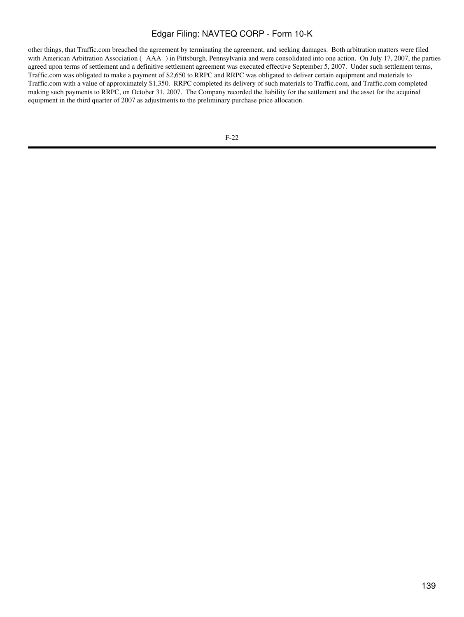other things, that Traffic.com breached the agreement by terminating the agreement, and seeking damages. Both arbitration matters were filed with American Arbitration Association (AAA) in Pittsburgh, Pennsylvania and were consolidated into one action. On July 17, 2007, the parties agreed upon terms of settlement and a definitive settlement agreement was executed effective September 5, 2007. Under such settlement terms, Traffic.com was obligated to make a payment of \$2,650 to RRPC and RRPC was obligated to deliver certain equipment and materials to Traffic.com with a value of approximately \$1,350. RRPC completed its delivery of such materials to Traffic.com, and Traffic.com completed making such payments to RRPC, on October 31, 2007. The Company recorded the liability for the settlement and the asset for the acquired equipment in the third quarter of 2007 as adjustments to the preliminary purchase price allocation.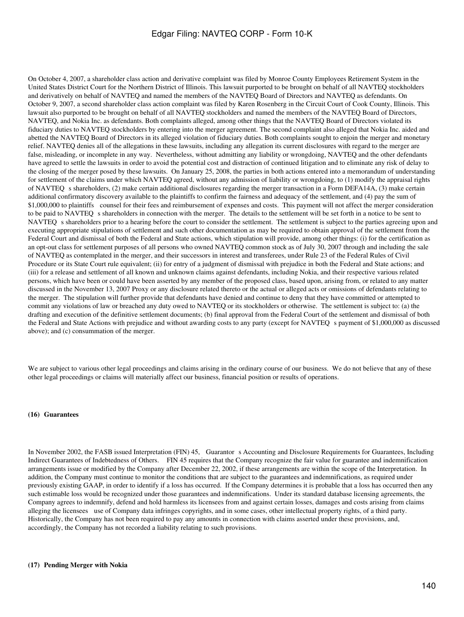On October 4, 2007, a shareholder class action and derivative complaint was filed by Monroe County Employees Retirement System in the United States District Court for the Northern District of Illinois. This lawsuit purported to be brought on behalf of all NAVTEQ stockholders and derivatively on behalf of NAVTEQ and named the members of the NAVTEQ Board of Directors and NAVTEQ as defendants. On October 9, 2007, a second shareholder class action complaint was filed by Karen Rosenberg in the Circuit Court of Cook County, Illinois. This lawsuit also purported to be brought on behalf of all NAVTEQ stockholders and named the members of the NAVTEQ Board of Directors, NAVTEQ, and Nokia Inc. as defendants. Both complaints alleged, among other things that the NAVTEQ Board of Directors violated its fiduciary duties to NAVTEQ stockholders by entering into the merger agreement. The second complaint also alleged that Nokia Inc. aided and abetted the NAVTEQ Board of Directors in its alleged violation of fiduciary duties. Both complaints sought to enjoin the merger and monetary relief. NAVTEQ denies all of the allegations in these lawsuits, including any allegation its current disclosures with regard to the merger are false, misleading, or incomplete in any way. Nevertheless, without admitting any liability or wrongdoing, NAVTEQ and the other defendants have agreed to settle the lawsuits in order to avoid the potential cost and distraction of continued litigation and to eliminate any risk of delay to the closing of the merger posed by these lawsuits. On January 25, 2008, the parties in both actions entered into a memorandum of understanding for settlement of the claims under which NAVTEQ agreed, without any admission of liability or wrongdoing, to (1) modify the appraisal rights of NAVTEQ s shareholders, (2) make certain additional disclosures regarding the merger transaction in a Form DEFA14A, (3) make certain additional confirmatory discovery available to the plaintiffs to confirm the fairness and adequacy of the settlement, and (4) pay the sum of \$1,000,000 to plaintiffs counsel for their fees and reimbursement of expenses and costs. This payment will not affect the merger consideration to be paid to NAVTEQ s shareholders in connection with the merger. The details to the settlement will be set forth in a notice to be sent to NAVTEQ s shareholders prior to a hearing before the court to consider the settlement. The settlement is subject to the parties agreeing upon and executing appropriate stipulations of settlement and such other documentation as may be required to obtain approval of the settlement from the Federal Court and dismissal of both the Federal and State actions, which stipulation will provide, among other things: (i) for the certification as an opt-out class for settlement purposes of all persons who owned NAVTEQ common stock as of July 30, 2007 through and including the sale of NAVTEQ as contemplated in the merger, and their successors in interest and transferees, under Rule 23 of the Federal Rules of Civil Procedure or its State Court rule equivalent; (ii) for entry of a judgment of dismissal with prejudice in both the Federal and State actions; and (iii) for a release and settlement of all known and unknown claims against defendants, including Nokia, and their respective various related persons, which have been or could have been asserted by any member of the proposed class, based upon, arising from, or related to any matter discussed in the November 13, 2007 Proxy or any disclosure related thereto or the actual or alleged acts or omissions of defendants relating to the merger. The stipulation will further provide that defendants have denied and continue to deny that they have committed or attempted to commit any violations of law or breached any duty owed to NAVTEQ or its stockholders or otherwise. The settlement is subject to: (a) the drafting and execution of the definitive settlement documents; (b) final approval from the Federal Court of the settlement and dismissal of both the Federal and State Actions with prejudice and without awarding costs to any party (except for NAVTEQ s payment of \$1,000,000 as discussed above); and (c) consummation of the merger.

We are subject to various other legal proceedings and claims arising in the ordinary course of our business. We do not believe that any of these other legal proceedings or claims will materially affect our business, financial position or results of operations.

#### **(16)Guarantees**

In November 2002, the FASB issued Interpretation (FIN) 45, Guarantors Accounting and Disclosure Requirements for Guarantees, Including Indirect Guarantees of Indebtedness of Others. FIN 45 requires that the Company recognize the fair value for guarantee and indemnification arrangements issue or modified by the Company after December 22, 2002, if these arrangements are within the scope of the Interpretation. In addition, the Company must continue to monitor the conditions that are subject to the guarantees and indemnifications, as required under previously existing GAAP, in order to identify if a loss has occurred. If the Company determines it is probable that a loss has occurred then any such estimable loss would be recognized under those guarantees and indemnifications. Under its standard database licensing agreements, the Company agrees to indemnify, defend and hold harmless its licensees from and against certain losses, damages and costs arising from claims alleging the licensees use of Company data infringes copyrights, and in some cases, other intellectual property rights, of a third party. Historically, the Company has not been required to pay any amounts in connection with claims asserted under these provisions, and, accordingly, the Company has not recorded a liability relating to such provisions.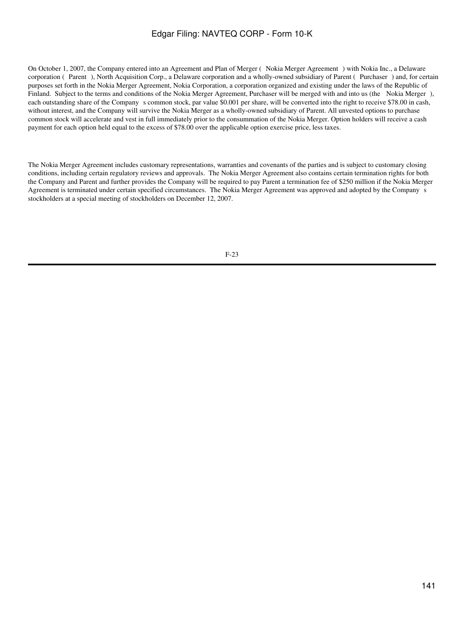On October 1, 2007, the Company entered into an Agreement and Plan of Merger (Nokia Merger Agreement) with Nokia Inc., a Delaware corporation (Parent), North Acquisition Corp., a Delaware corporation and a wholly-owned subsidiary of Parent (Purchaser) and, for certain purposes set forth in the Nokia Merger Agreement, Nokia Corporation, a corporation organized and existing under the laws of the Republic of Finland. Subject to the terms and conditions of the Nokia Merger Agreement, Purchaser will be merged with and into us (the Nokia Merger), each outstanding share of the Company s common stock, par value \$0.001 per share, will be converted into the right to receive \$78.00 in cash, without interest, and the Company will survive the Nokia Merger as a wholly-owned subsidiary of Parent. All unvested options to purchase common stock will accelerate and vest in full immediately prior to the consummation of the Nokia Merger. Option holders will receive a cash payment for each option held equal to the excess of \$78.00 over the applicable option exercise price, less taxes.

The Nokia Merger Agreement includes customary representations, warranties and covenants of the parties and is subject to customary closing conditions, including certain regulatory reviews and approvals. The Nokia Merger Agreement also contains certain termination rights for both the Company and Parent and further provides the Company will be required to pay Parent a termination fee of \$250 million if the Nokia Merger Agreement is terminated under certain specified circumstances. The Nokia Merger Agreement was approved and adopted by the Companys stockholders at a special meeting of stockholders on December 12, 2007.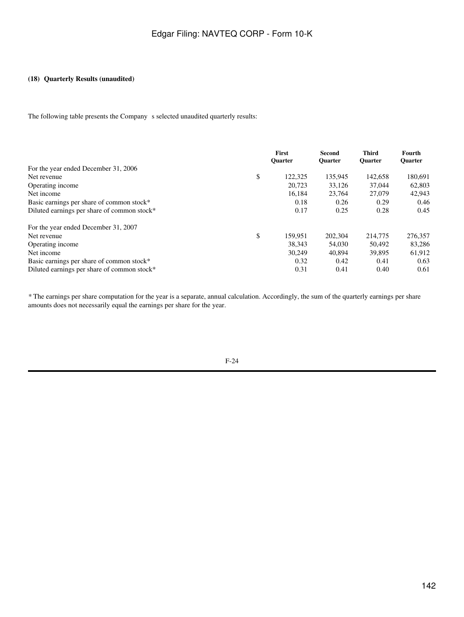### **(18) Quarterly Results (unaudited)**

The following table presents the Company s selected unaudited quarterly results:

|                                             | First<br><b>Ouarter</b> |         | Second<br><b>Ouarter</b> | <b>Third</b><br><b>Ouarter</b> | Fourth<br>Quarter |
|---------------------------------------------|-------------------------|---------|--------------------------|--------------------------------|-------------------|
| For the year ended December 31, 2006        |                         |         |                          |                                |                   |
| Net revenue                                 | \$                      | 122,325 | 135,945                  | 142,658                        | 180.691           |
| Operating income                            |                         | 20.723  | 33,126                   | 37,044                         | 62,803            |
| Net income                                  |                         | 16.184  | 23.764                   | 27,079                         | 42,943            |
| Basic earnings per share of common stock*   |                         | 0.18    | 0.26                     | 0.29                           | 0.46              |
| Diluted earnings per share of common stock* |                         | 0.17    | 0.25                     | 0.28                           | 0.45              |
| For the year ended December 31, 2007        |                         |         |                          |                                |                   |
| Net revenue                                 | \$                      | 159.951 | 202,304                  | 214,775                        | 276,357           |
| Operating income                            |                         | 38.343  | 54,030                   | 50.492                         | 83,286            |
| Net income                                  |                         | 30.249  | 40.894                   | 39,895                         | 61.912            |
| Basic earnings per share of common stock*   |                         | 0.32    | 0.42                     | 0.41                           | 0.63              |
| Diluted earnings per share of common stock* |                         | 0.31    | 0.41                     | 0.40                           | 0.61              |

*\** The earnings per share computation for the year is a separate, annual calculation. Accordingly, the sum of the quarterly earnings per share amounts does not necessarily equal the earnings per share for the year.